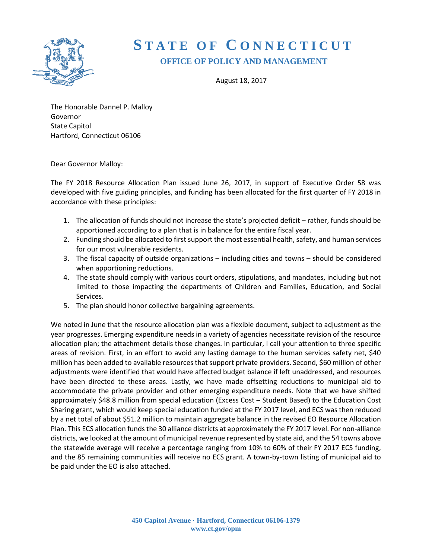

# **S TATE OF C ONNECTICUT OFFICE OF POLICY AND MANAGEMENT**

August 18, 2017

The Honorable Dannel P. Malloy Governor State Capitol Hartford, Connecticut 06106

Dear Governor Malloy:

The FY 2018 Resource Allocation Plan issued June 26, 2017, in support of Executive Order 58 was developed with five guiding principles, and funding has been allocated for the first quarter of FY 2018 in accordance with these principles:

- 1. The allocation of funds should not increase the state's projected deficit rather, funds should be apportioned according to a plan that is in balance for the entire fiscal year.
- 2. Funding should be allocated to first support the most essential health, safety, and human services for our most vulnerable residents.
- 3. The fiscal capacity of outside organizations including cities and towns should be considered when apportioning reductions.
- 4. The state should comply with various court orders, stipulations, and mandates, including but not limited to those impacting the departments of Children and Families, Education, and Social Services.
- 5. The plan should honor collective bargaining agreements.

We noted in June that the resource allocation plan was a flexible document, subject to adjustment as the year progresses. Emerging expenditure needs in a variety of agencies necessitate revision of the resource allocation plan; the attachment details those changes. In particular, I call your attention to three specific areas of revision. First, in an effort to avoid any lasting damage to the human services safety net, \$40 million has been added to available resources that support private providers. Second, \$60 million of other adjustments were identified that would have affected budget balance if left unaddressed, and resources have been directed to these areas. Lastly, we have made offsetting reductions to municipal aid to accommodate the private provider and other emerging expenditure needs. Note that we have shifted approximately \$48.8 million from special education (Excess Cost – Student Based) to the Education Cost Sharing grant, which would keep special education funded at the FY 2017 level, and ECS was then reduced by a net total of about \$51.2 million to maintain aggregate balance in the revised EO Resource Allocation Plan. This ECS allocation funds the 30 alliance districts at approximately the FY 2017 level. For non-alliance districts, we looked at the amount of municipal revenue represented by state aid, and the 54 towns above the statewide average will receive a percentage ranging from 10% to 60% of their FY 2017 ECS funding, and the 85 remaining communities will receive no ECS grant. A town-by-town listing of municipal aid to be paid under the EO is also attached.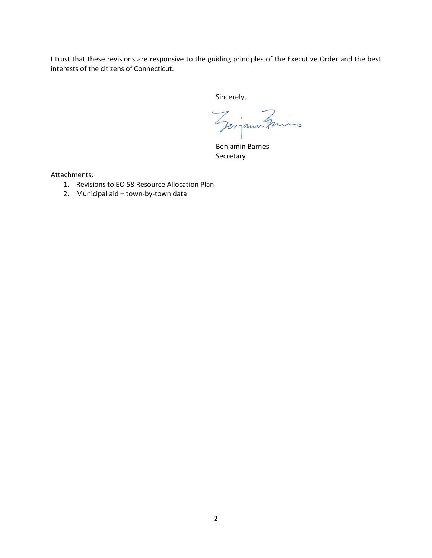I trust that these revisions are responsive to the guiding principles of the Executive Order and the best interests of the citizens of Connecticut.

Sincerely,

Georgan Fries

Benjamin Barnes Secretary

Attachments:

- 1. Revisions to EO 58 Resource Allocation Plan
- 2. Municipal aid town-by-town data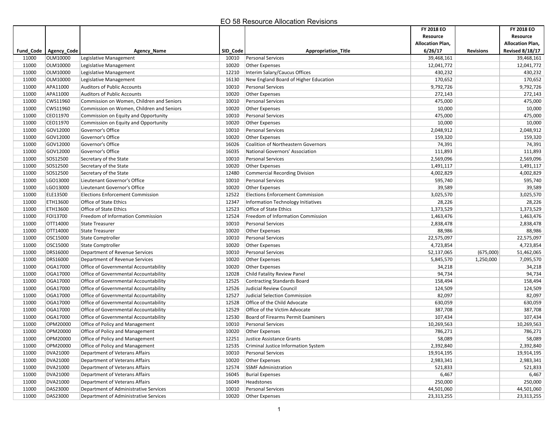|       |                         |                                           |          |                                            | FY 2018 EO              |                  | FY 2018 EO              |
|-------|-------------------------|-------------------------------------------|----------|--------------------------------------------|-------------------------|------------------|-------------------------|
|       |                         |                                           |          |                                            | Resource                |                  | Resource                |
|       |                         |                                           |          |                                            | <b>Allocation Plan,</b> |                  | <b>Allocation Plan,</b> |
|       | Fund_Code   Agency_Code | Agency_Name                               | SID_Code | <b>Appropriation Title</b>                 | 6/26/17                 | <b>Revisions</b> | <b>Revised 8/18/17</b>  |
| 11000 | OLM10000                | Legislative Management                    | 10010    | <b>Personal Services</b>                   | 39,468,161              |                  | 39,468,161              |
| 11000 | OLM10000                | Legislative Management                    | 10020    | <b>Other Expenses</b>                      | 12,041,772              |                  | 12,041,772              |
| 11000 | OLM10000                | Legislative Management                    | 12210    | Interim Salary/Caucus Offices              | 430,232                 |                  | 430,232                 |
| 11000 | OLM10000                | Legislative Management                    | 16130    | New England Board of Higher Education      | 170,652                 |                  | 170,652                 |
| 11000 | APA11000                | <b>Auditors of Public Accounts</b>        | 10010    | <b>Personal Services</b>                   | 9,792,726               |                  | 9,792,726               |
| 11000 | APA11000                | <b>Auditors of Public Accounts</b>        | 10020    | Other Expenses                             | 272,143                 |                  | 272,143                 |
| 11000 | CWS11960                | Commission on Women, Children and Seniors | 10010    | <b>Personal Services</b>                   | 475,000                 |                  | 475,000                 |
| 11000 | CWS11960                | Commission on Women, Children and Seniors | 10020    | Other Expenses                             | 10,000                  |                  | 10,000                  |
| 11000 | CEO11970                | Commission on Equity and Opportunity      | 10010    | <b>Personal Services</b>                   | 475,000                 |                  | 475,000                 |
| 11000 | CEO11970                | Commission on Equity and Opportunity      | 10020    | <b>Other Expenses</b>                      | 10,000                  |                  | 10,000                  |
| 11000 | GOV12000                | Governor's Office                         | 10010    | Personal Services                          | 2,048,912               |                  | 2,048,912               |
| 11000 | GOV12000                | Governor's Office                         | 10020    | <b>Other Expenses</b>                      | 159,320                 |                  | 159,320                 |
| 11000 | GOV12000                | Governor's Office                         | 16026    | <b>Coalition of Northeastern Governors</b> | 74,391                  |                  | 74,391                  |
| 11000 | GOV12000                | Governor's Office                         | 16035    | National Governors' Association            | 111,893                 |                  | 111,893                 |
| 11000 | SOS12500                | Secretary of the State                    | 10010    | <b>Personal Services</b>                   | 2,569,096               |                  | 2,569,096               |
| 11000 | SOS12500                | Secretary of the State                    | 10020    | Other Expenses                             | 1,491,117               |                  | 1,491,117               |
| 11000 | SOS12500                | Secretary of the State                    | 12480    | <b>Commercial Recording Division</b>       | 4,002,829               |                  | 4,002,829               |
| 11000 | LGO13000                | Lieutenant Governor's Office              | 10010    | <b>Personal Services</b>                   | 595,740                 |                  | 595,740                 |
| 11000 | LGO13000                | Lieutenant Governor's Office              | 10020    | <b>Other Expenses</b>                      | 39,589                  |                  | 39,589                  |
| 11000 | ELE13500                | <b>Elections Enforcement Commission</b>   | 12522    | <b>Elections Enforcement Commission</b>    | 3,025,570               |                  | 3,025,570               |
| 11000 | ETH13600                | Office of State Ethics                    | 12347    | Information Technology Initiatives         | 28,226                  |                  | 28,226                  |
| 11000 | ETH13600                | Office of State Ethics                    | 12523    | Office of State Ethics                     | 1,373,529               |                  | 1,373,529               |
| 11000 | FOI13700                | Freedom of Information Commission         | 12524    | Freedom of Information Commission          | 1,463,476               |                  | 1,463,476               |
| 11000 | OTT14000                | <b>State Treasurer</b>                    | 10010    | <b>Personal Services</b>                   | 2,838,478               |                  | 2,838,478               |
| 11000 | OTT14000                | <b>State Treasurer</b>                    | 10020    | <b>Other Expenses</b>                      | 88,986                  |                  | 88,986                  |
| 11000 | OSC15000                | State Comptroller                         | 10010    | <b>Personal Services</b>                   | 22,575,097              |                  | 22,575,097              |
| 11000 | OSC15000                | <b>State Comptroller</b>                  | 10020    | <b>Other Expenses</b>                      | 4,723,854               |                  | 4,723,854               |
| 11000 | DRS16000                | Department of Revenue Services            | 10010    | <b>Personal Services</b>                   | 52,137,065              | (675,000)        | 51,462,065              |
| 11000 | DRS16000                | Department of Revenue Services            | 10020    | Other Expenses                             | 5,845,570               | 1,250,000        | 7,095,570               |
| 11000 | OGA17000                | Office of Governmental Accountability     | 10020    | <b>Other Expenses</b>                      | 34,218                  |                  | 34,218                  |
| 11000 | OGA17000                | Office of Governmental Accountability     | 12028    | Child Fatality Review Panel                | 94,734                  |                  | 94,734                  |
| 11000 | OGA17000                | Office of Governmental Accountability     | 12525    | <b>Contracting Standards Board</b>         | 158,494                 |                  | 158,494                 |
| 11000 | OGA17000                | Office of Governmental Accountability     | 12526    | Judicial Review Council                    | 124,509                 |                  | 124,509                 |
| 11000 | OGA17000                | Office of Governmental Accountability     | 12527    | Judicial Selection Commission              | 82,097                  |                  | 82,097                  |
| 11000 | OGA17000                | Office of Governmental Accountability     | 12528    | Office of the Child Advocate               | 630,059                 |                  | 630,059                 |
| 11000 | OGA17000                | Office of Governmental Accountability     | 12529    | Office of the Victim Advocate              | 387,708                 |                  | 387,708                 |
| 11000 | OGA17000                | Office of Governmental Accountability     | 12530    | Board of Firearms Permit Examiners         | 107,434                 |                  | 107,434                 |
| 11000 | OPM20000                | Office of Policy and Management           | 10010    | <b>Personal Services</b>                   | 10,269,563              |                  | 10,269,563              |
| 11000 | OPM20000                | Office of Policy and Management           | 10020    | <b>Other Expenses</b>                      | 786,271                 |                  | 786,271                 |
| 11000 | OPM20000                | Office of Policy and Management           | 12251    | Justice Assistance Grants                  | 58,089                  |                  | 58,089                  |
| 11000 | OPM20000                | Office of Policy and Management           | 12535    | Criminal Justice Information System        | 2,392,840               |                  | 2,392,840               |
| 11000 | DVA21000                | Department of Veterans Affairs            | 10010    | Personal Services                          | 19,914,195              |                  | 19,914,195              |
| 11000 | DVA21000                | Department of Veterans Affairs            | 10020    | Other Expenses                             | 2,983,341               |                  | 2,983,341               |
| 11000 | DVA21000                | Department of Veterans Affairs            | 12574    | <b>SSMF Administration</b>                 | 521,833                 |                  | 521,833                 |
| 11000 | DVA21000                | Department of Veterans Affairs            | 16045    | <b>Burial Expenses</b>                     | 6,467                   |                  | 6,467                   |
| 11000 | DVA21000                | Department of Veterans Affairs            | 16049    | Headstones                                 | 250,000                 |                  | 250,000                 |
| 11000 | DAS23000                | Department of Administrative Services     | 10010    | <b>Personal Services</b>                   | 44,501,060              |                  | 44,501,060              |
| 11000 | DAS23000                | Department of Administrative Services     | 10020    | <b>Other Expenses</b>                      | 23,313,255              |                  | 23,313,255              |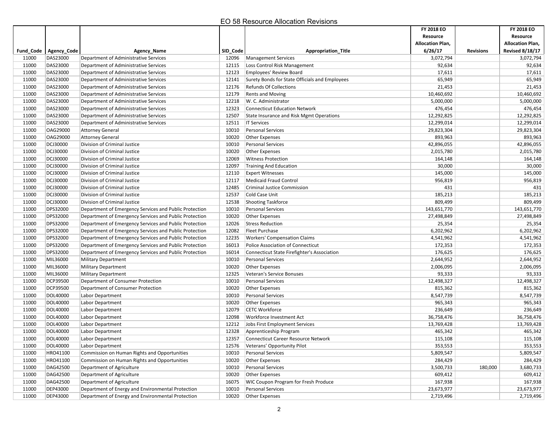|       |                         |                                                        |          |                                                 | FY 2018 EO<br>Resource  |                  | FY 2018 EO<br>Resource  |
|-------|-------------------------|--------------------------------------------------------|----------|-------------------------------------------------|-------------------------|------------------|-------------------------|
|       |                         |                                                        |          |                                                 | <b>Allocation Plan,</b> |                  | <b>Allocation Plan,</b> |
|       | Fund_Code   Agency_Code | Agency_Name                                            | SID_Code | <b>Appropriation Title</b>                      | 6/26/17                 | <b>Revisions</b> | <b>Revised 8/18/17</b>  |
| 11000 | DAS23000                | Department of Administrative Services                  | 12096    | <b>Management Services</b>                      | 3,072,794               |                  | 3,072,794               |
| 11000 | DAS23000                | Department of Administrative Services                  | 12115    | Loss Control Risk Management                    | 92,634                  |                  | 92,634                  |
| 11000 | DAS23000                | Department of Administrative Services                  | 12123    | Employees' Review Board                         | 17,611                  |                  | 17,611                  |
| 11000 | DAS23000                | Department of Administrative Services                  | 12141    | Surety Bonds for State Officials and Employees  | 65,949                  |                  | 65,949                  |
| 11000 | DAS23000                | Department of Administrative Services                  | 12176    | <b>Refunds Of Collections</b>                   | 21,453                  |                  | 21,453                  |
| 11000 | DAS23000                | Department of Administrative Services                  | 12179    | <b>Rents and Moving</b>                         | 10,460,692              |                  | 10,460,692              |
| 11000 | DAS23000                | Department of Administrative Services                  | 12218    | W. C. Administrator                             | 5,000,000               |                  | 5,000,000               |
| 11000 | DAS23000                | Department of Administrative Services                  | 12323    | <b>Connecticut Education Network</b>            | 476,454                 |                  | 476,454                 |
| 11000 | DAS23000                | Department of Administrative Services                  | 12507    | <b>State Insurance and Risk Mgmt Operations</b> | 12,292,825              |                  | 12,292,825              |
| 11000 | DAS23000                | Department of Administrative Services                  | 12511    | <b>IT Services</b>                              | 12,299,014              |                  | 12,299,014              |
| 11000 | OAG29000                | Attorney General                                       | 10010    | <b>Personal Services</b>                        | 29,823,304              |                  | 29,823,304              |
| 11000 | OAG29000                | <b>Attorney General</b>                                | 10020    | <b>Other Expenses</b>                           | 893,963                 |                  | 893,963                 |
| 11000 | DCJ30000                | Division of Criminal Justice                           | 10010    | <b>Personal Services</b>                        | 42,896,055              |                  | 42,896,055              |
| 11000 | DCJ30000                | Division of Criminal Justice                           | 10020    | <b>Other Expenses</b>                           | 2,015,780               |                  | 2,015,780               |
| 11000 | DCJ30000                | Division of Criminal Justice                           | 12069    | <b>Witness Protection</b>                       | 164,148                 |                  | 164,148                 |
| 11000 | DCJ30000                | Division of Criminal Justice                           | 12097    | <b>Training And Education</b>                   | 30,000                  |                  | 30,000                  |
| 11000 | DCJ30000                | Division of Criminal Justice                           | 12110    | <b>Expert Witnesses</b>                         | 145,000                 |                  | 145,000                 |
| 11000 | DCJ30000                | Division of Criminal Justice                           | 12117    | <b>Medicaid Fraud Control</b>                   | 956,819                 |                  | 956,819                 |
| 11000 | DCJ30000                | Division of Criminal Justice                           | 12485    | <b>Criminal Justice Commission</b>              | 431                     |                  | 431                     |
| 11000 | DCJ30000                | Division of Criminal Justice                           | 12537    | Cold Case Unit                                  | 185,213                 |                  | 185,213                 |
| 11000 | DCJ30000                | Division of Criminal Justice                           | 12538    | <b>Shooting Taskforce</b>                       | 809,499                 |                  | 809,499                 |
| 11000 | DPS32000                | Department of Emergency Services and Public Protection | 10010    | <b>Personal Services</b>                        | 143,651,770             |                  | 143,651,770             |
| 11000 | DPS32000                | Department of Emergency Services and Public Protection | 10020    | <b>Other Expenses</b>                           | 27,498,849              |                  | 27,498,849              |
| 11000 | DPS32000                | Department of Emergency Services and Public Protection | 12026    | <b>Stress Reduction</b>                         | 25,354                  |                  | 25,354                  |
| 11000 | DPS32000                | Department of Emergency Services and Public Protection | 12082    | Fleet Purchase                                  | 6,202,962               |                  | 6,202,962               |
| 11000 | DPS32000                | Department of Emergency Services and Public Protection | 12235    | <b>Workers' Compensation Claims</b>             | 4,541,962               |                  | 4,541,962               |
| 11000 | DPS32000                | Department of Emergency Services and Public Protection | 16013    | Police Association of Connecticut               | 172,353                 |                  | 172,353                 |
| 11000 | DPS32000                | Department of Emergency Services and Public Protection | 16014    | Connecticut State Firefighter's Association     | 176,625                 |                  | 176,625                 |
| 11000 | MIL36000                | <b>Military Department</b>                             | 10010    | <b>Personal Services</b>                        | 2,644,952               |                  | 2,644,952               |
| 11000 | MIL36000                | <b>Military Department</b>                             | 10020    | <b>Other Expenses</b>                           | 2,006,095               |                  | 2,006,095               |
| 11000 | MIL36000                | <b>Military Department</b>                             | 12325    | Veteran's Service Bonuses                       | 93,333                  |                  | 93,333                  |
| 11000 | DCP39500                | Department of Consumer Protection                      | 10010    | <b>Personal Services</b>                        | 12,498,327              |                  | 12,498,327              |
| 11000 | DCP39500                | Department of Consumer Protection                      | 10020    | Other Expenses                                  | 815,362                 |                  | 815,362                 |
| 11000 | DOL40000                | Labor Department                                       | 10010    | Personal Services                               | 8,547,739               |                  | 8,547,739               |
| 11000 | DOL40000                | Labor Department                                       | 10020    | <b>Other Expenses</b>                           | 965,343                 |                  | 965,343                 |
| 11000 | DOL40000                | Labor Department                                       | 12079    | <b>CETC Workforce</b>                           | 236,649                 |                  | 236,649                 |
| 11000 | DOL40000                | Labor Department                                       | 12098    | Workforce Investment Act                        | 36,758,476              |                  | 36,758,476              |
| 11000 | DOL40000                | Labor Department                                       | 12212    | Jobs First Employment Services                  | 13,769,428              |                  | 13,769,428              |
| 11000 | DOL40000                | Labor Department                                       | 12328    | Apprenticeship Program                          | 465,342                 |                  | 465,342                 |
| 11000 | DOL40000                | Labor Department                                       | 12357    | <b>Connecticut Career Resource Network</b>      | 115,108                 |                  | 115,108                 |
| 11000 | DOL40000                | Labor Department                                       | 12576    | Veterans' Opportunity Pilot                     | 353,553                 |                  | 353,553                 |
| 11000 | HRO41100                | Commission on Human Rights and Opportunities           | 10010    | Personal Services                               | 5,809,547               |                  | 5,809,547               |
| 11000 | HRO41100                | Commission on Human Rights and Opportunities           | 10020    | Other Expenses                                  | 284,429                 |                  | 284,429                 |
| 11000 | DAG42500                | Department of Agriculture                              | 10010    | Personal Services                               | 3,500,733               | 180,000          | 3,680,733               |
| 11000 | DAG42500                | Department of Agriculture                              | 10020    | Other Expenses                                  | 609,412                 |                  | 609,412                 |
| 11000 | DAG42500                | Department of Agriculture                              | 16075    | WIC Coupon Program for Fresh Produce            | 167,938                 |                  | 167,938                 |
| 11000 | <b>DEP43000</b>         | Department of Energy and Environmental Protection      | 10010    | <b>Personal Services</b>                        | 23,673,977              |                  | 23,673,977              |
| 11000 | <b>DEP43000</b>         | Department of Energy and Environmental Protection      | 10020    | Other Expenses                                  | 2,719,496               |                  | 2,719,496               |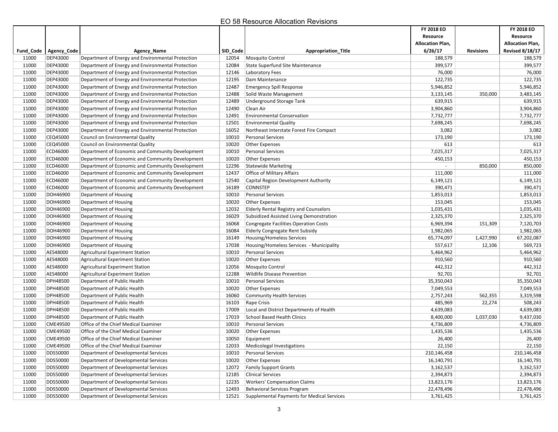| <b>Allocation Plan,</b><br><b>Allocation Plan,</b><br>6/26/17<br><b>Revised 8/18/17</b><br>Fund_Code   Agency_Code<br><b>Agency Name</b><br>SID_Code<br><b>Appropriation Title</b><br><b>Revisions</b><br><b>DEP43000</b><br>188,579<br>11000<br>Department of Energy and Environmental Protection<br>12054<br><b>Mosquito Control</b><br>188,579<br>11000<br><b>DEP43000</b><br>12084<br>399,577<br>399,577<br>Department of Energy and Environmental Protection<br>State Superfund Site Maintenance<br>11000<br><b>DEP43000</b><br>76,000<br>76,000<br>Department of Energy and Environmental Protection<br>12146<br>Laboratory Fees<br>122,735<br>11000<br><b>DEP43000</b><br>122,735<br>Department of Energy and Environmental Protection<br>12195<br>Dam Maintenance<br>11000<br><b>DEP43000</b><br>Department of Energy and Environmental Protection<br>12487<br>5,946,852<br>5,946,852<br><b>Emergency Spill Response</b><br>11000<br><b>DEP43000</b><br>12488<br>3,133,145<br>350,000<br>3,483,145<br>Department of Energy and Environmental Protection<br>Solid Waste Management<br>11000<br><b>DEP43000</b><br>Department of Energy and Environmental Protection<br>12489<br>639,915<br>639,915<br>Underground Storage Tank<br>11000<br><b>DEP43000</b><br>3,904,860<br>Department of Energy and Environmental Protection<br>12490<br>Clean Air<br>3,904,860<br>11000<br><b>DEP43000</b><br>12491<br><b>Environmental Conservation</b><br>7,732,777<br>7,732,777<br>Department of Energy and Environmental Protection<br>11000<br><b>DEP43000</b><br>12501<br>7,698,245<br>7,698,245<br>Department of Energy and Environmental Protection<br><b>Environmental Quality</b><br>11000<br><b>DEP43000</b><br>16052<br>3,082<br>3,082<br>Department of Energy and Environmental Protection<br>Northeast Interstate Forest Fire Compact<br>11000<br>10010<br>173,190<br>173,190<br>CEQ45000<br>Council on Environmental Quality<br><b>Personal Services</b><br>613<br>613<br>11000<br>CEQ45000<br>Council on Environmental Quality<br>10020<br><b>Other Expenses</b><br>11000<br>ECD46000<br>7,025,317<br>7,025,317<br>Department of Economic and Community Development<br>10010<br><b>Personal Services</b><br>11000<br>ECD46000<br>10020<br>450,153<br>Department of Economic and Community Development<br><b>Other Expenses</b><br>450,153<br>11000<br>ECD46000<br>12296<br>850,000<br>850,000<br>Department of Economic and Community Development<br><b>Statewide Marketing</b><br>11000<br>ECD46000<br>Department of Economic and Community Development<br>12437<br>Office of Military Affairs<br>111,000<br>111,000<br>11000<br>ECD46000<br>6,149,121<br>Department of Economic and Community Development<br>12540<br>Capital Region Development Authority<br>6,149,121<br>ECD46000<br>16189<br>CONNSTEP<br>390,471<br>11000<br>Department of Economic and Community Development<br>390,471<br>11000<br>DOH46900<br>10010<br><b>Personal Services</b><br>1,853,013<br>1,853,013<br>Department of Housing<br>11000<br>DOH46900<br>10020<br>153,045<br>153,045<br>Department of Housing<br><b>Other Expenses</b><br>11000<br>DOH46900<br>12032<br>1,035,431<br>1,035,431<br>Department of Housing<br><b>Elderly Rental Registry and Counselors</b><br>DOH46900<br>16029<br>2,325,370<br>2,325,370<br>11000<br>Department of Housing<br>Subsidized Assisted Living Demonstration<br>11000<br>DOH46900<br>6,969,394<br>7,120,703<br>Department of Housing<br>16068<br><b>Congregate Facilities Operation Costs</b><br>151,309<br>11000<br>DOH46900<br>1,982,065<br>1,982,065<br>Department of Housing<br>16084<br><b>Elderly Congregate Rent Subsidy</b><br>11000<br>DOH46900<br>16149<br>65,774,097<br>1,427,990<br>67,202,087<br>Department of Housing<br>Housing/Homeless Services<br>11000<br>DOH46900<br>17038<br>557,617<br>569,723<br>Department of Housing<br>Housing/Homeless Services - Municipality<br>12,106<br>11000<br>AES48000<br>5,464,962<br>Agricultural Experiment Station<br>10010<br><b>Personal Services</b><br>5,464,962<br>11000<br>AES48000<br>10020<br>910,560<br>910,560<br>Agricultural Experiment Station<br>Other Expenses<br>11000<br>AES48000<br>12056<br>442,312<br>442,312<br><b>Agricultural Experiment Station</b><br>Mosquito Control<br>11000<br>AES48000<br>12288<br><b>Wildlife Disease Prevention</b><br>92,701<br>92,701<br><b>Agricultural Experiment Station</b><br>11000<br><b>DPH48500</b><br>10010<br>Department of Public Health<br><b>Personal Services</b><br>35,350,043<br>35,350,043<br><b>DPH48500</b><br>7,049,553<br>7,049,553<br>11000<br>Department of Public Health<br>10020<br><b>Other Expenses</b><br>11000<br><b>DPH48500</b><br>Department of Public Health<br>16060<br><b>Community Health Services</b><br>2,757,243<br>562,355<br>3,319,598<br>11000<br><b>DPH48500</b><br>485,969<br>508,243<br>Department of Public Health<br>16103<br>Rape Crisis<br>22,274<br>11000<br><b>DPH48500</b><br>17009<br>4,639,083<br>Department of Public Health<br>Local and District Departments of Health<br>4,639,083<br>11000<br><b>DPH48500</b><br>17019<br>School Based Health Clinics<br>8,400,000<br>9,437,030<br>Department of Public Health<br>1,037,030<br>11000<br>CME49500<br><b>Personal Services</b><br>4,736,809<br>4,736,809<br>Office of the Chief Medical Examiner<br>10010<br>11000<br>1,435,536<br>1,435,536<br><b>CME49500</b><br>Office of the Chief Medical Examiner<br>10020<br>Other Expenses<br>11000<br>CME49500<br>10050<br>26,400<br>26,400<br>Office of the Chief Medical Examiner<br>Equipment<br>11000<br>CME49500<br>Office of the Chief Medical Examiner<br>12033<br>Medicolegal Investigations<br>22,150<br>22,150<br>DDS50000<br>210,146,458<br>11000<br>Department of Developmental Services<br>10010<br>Personal Services<br>210,146,458<br><b>DDS50000</b><br>16,140,791<br>16,140,791<br>11000<br>Department of Developmental Services<br>10020<br>Other Expenses<br>DDS50000<br>11000<br>Department of Developmental Services<br>12072<br><b>Family Support Grants</b><br>3,162,537<br>3,162,537<br>11000<br><b>DDS50000</b><br>Department of Developmental Services<br>2,394,873<br>2,394,873<br>12185<br><b>Clinical Services</b><br><b>DDS50000</b><br>Department of Developmental Services<br><b>Workers' Compensation Claims</b><br>11000<br>12235<br>13,823,176<br>13,823,176<br>11000<br>DDS50000<br>Department of Developmental Services<br>12493<br><b>Behavioral Services Program</b><br>22,478,496<br>22,478,496<br>11000<br>DDS50000<br>Department of Developmental Services<br>Supplemental Payments for Medical Services<br>12521<br>3,761,425<br>3,761,425 |  |  | FY 2018 EO<br>Resource | FY 2018 EO<br>Resource |
|----------------------------------------------------------------------------------------------------------------------------------------------------------------------------------------------------------------------------------------------------------------------------------------------------------------------------------------------------------------------------------------------------------------------------------------------------------------------------------------------------------------------------------------------------------------------------------------------------------------------------------------------------------------------------------------------------------------------------------------------------------------------------------------------------------------------------------------------------------------------------------------------------------------------------------------------------------------------------------------------------------------------------------------------------------------------------------------------------------------------------------------------------------------------------------------------------------------------------------------------------------------------------------------------------------------------------------------------------------------------------------------------------------------------------------------------------------------------------------------------------------------------------------------------------------------------------------------------------------------------------------------------------------------------------------------------------------------------------------------------------------------------------------------------------------------------------------------------------------------------------------------------------------------------------------------------------------------------------------------------------------------------------------------------------------------------------------------------------------------------------------------------------------------------------------------------------------------------------------------------------------------------------------------------------------------------------------------------------------------------------------------------------------------------------------------------------------------------------------------------------------------------------------------------------------------------------------------------------------------------------------------------------------------------------------------------------------------------------------------------------------------------------------------------------------------------------------------------------------------------------------------------------------------------------------------------------------------------------------------------------------------------------------------------------------------------------------------------------------------------------------------------------------------------------------------------------------------------------------------------------------------------------------------------------------------------------------------------------------------------------------------------------------------------------------------------------------------------------------------------------------------------------------------------------------------------------------------------------------------------------------------------------------------------------------------------------------------------------------------------------------------------------------------------------------------------------------------------------------------------------------------------------------------------------------------------------------------------------------------------------------------------------------------------------------------------------------------------------------------------------------------------------------------------------------------------------------------------------------------------------------------------------------------------------------------------------------------------------------------------------------------------------------------------------------------------------------------------------------------------------------------------------------------------------------------------------------------------------------------------------------------------------------------------------------------------------------------------------------------------------------------------------------------------------------------------------------------------------------------------------------------------------------------------------------------------------------------------------------------------------------------------------------------------------------------------------------------------------------------------------------------------------------------------------------------------------------------------------------------------------------------------------------------------------------------------------------------------------------------------------------------------------------------------------------------------------------------------------------------------------------------------------------------------------------------------------------------------------------------------------------------------------------------------------------------------------------------------------------------------------------------------------------------------------------------------------------------------------------------------------------------------------------------------------------------------------------------------------------------------------------------------------------------------------------------------------------------------------------------------------------------------------------------------------------------------------------------------------------------------------------------------------------------------------------------------------------------------------------------------------------------------------------------------------------------------------------------------------------------------------------------------------------------------------------------------------------------------------------------------------------------------------------------------------|--|--|------------------------|------------------------|
|                                                                                                                                                                                                                                                                                                                                                                                                                                                                                                                                                                                                                                                                                                                                                                                                                                                                                                                                                                                                                                                                                                                                                                                                                                                                                                                                                                                                                                                                                                                                                                                                                                                                                                                                                                                                                                                                                                                                                                                                                                                                                                                                                                                                                                                                                                                                                                                                                                                                                                                                                                                                                                                                                                                                                                                                                                                                                                                                                                                                                                                                                                                                                                                                                                                                                                                                                                                                                                                                                                                                                                                                                                                                                                                                                                                                                                                                                                                                                                                                                                                                                                                                                                                                                                                                                                                                                                                                                                                                                                                                                                                                                                                                                                                                                                                                                                                                                                                                                                                                                                                                                                                                                                                                                                                                                                                                                                                                                                                                                                                                                                                                                                                                                                                                                                                                                                                                                                                                                                                                                                                                                                                                                                                                                                                                                                                                                                                                                                                                                                                                                                                                                                                                            |  |  |                        |                        |
|                                                                                                                                                                                                                                                                                                                                                                                                                                                                                                                                                                                                                                                                                                                                                                                                                                                                                                                                                                                                                                                                                                                                                                                                                                                                                                                                                                                                                                                                                                                                                                                                                                                                                                                                                                                                                                                                                                                                                                                                                                                                                                                                                                                                                                                                                                                                                                                                                                                                                                                                                                                                                                                                                                                                                                                                                                                                                                                                                                                                                                                                                                                                                                                                                                                                                                                                                                                                                                                                                                                                                                                                                                                                                                                                                                                                                                                                                                                                                                                                                                                                                                                                                                                                                                                                                                                                                                                                                                                                                                                                                                                                                                                                                                                                                                                                                                                                                                                                                                                                                                                                                                                                                                                                                                                                                                                                                                                                                                                                                                                                                                                                                                                                                                                                                                                                                                                                                                                                                                                                                                                                                                                                                                                                                                                                                                                                                                                                                                                                                                                                                                                                                                                                            |  |  |                        |                        |
|                                                                                                                                                                                                                                                                                                                                                                                                                                                                                                                                                                                                                                                                                                                                                                                                                                                                                                                                                                                                                                                                                                                                                                                                                                                                                                                                                                                                                                                                                                                                                                                                                                                                                                                                                                                                                                                                                                                                                                                                                                                                                                                                                                                                                                                                                                                                                                                                                                                                                                                                                                                                                                                                                                                                                                                                                                                                                                                                                                                                                                                                                                                                                                                                                                                                                                                                                                                                                                                                                                                                                                                                                                                                                                                                                                                                                                                                                                                                                                                                                                                                                                                                                                                                                                                                                                                                                                                                                                                                                                                                                                                                                                                                                                                                                                                                                                                                                                                                                                                                                                                                                                                                                                                                                                                                                                                                                                                                                                                                                                                                                                                                                                                                                                                                                                                                                                                                                                                                                                                                                                                                                                                                                                                                                                                                                                                                                                                                                                                                                                                                                                                                                                                                            |  |  |                        |                        |
|                                                                                                                                                                                                                                                                                                                                                                                                                                                                                                                                                                                                                                                                                                                                                                                                                                                                                                                                                                                                                                                                                                                                                                                                                                                                                                                                                                                                                                                                                                                                                                                                                                                                                                                                                                                                                                                                                                                                                                                                                                                                                                                                                                                                                                                                                                                                                                                                                                                                                                                                                                                                                                                                                                                                                                                                                                                                                                                                                                                                                                                                                                                                                                                                                                                                                                                                                                                                                                                                                                                                                                                                                                                                                                                                                                                                                                                                                                                                                                                                                                                                                                                                                                                                                                                                                                                                                                                                                                                                                                                                                                                                                                                                                                                                                                                                                                                                                                                                                                                                                                                                                                                                                                                                                                                                                                                                                                                                                                                                                                                                                                                                                                                                                                                                                                                                                                                                                                                                                                                                                                                                                                                                                                                                                                                                                                                                                                                                                                                                                                                                                                                                                                                                            |  |  |                        |                        |
|                                                                                                                                                                                                                                                                                                                                                                                                                                                                                                                                                                                                                                                                                                                                                                                                                                                                                                                                                                                                                                                                                                                                                                                                                                                                                                                                                                                                                                                                                                                                                                                                                                                                                                                                                                                                                                                                                                                                                                                                                                                                                                                                                                                                                                                                                                                                                                                                                                                                                                                                                                                                                                                                                                                                                                                                                                                                                                                                                                                                                                                                                                                                                                                                                                                                                                                                                                                                                                                                                                                                                                                                                                                                                                                                                                                                                                                                                                                                                                                                                                                                                                                                                                                                                                                                                                                                                                                                                                                                                                                                                                                                                                                                                                                                                                                                                                                                                                                                                                                                                                                                                                                                                                                                                                                                                                                                                                                                                                                                                                                                                                                                                                                                                                                                                                                                                                                                                                                                                                                                                                                                                                                                                                                                                                                                                                                                                                                                                                                                                                                                                                                                                                                                            |  |  |                        |                        |
|                                                                                                                                                                                                                                                                                                                                                                                                                                                                                                                                                                                                                                                                                                                                                                                                                                                                                                                                                                                                                                                                                                                                                                                                                                                                                                                                                                                                                                                                                                                                                                                                                                                                                                                                                                                                                                                                                                                                                                                                                                                                                                                                                                                                                                                                                                                                                                                                                                                                                                                                                                                                                                                                                                                                                                                                                                                                                                                                                                                                                                                                                                                                                                                                                                                                                                                                                                                                                                                                                                                                                                                                                                                                                                                                                                                                                                                                                                                                                                                                                                                                                                                                                                                                                                                                                                                                                                                                                                                                                                                                                                                                                                                                                                                                                                                                                                                                                                                                                                                                                                                                                                                                                                                                                                                                                                                                                                                                                                                                                                                                                                                                                                                                                                                                                                                                                                                                                                                                                                                                                                                                                                                                                                                                                                                                                                                                                                                                                                                                                                                                                                                                                                                                            |  |  |                        |                        |
|                                                                                                                                                                                                                                                                                                                                                                                                                                                                                                                                                                                                                                                                                                                                                                                                                                                                                                                                                                                                                                                                                                                                                                                                                                                                                                                                                                                                                                                                                                                                                                                                                                                                                                                                                                                                                                                                                                                                                                                                                                                                                                                                                                                                                                                                                                                                                                                                                                                                                                                                                                                                                                                                                                                                                                                                                                                                                                                                                                                                                                                                                                                                                                                                                                                                                                                                                                                                                                                                                                                                                                                                                                                                                                                                                                                                                                                                                                                                                                                                                                                                                                                                                                                                                                                                                                                                                                                                                                                                                                                                                                                                                                                                                                                                                                                                                                                                                                                                                                                                                                                                                                                                                                                                                                                                                                                                                                                                                                                                                                                                                                                                                                                                                                                                                                                                                                                                                                                                                                                                                                                                                                                                                                                                                                                                                                                                                                                                                                                                                                                                                                                                                                                                            |  |  |                        |                        |
|                                                                                                                                                                                                                                                                                                                                                                                                                                                                                                                                                                                                                                                                                                                                                                                                                                                                                                                                                                                                                                                                                                                                                                                                                                                                                                                                                                                                                                                                                                                                                                                                                                                                                                                                                                                                                                                                                                                                                                                                                                                                                                                                                                                                                                                                                                                                                                                                                                                                                                                                                                                                                                                                                                                                                                                                                                                                                                                                                                                                                                                                                                                                                                                                                                                                                                                                                                                                                                                                                                                                                                                                                                                                                                                                                                                                                                                                                                                                                                                                                                                                                                                                                                                                                                                                                                                                                                                                                                                                                                                                                                                                                                                                                                                                                                                                                                                                                                                                                                                                                                                                                                                                                                                                                                                                                                                                                                                                                                                                                                                                                                                                                                                                                                                                                                                                                                                                                                                                                                                                                                                                                                                                                                                                                                                                                                                                                                                                                                                                                                                                                                                                                                                                            |  |  |                        |                        |
|                                                                                                                                                                                                                                                                                                                                                                                                                                                                                                                                                                                                                                                                                                                                                                                                                                                                                                                                                                                                                                                                                                                                                                                                                                                                                                                                                                                                                                                                                                                                                                                                                                                                                                                                                                                                                                                                                                                                                                                                                                                                                                                                                                                                                                                                                                                                                                                                                                                                                                                                                                                                                                                                                                                                                                                                                                                                                                                                                                                                                                                                                                                                                                                                                                                                                                                                                                                                                                                                                                                                                                                                                                                                                                                                                                                                                                                                                                                                                                                                                                                                                                                                                                                                                                                                                                                                                                                                                                                                                                                                                                                                                                                                                                                                                                                                                                                                                                                                                                                                                                                                                                                                                                                                                                                                                                                                                                                                                                                                                                                                                                                                                                                                                                                                                                                                                                                                                                                                                                                                                                                                                                                                                                                                                                                                                                                                                                                                                                                                                                                                                                                                                                                                            |  |  |                        |                        |
|                                                                                                                                                                                                                                                                                                                                                                                                                                                                                                                                                                                                                                                                                                                                                                                                                                                                                                                                                                                                                                                                                                                                                                                                                                                                                                                                                                                                                                                                                                                                                                                                                                                                                                                                                                                                                                                                                                                                                                                                                                                                                                                                                                                                                                                                                                                                                                                                                                                                                                                                                                                                                                                                                                                                                                                                                                                                                                                                                                                                                                                                                                                                                                                                                                                                                                                                                                                                                                                                                                                                                                                                                                                                                                                                                                                                                                                                                                                                                                                                                                                                                                                                                                                                                                                                                                                                                                                                                                                                                                                                                                                                                                                                                                                                                                                                                                                                                                                                                                                                                                                                                                                                                                                                                                                                                                                                                                                                                                                                                                                                                                                                                                                                                                                                                                                                                                                                                                                                                                                                                                                                                                                                                                                                                                                                                                                                                                                                                                                                                                                                                                                                                                                                            |  |  |                        |                        |
|                                                                                                                                                                                                                                                                                                                                                                                                                                                                                                                                                                                                                                                                                                                                                                                                                                                                                                                                                                                                                                                                                                                                                                                                                                                                                                                                                                                                                                                                                                                                                                                                                                                                                                                                                                                                                                                                                                                                                                                                                                                                                                                                                                                                                                                                                                                                                                                                                                                                                                                                                                                                                                                                                                                                                                                                                                                                                                                                                                                                                                                                                                                                                                                                                                                                                                                                                                                                                                                                                                                                                                                                                                                                                                                                                                                                                                                                                                                                                                                                                                                                                                                                                                                                                                                                                                                                                                                                                                                                                                                                                                                                                                                                                                                                                                                                                                                                                                                                                                                                                                                                                                                                                                                                                                                                                                                                                                                                                                                                                                                                                                                                                                                                                                                                                                                                                                                                                                                                                                                                                                                                                                                                                                                                                                                                                                                                                                                                                                                                                                                                                                                                                                                                            |  |  |                        |                        |
|                                                                                                                                                                                                                                                                                                                                                                                                                                                                                                                                                                                                                                                                                                                                                                                                                                                                                                                                                                                                                                                                                                                                                                                                                                                                                                                                                                                                                                                                                                                                                                                                                                                                                                                                                                                                                                                                                                                                                                                                                                                                                                                                                                                                                                                                                                                                                                                                                                                                                                                                                                                                                                                                                                                                                                                                                                                                                                                                                                                                                                                                                                                                                                                                                                                                                                                                                                                                                                                                                                                                                                                                                                                                                                                                                                                                                                                                                                                                                                                                                                                                                                                                                                                                                                                                                                                                                                                                                                                                                                                                                                                                                                                                                                                                                                                                                                                                                                                                                                                                                                                                                                                                                                                                                                                                                                                                                                                                                                                                                                                                                                                                                                                                                                                                                                                                                                                                                                                                                                                                                                                                                                                                                                                                                                                                                                                                                                                                                                                                                                                                                                                                                                                                            |  |  |                        |                        |
|                                                                                                                                                                                                                                                                                                                                                                                                                                                                                                                                                                                                                                                                                                                                                                                                                                                                                                                                                                                                                                                                                                                                                                                                                                                                                                                                                                                                                                                                                                                                                                                                                                                                                                                                                                                                                                                                                                                                                                                                                                                                                                                                                                                                                                                                                                                                                                                                                                                                                                                                                                                                                                                                                                                                                                                                                                                                                                                                                                                                                                                                                                                                                                                                                                                                                                                                                                                                                                                                                                                                                                                                                                                                                                                                                                                                                                                                                                                                                                                                                                                                                                                                                                                                                                                                                                                                                                                                                                                                                                                                                                                                                                                                                                                                                                                                                                                                                                                                                                                                                                                                                                                                                                                                                                                                                                                                                                                                                                                                                                                                                                                                                                                                                                                                                                                                                                                                                                                                                                                                                                                                                                                                                                                                                                                                                                                                                                                                                                                                                                                                                                                                                                                                            |  |  |                        |                        |
|                                                                                                                                                                                                                                                                                                                                                                                                                                                                                                                                                                                                                                                                                                                                                                                                                                                                                                                                                                                                                                                                                                                                                                                                                                                                                                                                                                                                                                                                                                                                                                                                                                                                                                                                                                                                                                                                                                                                                                                                                                                                                                                                                                                                                                                                                                                                                                                                                                                                                                                                                                                                                                                                                                                                                                                                                                                                                                                                                                                                                                                                                                                                                                                                                                                                                                                                                                                                                                                                                                                                                                                                                                                                                                                                                                                                                                                                                                                                                                                                                                                                                                                                                                                                                                                                                                                                                                                                                                                                                                                                                                                                                                                                                                                                                                                                                                                                                                                                                                                                                                                                                                                                                                                                                                                                                                                                                                                                                                                                                                                                                                                                                                                                                                                                                                                                                                                                                                                                                                                                                                                                                                                                                                                                                                                                                                                                                                                                                                                                                                                                                                                                                                                                            |  |  |                        |                        |
|                                                                                                                                                                                                                                                                                                                                                                                                                                                                                                                                                                                                                                                                                                                                                                                                                                                                                                                                                                                                                                                                                                                                                                                                                                                                                                                                                                                                                                                                                                                                                                                                                                                                                                                                                                                                                                                                                                                                                                                                                                                                                                                                                                                                                                                                                                                                                                                                                                                                                                                                                                                                                                                                                                                                                                                                                                                                                                                                                                                                                                                                                                                                                                                                                                                                                                                                                                                                                                                                                                                                                                                                                                                                                                                                                                                                                                                                                                                                                                                                                                                                                                                                                                                                                                                                                                                                                                                                                                                                                                                                                                                                                                                                                                                                                                                                                                                                                                                                                                                                                                                                                                                                                                                                                                                                                                                                                                                                                                                                                                                                                                                                                                                                                                                                                                                                                                                                                                                                                                                                                                                                                                                                                                                                                                                                                                                                                                                                                                                                                                                                                                                                                                                                            |  |  |                        |                        |
|                                                                                                                                                                                                                                                                                                                                                                                                                                                                                                                                                                                                                                                                                                                                                                                                                                                                                                                                                                                                                                                                                                                                                                                                                                                                                                                                                                                                                                                                                                                                                                                                                                                                                                                                                                                                                                                                                                                                                                                                                                                                                                                                                                                                                                                                                                                                                                                                                                                                                                                                                                                                                                                                                                                                                                                                                                                                                                                                                                                                                                                                                                                                                                                                                                                                                                                                                                                                                                                                                                                                                                                                                                                                                                                                                                                                                                                                                                                                                                                                                                                                                                                                                                                                                                                                                                                                                                                                                                                                                                                                                                                                                                                                                                                                                                                                                                                                                                                                                                                                                                                                                                                                                                                                                                                                                                                                                                                                                                                                                                                                                                                                                                                                                                                                                                                                                                                                                                                                                                                                                                                                                                                                                                                                                                                                                                                                                                                                                                                                                                                                                                                                                                                                            |  |  |                        |                        |
|                                                                                                                                                                                                                                                                                                                                                                                                                                                                                                                                                                                                                                                                                                                                                                                                                                                                                                                                                                                                                                                                                                                                                                                                                                                                                                                                                                                                                                                                                                                                                                                                                                                                                                                                                                                                                                                                                                                                                                                                                                                                                                                                                                                                                                                                                                                                                                                                                                                                                                                                                                                                                                                                                                                                                                                                                                                                                                                                                                                                                                                                                                                                                                                                                                                                                                                                                                                                                                                                                                                                                                                                                                                                                                                                                                                                                                                                                                                                                                                                                                                                                                                                                                                                                                                                                                                                                                                                                                                                                                                                                                                                                                                                                                                                                                                                                                                                                                                                                                                                                                                                                                                                                                                                                                                                                                                                                                                                                                                                                                                                                                                                                                                                                                                                                                                                                                                                                                                                                                                                                                                                                                                                                                                                                                                                                                                                                                                                                                                                                                                                                                                                                                                                            |  |  |                        |                        |
|                                                                                                                                                                                                                                                                                                                                                                                                                                                                                                                                                                                                                                                                                                                                                                                                                                                                                                                                                                                                                                                                                                                                                                                                                                                                                                                                                                                                                                                                                                                                                                                                                                                                                                                                                                                                                                                                                                                                                                                                                                                                                                                                                                                                                                                                                                                                                                                                                                                                                                                                                                                                                                                                                                                                                                                                                                                                                                                                                                                                                                                                                                                                                                                                                                                                                                                                                                                                                                                                                                                                                                                                                                                                                                                                                                                                                                                                                                                                                                                                                                                                                                                                                                                                                                                                                                                                                                                                                                                                                                                                                                                                                                                                                                                                                                                                                                                                                                                                                                                                                                                                                                                                                                                                                                                                                                                                                                                                                                                                                                                                                                                                                                                                                                                                                                                                                                                                                                                                                                                                                                                                                                                                                                                                                                                                                                                                                                                                                                                                                                                                                                                                                                                                            |  |  |                        |                        |
|                                                                                                                                                                                                                                                                                                                                                                                                                                                                                                                                                                                                                                                                                                                                                                                                                                                                                                                                                                                                                                                                                                                                                                                                                                                                                                                                                                                                                                                                                                                                                                                                                                                                                                                                                                                                                                                                                                                                                                                                                                                                                                                                                                                                                                                                                                                                                                                                                                                                                                                                                                                                                                                                                                                                                                                                                                                                                                                                                                                                                                                                                                                                                                                                                                                                                                                                                                                                                                                                                                                                                                                                                                                                                                                                                                                                                                                                                                                                                                                                                                                                                                                                                                                                                                                                                                                                                                                                                                                                                                                                                                                                                                                                                                                                                                                                                                                                                                                                                                                                                                                                                                                                                                                                                                                                                                                                                                                                                                                                                                                                                                                                                                                                                                                                                                                                                                                                                                                                                                                                                                                                                                                                                                                                                                                                                                                                                                                                                                                                                                                                                                                                                                                                            |  |  |                        |                        |
|                                                                                                                                                                                                                                                                                                                                                                                                                                                                                                                                                                                                                                                                                                                                                                                                                                                                                                                                                                                                                                                                                                                                                                                                                                                                                                                                                                                                                                                                                                                                                                                                                                                                                                                                                                                                                                                                                                                                                                                                                                                                                                                                                                                                                                                                                                                                                                                                                                                                                                                                                                                                                                                                                                                                                                                                                                                                                                                                                                                                                                                                                                                                                                                                                                                                                                                                                                                                                                                                                                                                                                                                                                                                                                                                                                                                                                                                                                                                                                                                                                                                                                                                                                                                                                                                                                                                                                                                                                                                                                                                                                                                                                                                                                                                                                                                                                                                                                                                                                                                                                                                                                                                                                                                                                                                                                                                                                                                                                                                                                                                                                                                                                                                                                                                                                                                                                                                                                                                                                                                                                                                                                                                                                                                                                                                                                                                                                                                                                                                                                                                                                                                                                                                            |  |  |                        |                        |
|                                                                                                                                                                                                                                                                                                                                                                                                                                                                                                                                                                                                                                                                                                                                                                                                                                                                                                                                                                                                                                                                                                                                                                                                                                                                                                                                                                                                                                                                                                                                                                                                                                                                                                                                                                                                                                                                                                                                                                                                                                                                                                                                                                                                                                                                                                                                                                                                                                                                                                                                                                                                                                                                                                                                                                                                                                                                                                                                                                                                                                                                                                                                                                                                                                                                                                                                                                                                                                                                                                                                                                                                                                                                                                                                                                                                                                                                                                                                                                                                                                                                                                                                                                                                                                                                                                                                                                                                                                                                                                                                                                                                                                                                                                                                                                                                                                                                                                                                                                                                                                                                                                                                                                                                                                                                                                                                                                                                                                                                                                                                                                                                                                                                                                                                                                                                                                                                                                                                                                                                                                                                                                                                                                                                                                                                                                                                                                                                                                                                                                                                                                                                                                                                            |  |  |                        |                        |
|                                                                                                                                                                                                                                                                                                                                                                                                                                                                                                                                                                                                                                                                                                                                                                                                                                                                                                                                                                                                                                                                                                                                                                                                                                                                                                                                                                                                                                                                                                                                                                                                                                                                                                                                                                                                                                                                                                                                                                                                                                                                                                                                                                                                                                                                                                                                                                                                                                                                                                                                                                                                                                                                                                                                                                                                                                                                                                                                                                                                                                                                                                                                                                                                                                                                                                                                                                                                                                                                                                                                                                                                                                                                                                                                                                                                                                                                                                                                                                                                                                                                                                                                                                                                                                                                                                                                                                                                                                                                                                                                                                                                                                                                                                                                                                                                                                                                                                                                                                                                                                                                                                                                                                                                                                                                                                                                                                                                                                                                                                                                                                                                                                                                                                                                                                                                                                                                                                                                                                                                                                                                                                                                                                                                                                                                                                                                                                                                                                                                                                                                                                                                                                                                            |  |  |                        |                        |
|                                                                                                                                                                                                                                                                                                                                                                                                                                                                                                                                                                                                                                                                                                                                                                                                                                                                                                                                                                                                                                                                                                                                                                                                                                                                                                                                                                                                                                                                                                                                                                                                                                                                                                                                                                                                                                                                                                                                                                                                                                                                                                                                                                                                                                                                                                                                                                                                                                                                                                                                                                                                                                                                                                                                                                                                                                                                                                                                                                                                                                                                                                                                                                                                                                                                                                                                                                                                                                                                                                                                                                                                                                                                                                                                                                                                                                                                                                                                                                                                                                                                                                                                                                                                                                                                                                                                                                                                                                                                                                                                                                                                                                                                                                                                                                                                                                                                                                                                                                                                                                                                                                                                                                                                                                                                                                                                                                                                                                                                                                                                                                                                                                                                                                                                                                                                                                                                                                                                                                                                                                                                                                                                                                                                                                                                                                                                                                                                                                                                                                                                                                                                                                                                            |  |  |                        |                        |
|                                                                                                                                                                                                                                                                                                                                                                                                                                                                                                                                                                                                                                                                                                                                                                                                                                                                                                                                                                                                                                                                                                                                                                                                                                                                                                                                                                                                                                                                                                                                                                                                                                                                                                                                                                                                                                                                                                                                                                                                                                                                                                                                                                                                                                                                                                                                                                                                                                                                                                                                                                                                                                                                                                                                                                                                                                                                                                                                                                                                                                                                                                                                                                                                                                                                                                                                                                                                                                                                                                                                                                                                                                                                                                                                                                                                                                                                                                                                                                                                                                                                                                                                                                                                                                                                                                                                                                                                                                                                                                                                                                                                                                                                                                                                                                                                                                                                                                                                                                                                                                                                                                                                                                                                                                                                                                                                                                                                                                                                                                                                                                                                                                                                                                                                                                                                                                                                                                                                                                                                                                                                                                                                                                                                                                                                                                                                                                                                                                                                                                                                                                                                                                                                            |  |  |                        |                        |
|                                                                                                                                                                                                                                                                                                                                                                                                                                                                                                                                                                                                                                                                                                                                                                                                                                                                                                                                                                                                                                                                                                                                                                                                                                                                                                                                                                                                                                                                                                                                                                                                                                                                                                                                                                                                                                                                                                                                                                                                                                                                                                                                                                                                                                                                                                                                                                                                                                                                                                                                                                                                                                                                                                                                                                                                                                                                                                                                                                                                                                                                                                                                                                                                                                                                                                                                                                                                                                                                                                                                                                                                                                                                                                                                                                                                                                                                                                                                                                                                                                                                                                                                                                                                                                                                                                                                                                                                                                                                                                                                                                                                                                                                                                                                                                                                                                                                                                                                                                                                                                                                                                                                                                                                                                                                                                                                                                                                                                                                                                                                                                                                                                                                                                                                                                                                                                                                                                                                                                                                                                                                                                                                                                                                                                                                                                                                                                                                                                                                                                                                                                                                                                                                            |  |  |                        |                        |
|                                                                                                                                                                                                                                                                                                                                                                                                                                                                                                                                                                                                                                                                                                                                                                                                                                                                                                                                                                                                                                                                                                                                                                                                                                                                                                                                                                                                                                                                                                                                                                                                                                                                                                                                                                                                                                                                                                                                                                                                                                                                                                                                                                                                                                                                                                                                                                                                                                                                                                                                                                                                                                                                                                                                                                                                                                                                                                                                                                                                                                                                                                                                                                                                                                                                                                                                                                                                                                                                                                                                                                                                                                                                                                                                                                                                                                                                                                                                                                                                                                                                                                                                                                                                                                                                                                                                                                                                                                                                                                                                                                                                                                                                                                                                                                                                                                                                                                                                                                                                                                                                                                                                                                                                                                                                                                                                                                                                                                                                                                                                                                                                                                                                                                                                                                                                                                                                                                                                                                                                                                                                                                                                                                                                                                                                                                                                                                                                                                                                                                                                                                                                                                                                            |  |  |                        |                        |
|                                                                                                                                                                                                                                                                                                                                                                                                                                                                                                                                                                                                                                                                                                                                                                                                                                                                                                                                                                                                                                                                                                                                                                                                                                                                                                                                                                                                                                                                                                                                                                                                                                                                                                                                                                                                                                                                                                                                                                                                                                                                                                                                                                                                                                                                                                                                                                                                                                                                                                                                                                                                                                                                                                                                                                                                                                                                                                                                                                                                                                                                                                                                                                                                                                                                                                                                                                                                                                                                                                                                                                                                                                                                                                                                                                                                                                                                                                                                                                                                                                                                                                                                                                                                                                                                                                                                                                                                                                                                                                                                                                                                                                                                                                                                                                                                                                                                                                                                                                                                                                                                                                                                                                                                                                                                                                                                                                                                                                                                                                                                                                                                                                                                                                                                                                                                                                                                                                                                                                                                                                                                                                                                                                                                                                                                                                                                                                                                                                                                                                                                                                                                                                                                            |  |  |                        |                        |
|                                                                                                                                                                                                                                                                                                                                                                                                                                                                                                                                                                                                                                                                                                                                                                                                                                                                                                                                                                                                                                                                                                                                                                                                                                                                                                                                                                                                                                                                                                                                                                                                                                                                                                                                                                                                                                                                                                                                                                                                                                                                                                                                                                                                                                                                                                                                                                                                                                                                                                                                                                                                                                                                                                                                                                                                                                                                                                                                                                                                                                                                                                                                                                                                                                                                                                                                                                                                                                                                                                                                                                                                                                                                                                                                                                                                                                                                                                                                                                                                                                                                                                                                                                                                                                                                                                                                                                                                                                                                                                                                                                                                                                                                                                                                                                                                                                                                                                                                                                                                                                                                                                                                                                                                                                                                                                                                                                                                                                                                                                                                                                                                                                                                                                                                                                                                                                                                                                                                                                                                                                                                                                                                                                                                                                                                                                                                                                                                                                                                                                                                                                                                                                                                            |  |  |                        |                        |
|                                                                                                                                                                                                                                                                                                                                                                                                                                                                                                                                                                                                                                                                                                                                                                                                                                                                                                                                                                                                                                                                                                                                                                                                                                                                                                                                                                                                                                                                                                                                                                                                                                                                                                                                                                                                                                                                                                                                                                                                                                                                                                                                                                                                                                                                                                                                                                                                                                                                                                                                                                                                                                                                                                                                                                                                                                                                                                                                                                                                                                                                                                                                                                                                                                                                                                                                                                                                                                                                                                                                                                                                                                                                                                                                                                                                                                                                                                                                                                                                                                                                                                                                                                                                                                                                                                                                                                                                                                                                                                                                                                                                                                                                                                                                                                                                                                                                                                                                                                                                                                                                                                                                                                                                                                                                                                                                                                                                                                                                                                                                                                                                                                                                                                                                                                                                                                                                                                                                                                                                                                                                                                                                                                                                                                                                                                                                                                                                                                                                                                                                                                                                                                                                            |  |  |                        |                        |
|                                                                                                                                                                                                                                                                                                                                                                                                                                                                                                                                                                                                                                                                                                                                                                                                                                                                                                                                                                                                                                                                                                                                                                                                                                                                                                                                                                                                                                                                                                                                                                                                                                                                                                                                                                                                                                                                                                                                                                                                                                                                                                                                                                                                                                                                                                                                                                                                                                                                                                                                                                                                                                                                                                                                                                                                                                                                                                                                                                                                                                                                                                                                                                                                                                                                                                                                                                                                                                                                                                                                                                                                                                                                                                                                                                                                                                                                                                                                                                                                                                                                                                                                                                                                                                                                                                                                                                                                                                                                                                                                                                                                                                                                                                                                                                                                                                                                                                                                                                                                                                                                                                                                                                                                                                                                                                                                                                                                                                                                                                                                                                                                                                                                                                                                                                                                                                                                                                                                                                                                                                                                                                                                                                                                                                                                                                                                                                                                                                                                                                                                                                                                                                                                            |  |  |                        |                        |
|                                                                                                                                                                                                                                                                                                                                                                                                                                                                                                                                                                                                                                                                                                                                                                                                                                                                                                                                                                                                                                                                                                                                                                                                                                                                                                                                                                                                                                                                                                                                                                                                                                                                                                                                                                                                                                                                                                                                                                                                                                                                                                                                                                                                                                                                                                                                                                                                                                                                                                                                                                                                                                                                                                                                                                                                                                                                                                                                                                                                                                                                                                                                                                                                                                                                                                                                                                                                                                                                                                                                                                                                                                                                                                                                                                                                                                                                                                                                                                                                                                                                                                                                                                                                                                                                                                                                                                                                                                                                                                                                                                                                                                                                                                                                                                                                                                                                                                                                                                                                                                                                                                                                                                                                                                                                                                                                                                                                                                                                                                                                                                                                                                                                                                                                                                                                                                                                                                                                                                                                                                                                                                                                                                                                                                                                                                                                                                                                                                                                                                                                                                                                                                                                            |  |  |                        |                        |
|                                                                                                                                                                                                                                                                                                                                                                                                                                                                                                                                                                                                                                                                                                                                                                                                                                                                                                                                                                                                                                                                                                                                                                                                                                                                                                                                                                                                                                                                                                                                                                                                                                                                                                                                                                                                                                                                                                                                                                                                                                                                                                                                                                                                                                                                                                                                                                                                                                                                                                                                                                                                                                                                                                                                                                                                                                                                                                                                                                                                                                                                                                                                                                                                                                                                                                                                                                                                                                                                                                                                                                                                                                                                                                                                                                                                                                                                                                                                                                                                                                                                                                                                                                                                                                                                                                                                                                                                                                                                                                                                                                                                                                                                                                                                                                                                                                                                                                                                                                                                                                                                                                                                                                                                                                                                                                                                                                                                                                                                                                                                                                                                                                                                                                                                                                                                                                                                                                                                                                                                                                                                                                                                                                                                                                                                                                                                                                                                                                                                                                                                                                                                                                                                            |  |  |                        |                        |
|                                                                                                                                                                                                                                                                                                                                                                                                                                                                                                                                                                                                                                                                                                                                                                                                                                                                                                                                                                                                                                                                                                                                                                                                                                                                                                                                                                                                                                                                                                                                                                                                                                                                                                                                                                                                                                                                                                                                                                                                                                                                                                                                                                                                                                                                                                                                                                                                                                                                                                                                                                                                                                                                                                                                                                                                                                                                                                                                                                                                                                                                                                                                                                                                                                                                                                                                                                                                                                                                                                                                                                                                                                                                                                                                                                                                                                                                                                                                                                                                                                                                                                                                                                                                                                                                                                                                                                                                                                                                                                                                                                                                                                                                                                                                                                                                                                                                                                                                                                                                                                                                                                                                                                                                                                                                                                                                                                                                                                                                                                                                                                                                                                                                                                                                                                                                                                                                                                                                                                                                                                                                                                                                                                                                                                                                                                                                                                                                                                                                                                                                                                                                                                                                            |  |  |                        |                        |
|                                                                                                                                                                                                                                                                                                                                                                                                                                                                                                                                                                                                                                                                                                                                                                                                                                                                                                                                                                                                                                                                                                                                                                                                                                                                                                                                                                                                                                                                                                                                                                                                                                                                                                                                                                                                                                                                                                                                                                                                                                                                                                                                                                                                                                                                                                                                                                                                                                                                                                                                                                                                                                                                                                                                                                                                                                                                                                                                                                                                                                                                                                                                                                                                                                                                                                                                                                                                                                                                                                                                                                                                                                                                                                                                                                                                                                                                                                                                                                                                                                                                                                                                                                                                                                                                                                                                                                                                                                                                                                                                                                                                                                                                                                                                                                                                                                                                                                                                                                                                                                                                                                                                                                                                                                                                                                                                                                                                                                                                                                                                                                                                                                                                                                                                                                                                                                                                                                                                                                                                                                                                                                                                                                                                                                                                                                                                                                                                                                                                                                                                                                                                                                                                            |  |  |                        |                        |
|                                                                                                                                                                                                                                                                                                                                                                                                                                                                                                                                                                                                                                                                                                                                                                                                                                                                                                                                                                                                                                                                                                                                                                                                                                                                                                                                                                                                                                                                                                                                                                                                                                                                                                                                                                                                                                                                                                                                                                                                                                                                                                                                                                                                                                                                                                                                                                                                                                                                                                                                                                                                                                                                                                                                                                                                                                                                                                                                                                                                                                                                                                                                                                                                                                                                                                                                                                                                                                                                                                                                                                                                                                                                                                                                                                                                                                                                                                                                                                                                                                                                                                                                                                                                                                                                                                                                                                                                                                                                                                                                                                                                                                                                                                                                                                                                                                                                                                                                                                                                                                                                                                                                                                                                                                                                                                                                                                                                                                                                                                                                                                                                                                                                                                                                                                                                                                                                                                                                                                                                                                                                                                                                                                                                                                                                                                                                                                                                                                                                                                                                                                                                                                                                            |  |  |                        |                        |
|                                                                                                                                                                                                                                                                                                                                                                                                                                                                                                                                                                                                                                                                                                                                                                                                                                                                                                                                                                                                                                                                                                                                                                                                                                                                                                                                                                                                                                                                                                                                                                                                                                                                                                                                                                                                                                                                                                                                                                                                                                                                                                                                                                                                                                                                                                                                                                                                                                                                                                                                                                                                                                                                                                                                                                                                                                                                                                                                                                                                                                                                                                                                                                                                                                                                                                                                                                                                                                                                                                                                                                                                                                                                                                                                                                                                                                                                                                                                                                                                                                                                                                                                                                                                                                                                                                                                                                                                                                                                                                                                                                                                                                                                                                                                                                                                                                                                                                                                                                                                                                                                                                                                                                                                                                                                                                                                                                                                                                                                                                                                                                                                                                                                                                                                                                                                                                                                                                                                                                                                                                                                                                                                                                                                                                                                                                                                                                                                                                                                                                                                                                                                                                                                            |  |  |                        |                        |
|                                                                                                                                                                                                                                                                                                                                                                                                                                                                                                                                                                                                                                                                                                                                                                                                                                                                                                                                                                                                                                                                                                                                                                                                                                                                                                                                                                                                                                                                                                                                                                                                                                                                                                                                                                                                                                                                                                                                                                                                                                                                                                                                                                                                                                                                                                                                                                                                                                                                                                                                                                                                                                                                                                                                                                                                                                                                                                                                                                                                                                                                                                                                                                                                                                                                                                                                                                                                                                                                                                                                                                                                                                                                                                                                                                                                                                                                                                                                                                                                                                                                                                                                                                                                                                                                                                                                                                                                                                                                                                                                                                                                                                                                                                                                                                                                                                                                                                                                                                                                                                                                                                                                                                                                                                                                                                                                                                                                                                                                                                                                                                                                                                                                                                                                                                                                                                                                                                                                                                                                                                                                                                                                                                                                                                                                                                                                                                                                                                                                                                                                                                                                                                                                            |  |  |                        |                        |
|                                                                                                                                                                                                                                                                                                                                                                                                                                                                                                                                                                                                                                                                                                                                                                                                                                                                                                                                                                                                                                                                                                                                                                                                                                                                                                                                                                                                                                                                                                                                                                                                                                                                                                                                                                                                                                                                                                                                                                                                                                                                                                                                                                                                                                                                                                                                                                                                                                                                                                                                                                                                                                                                                                                                                                                                                                                                                                                                                                                                                                                                                                                                                                                                                                                                                                                                                                                                                                                                                                                                                                                                                                                                                                                                                                                                                                                                                                                                                                                                                                                                                                                                                                                                                                                                                                                                                                                                                                                                                                                                                                                                                                                                                                                                                                                                                                                                                                                                                                                                                                                                                                                                                                                                                                                                                                                                                                                                                                                                                                                                                                                                                                                                                                                                                                                                                                                                                                                                                                                                                                                                                                                                                                                                                                                                                                                                                                                                                                                                                                                                                                                                                                                                            |  |  |                        |                        |
|                                                                                                                                                                                                                                                                                                                                                                                                                                                                                                                                                                                                                                                                                                                                                                                                                                                                                                                                                                                                                                                                                                                                                                                                                                                                                                                                                                                                                                                                                                                                                                                                                                                                                                                                                                                                                                                                                                                                                                                                                                                                                                                                                                                                                                                                                                                                                                                                                                                                                                                                                                                                                                                                                                                                                                                                                                                                                                                                                                                                                                                                                                                                                                                                                                                                                                                                                                                                                                                                                                                                                                                                                                                                                                                                                                                                                                                                                                                                                                                                                                                                                                                                                                                                                                                                                                                                                                                                                                                                                                                                                                                                                                                                                                                                                                                                                                                                                                                                                                                                                                                                                                                                                                                                                                                                                                                                                                                                                                                                                                                                                                                                                                                                                                                                                                                                                                                                                                                                                                                                                                                                                                                                                                                                                                                                                                                                                                                                                                                                                                                                                                                                                                                                            |  |  |                        |                        |
|                                                                                                                                                                                                                                                                                                                                                                                                                                                                                                                                                                                                                                                                                                                                                                                                                                                                                                                                                                                                                                                                                                                                                                                                                                                                                                                                                                                                                                                                                                                                                                                                                                                                                                                                                                                                                                                                                                                                                                                                                                                                                                                                                                                                                                                                                                                                                                                                                                                                                                                                                                                                                                                                                                                                                                                                                                                                                                                                                                                                                                                                                                                                                                                                                                                                                                                                                                                                                                                                                                                                                                                                                                                                                                                                                                                                                                                                                                                                                                                                                                                                                                                                                                                                                                                                                                                                                                                                                                                                                                                                                                                                                                                                                                                                                                                                                                                                                                                                                                                                                                                                                                                                                                                                                                                                                                                                                                                                                                                                                                                                                                                                                                                                                                                                                                                                                                                                                                                                                                                                                                                                                                                                                                                                                                                                                                                                                                                                                                                                                                                                                                                                                                                                            |  |  |                        |                        |
|                                                                                                                                                                                                                                                                                                                                                                                                                                                                                                                                                                                                                                                                                                                                                                                                                                                                                                                                                                                                                                                                                                                                                                                                                                                                                                                                                                                                                                                                                                                                                                                                                                                                                                                                                                                                                                                                                                                                                                                                                                                                                                                                                                                                                                                                                                                                                                                                                                                                                                                                                                                                                                                                                                                                                                                                                                                                                                                                                                                                                                                                                                                                                                                                                                                                                                                                                                                                                                                                                                                                                                                                                                                                                                                                                                                                                                                                                                                                                                                                                                                                                                                                                                                                                                                                                                                                                                                                                                                                                                                                                                                                                                                                                                                                                                                                                                                                                                                                                                                                                                                                                                                                                                                                                                                                                                                                                                                                                                                                                                                                                                                                                                                                                                                                                                                                                                                                                                                                                                                                                                                                                                                                                                                                                                                                                                                                                                                                                                                                                                                                                                                                                                                                            |  |  |                        |                        |
|                                                                                                                                                                                                                                                                                                                                                                                                                                                                                                                                                                                                                                                                                                                                                                                                                                                                                                                                                                                                                                                                                                                                                                                                                                                                                                                                                                                                                                                                                                                                                                                                                                                                                                                                                                                                                                                                                                                                                                                                                                                                                                                                                                                                                                                                                                                                                                                                                                                                                                                                                                                                                                                                                                                                                                                                                                                                                                                                                                                                                                                                                                                                                                                                                                                                                                                                                                                                                                                                                                                                                                                                                                                                                                                                                                                                                                                                                                                                                                                                                                                                                                                                                                                                                                                                                                                                                                                                                                                                                                                                                                                                                                                                                                                                                                                                                                                                                                                                                                                                                                                                                                                                                                                                                                                                                                                                                                                                                                                                                                                                                                                                                                                                                                                                                                                                                                                                                                                                                                                                                                                                                                                                                                                                                                                                                                                                                                                                                                                                                                                                                                                                                                                                            |  |  |                        |                        |
|                                                                                                                                                                                                                                                                                                                                                                                                                                                                                                                                                                                                                                                                                                                                                                                                                                                                                                                                                                                                                                                                                                                                                                                                                                                                                                                                                                                                                                                                                                                                                                                                                                                                                                                                                                                                                                                                                                                                                                                                                                                                                                                                                                                                                                                                                                                                                                                                                                                                                                                                                                                                                                                                                                                                                                                                                                                                                                                                                                                                                                                                                                                                                                                                                                                                                                                                                                                                                                                                                                                                                                                                                                                                                                                                                                                                                                                                                                                                                                                                                                                                                                                                                                                                                                                                                                                                                                                                                                                                                                                                                                                                                                                                                                                                                                                                                                                                                                                                                                                                                                                                                                                                                                                                                                                                                                                                                                                                                                                                                                                                                                                                                                                                                                                                                                                                                                                                                                                                                                                                                                                                                                                                                                                                                                                                                                                                                                                                                                                                                                                                                                                                                                                                            |  |  |                        |                        |
|                                                                                                                                                                                                                                                                                                                                                                                                                                                                                                                                                                                                                                                                                                                                                                                                                                                                                                                                                                                                                                                                                                                                                                                                                                                                                                                                                                                                                                                                                                                                                                                                                                                                                                                                                                                                                                                                                                                                                                                                                                                                                                                                                                                                                                                                                                                                                                                                                                                                                                                                                                                                                                                                                                                                                                                                                                                                                                                                                                                                                                                                                                                                                                                                                                                                                                                                                                                                                                                                                                                                                                                                                                                                                                                                                                                                                                                                                                                                                                                                                                                                                                                                                                                                                                                                                                                                                                                                                                                                                                                                                                                                                                                                                                                                                                                                                                                                                                                                                                                                                                                                                                                                                                                                                                                                                                                                                                                                                                                                                                                                                                                                                                                                                                                                                                                                                                                                                                                                                                                                                                                                                                                                                                                                                                                                                                                                                                                                                                                                                                                                                                                                                                                                            |  |  |                        |                        |
|                                                                                                                                                                                                                                                                                                                                                                                                                                                                                                                                                                                                                                                                                                                                                                                                                                                                                                                                                                                                                                                                                                                                                                                                                                                                                                                                                                                                                                                                                                                                                                                                                                                                                                                                                                                                                                                                                                                                                                                                                                                                                                                                                                                                                                                                                                                                                                                                                                                                                                                                                                                                                                                                                                                                                                                                                                                                                                                                                                                                                                                                                                                                                                                                                                                                                                                                                                                                                                                                                                                                                                                                                                                                                                                                                                                                                                                                                                                                                                                                                                                                                                                                                                                                                                                                                                                                                                                                                                                                                                                                                                                                                                                                                                                                                                                                                                                                                                                                                                                                                                                                                                                                                                                                                                                                                                                                                                                                                                                                                                                                                                                                                                                                                                                                                                                                                                                                                                                                                                                                                                                                                                                                                                                                                                                                                                                                                                                                                                                                                                                                                                                                                                                                            |  |  |                        |                        |
|                                                                                                                                                                                                                                                                                                                                                                                                                                                                                                                                                                                                                                                                                                                                                                                                                                                                                                                                                                                                                                                                                                                                                                                                                                                                                                                                                                                                                                                                                                                                                                                                                                                                                                                                                                                                                                                                                                                                                                                                                                                                                                                                                                                                                                                                                                                                                                                                                                                                                                                                                                                                                                                                                                                                                                                                                                                                                                                                                                                                                                                                                                                                                                                                                                                                                                                                                                                                                                                                                                                                                                                                                                                                                                                                                                                                                                                                                                                                                                                                                                                                                                                                                                                                                                                                                                                                                                                                                                                                                                                                                                                                                                                                                                                                                                                                                                                                                                                                                                                                                                                                                                                                                                                                                                                                                                                                                                                                                                                                                                                                                                                                                                                                                                                                                                                                                                                                                                                                                                                                                                                                                                                                                                                                                                                                                                                                                                                                                                                                                                                                                                                                                                                                            |  |  |                        |                        |
|                                                                                                                                                                                                                                                                                                                                                                                                                                                                                                                                                                                                                                                                                                                                                                                                                                                                                                                                                                                                                                                                                                                                                                                                                                                                                                                                                                                                                                                                                                                                                                                                                                                                                                                                                                                                                                                                                                                                                                                                                                                                                                                                                                                                                                                                                                                                                                                                                                                                                                                                                                                                                                                                                                                                                                                                                                                                                                                                                                                                                                                                                                                                                                                                                                                                                                                                                                                                                                                                                                                                                                                                                                                                                                                                                                                                                                                                                                                                                                                                                                                                                                                                                                                                                                                                                                                                                                                                                                                                                                                                                                                                                                                                                                                                                                                                                                                                                                                                                                                                                                                                                                                                                                                                                                                                                                                                                                                                                                                                                                                                                                                                                                                                                                                                                                                                                                                                                                                                                                                                                                                                                                                                                                                                                                                                                                                                                                                                                                                                                                                                                                                                                                                                            |  |  |                        |                        |
|                                                                                                                                                                                                                                                                                                                                                                                                                                                                                                                                                                                                                                                                                                                                                                                                                                                                                                                                                                                                                                                                                                                                                                                                                                                                                                                                                                                                                                                                                                                                                                                                                                                                                                                                                                                                                                                                                                                                                                                                                                                                                                                                                                                                                                                                                                                                                                                                                                                                                                                                                                                                                                                                                                                                                                                                                                                                                                                                                                                                                                                                                                                                                                                                                                                                                                                                                                                                                                                                                                                                                                                                                                                                                                                                                                                                                                                                                                                                                                                                                                                                                                                                                                                                                                                                                                                                                                                                                                                                                                                                                                                                                                                                                                                                                                                                                                                                                                                                                                                                                                                                                                                                                                                                                                                                                                                                                                                                                                                                                                                                                                                                                                                                                                                                                                                                                                                                                                                                                                                                                                                                                                                                                                                                                                                                                                                                                                                                                                                                                                                                                                                                                                                                            |  |  |                        |                        |
|                                                                                                                                                                                                                                                                                                                                                                                                                                                                                                                                                                                                                                                                                                                                                                                                                                                                                                                                                                                                                                                                                                                                                                                                                                                                                                                                                                                                                                                                                                                                                                                                                                                                                                                                                                                                                                                                                                                                                                                                                                                                                                                                                                                                                                                                                                                                                                                                                                                                                                                                                                                                                                                                                                                                                                                                                                                                                                                                                                                                                                                                                                                                                                                                                                                                                                                                                                                                                                                                                                                                                                                                                                                                                                                                                                                                                                                                                                                                                                                                                                                                                                                                                                                                                                                                                                                                                                                                                                                                                                                                                                                                                                                                                                                                                                                                                                                                                                                                                                                                                                                                                                                                                                                                                                                                                                                                                                                                                                                                                                                                                                                                                                                                                                                                                                                                                                                                                                                                                                                                                                                                                                                                                                                                                                                                                                                                                                                                                                                                                                                                                                                                                                                                            |  |  |                        |                        |
|                                                                                                                                                                                                                                                                                                                                                                                                                                                                                                                                                                                                                                                                                                                                                                                                                                                                                                                                                                                                                                                                                                                                                                                                                                                                                                                                                                                                                                                                                                                                                                                                                                                                                                                                                                                                                                                                                                                                                                                                                                                                                                                                                                                                                                                                                                                                                                                                                                                                                                                                                                                                                                                                                                                                                                                                                                                                                                                                                                                                                                                                                                                                                                                                                                                                                                                                                                                                                                                                                                                                                                                                                                                                                                                                                                                                                                                                                                                                                                                                                                                                                                                                                                                                                                                                                                                                                                                                                                                                                                                                                                                                                                                                                                                                                                                                                                                                                                                                                                                                                                                                                                                                                                                                                                                                                                                                                                                                                                                                                                                                                                                                                                                                                                                                                                                                                                                                                                                                                                                                                                                                                                                                                                                                                                                                                                                                                                                                                                                                                                                                                                                                                                                                            |  |  |                        |                        |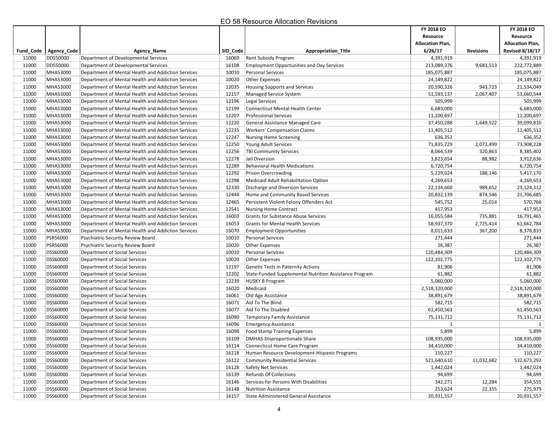|       |                         |                                                    |          |                                                        | FY 2018 EO              |                  | FY 2018 EO              |
|-------|-------------------------|----------------------------------------------------|----------|--------------------------------------------------------|-------------------------|------------------|-------------------------|
|       |                         |                                                    |          |                                                        | Resource                |                  | Resource                |
|       |                         |                                                    |          |                                                        | <b>Allocation Plan,</b> |                  | <b>Allocation Plan,</b> |
|       | Fund Code   Agency Code | <b>Agency_Name</b>                                 | SID_Code | <b>Appropriation_Title</b>                             | 6/26/17                 | <b>Revisions</b> | <b>Revised 8/18/17</b>  |
| 11000 | <b>DDS50000</b>         | Department of Developmental Services               | 16069    | <b>Rent Subsidy Program</b>                            | 4,391,919               |                  | 4,391,919               |
| 11000 | <b>DDS50000</b>         | Department of Developmental Services               | 16108    | <b>Employment Opportunities and Day Services</b>       | 213,089,376             | 9,683,513        | 222,772,889             |
| 11000 | MHA53000                | Department of Mental Health and Addiction Services | 10010    | Personal Services                                      | 185,075,887             |                  | 185,075,887             |
| 11000 | MHA53000                | Department of Mental Health and Addiction Services | 10020    | Other Expenses                                         | 24,149,822              |                  | 24,149,822              |
| 11000 | MHA53000                | Department of Mental Health and Addiction Services | 12035    | <b>Housing Supports and Services</b>                   | 20,590,326              | 943,723          | 21,534,049              |
| 11000 | MHA53000                | Department of Mental Health and Addiction Services | 12157    | <b>Managed Service System</b>                          | 51,593,137              | 2,067,407        | 53,660,544              |
| 11000 | MHA53000                | Department of Mental Health and Addiction Services | 12196    | Legal Services                                         | 505,999                 |                  | 505,999                 |
| 11000 | MHA53000                | Department of Mental Health and Addiction Services | 12199    | <b>Connecticut Mental Health Center</b>                | 6,683,000               |                  | 6,683,000               |
| 11000 | MHA53000                | Department of Mental Health and Addiction Services | 12207    | <b>Professional Services</b>                           | 11,200,697              |                  | 11,200,697              |
| 11000 | MHA53000                | Department of Mental Health and Addiction Services | 12220    | General Assistance Managed Care                        | 37,450,288              | 1,649,522        | 39,099,810              |
| 11000 | MHA53000                | Department of Mental Health and Addiction Services | 12235    | <b>Workers' Compensation Claims</b>                    | 11,405,512              |                  | 11,405,512              |
| 11000 | MHA53000                | Department of Mental Health and Addiction Services | 12247    | <b>Nursing Home Screening</b>                          | 636,352                 |                  | 636,352                 |
| 11000 | MHA53000                | Department of Mental Health and Addiction Services | 12250    | Young Adult Services                                   | 71,835,729              | 2,072,499        | 73,908,228              |
| 11000 | MHA53000                | Department of Mental Health and Addiction Services | 12256    | <b>TBI Community Services</b>                          | 8,064,539               | 320,863          | 8,385,402               |
| 11000 | MHA53000                | Department of Mental Health and Addiction Services | 12278    | Jail Diversion                                         | 3,823,654               | 88,982           | 3,912,636               |
| 11000 | MHA53000                | Department of Mental Health and Addiction Services | 12289    | <b>Behavioral Health Medications</b>                   | 6,720,754               |                  | 6,720,754               |
| 11000 | MHA53000                | Department of Mental Health and Addiction Services | 12292    | Prison Overcrowding                                    | 5,229,024               | 188,146          | 5,417,170               |
| 11000 | MHA53000                | Department of Mental Health and Addiction Services | 12298    | Medicaid Adult Rehabilitation Option                   | 4,269,653               |                  | 4,269,653               |
| 11000 | MHA53000                | Department of Mental Health and Addiction Services | 12330    | Discharge and Diversion Services                       | 22,134,660              | 989,652          | 23,124,312              |
| 11000 | MHA53000                | Department of Mental Health and Addiction Services | 12444    | Home and Community Based Services                      | 20,832,139              | 874,546          | 21,706,685              |
| 11000 | MHA53000                | Department of Mental Health and Addiction Services | 12465    | Persistent Violent Felony Offenders Act                | 545,752                 | 25,014           | 570,766                 |
| 11000 | MHA53000                | Department of Mental Health and Addiction Services | 12541    | <b>Nursing Home Contract</b>                           | 417,953                 |                  | 417,953                 |
| 11000 | MHA53000                | Department of Mental Health and Addiction Services | 16003    | <b>Grants for Substance Abuse Services</b>             | 16,055,584              | 735,881          | 16,791,465              |
| 11000 | MHA53000                | Department of Mental Health and Addiction Services | 16053    | <b>Grants for Mental Health Services</b>               | 58,937,370              | 2,725,414        | 61,662,784              |
| 11000 | MHA53000                | Department of Mental Health and Addiction Services | 16070    | <b>Employment Opportunities</b>                        | 8,011,633               | 367,200          | 8,378,833               |
| 11000 | <b>PSR56000</b>         | Psychiatric Security Review Board                  | 10010    | <b>Personal Services</b>                               | 271,444                 |                  | 271,444                 |
| 11000 | <b>PSR56000</b>         | Psychiatric Security Review Board                  | 10020    | Other Expenses                                         | 26,387                  |                  | 26,387                  |
| 11000 | DSS60000                | Department of Social Services                      | 10010    | Personal Services                                      | 120,484,309             |                  | 120,484,309             |
| 11000 | <b>DSS60000</b>         | Department of Social Services                      | 10020    | Other Expenses                                         | 122,102,775             |                  | 122,102,775             |
| 11000 | DSS60000                | Department of Social Services                      | 12197    | <b>Genetic Tests in Paternity Actions</b>              | 81,906                  |                  | 81,906                  |
| 11000 | DSS60000                | Department of Social Services                      | 12202    | State-Funded Supplemental Nutrition Assistance Program | 61,882                  |                  | 61,882                  |
| 11000 | <b>DSS60000</b>         | Department of Social Services                      | 12239    | <b>HUSKY B Program</b>                                 | 5,060,000               |                  | 5,060,000               |
| 11000 | DSS60000                | Department of Social Services                      | 16020    | Medicaid                                               | 2,518,320,000           |                  | 2,518,320,000           |
| 11000 | <b>DSS60000</b>         | Department of Social Services                      | 16061    | Old Age Assistance                                     | 38,891,679              |                  | 38,891,679              |
| 11000 | DSS60000                | Department of Social Services                      | 16071    | Aid To The Blind                                       | 582,715                 |                  | 582,715                 |
| 11000 | DSS60000                | Department of Social Services                      | 16077    | Aid To The Disabled                                    | 61,450,563              |                  | 61,450,563              |
| 11000 | <b>DSS60000</b>         | Department of Social Services                      | 16090    | <b>Temporary Family Assistance</b>                     | 75,131,712              |                  | 75,131,712              |
| 11000 | <b>DSS60000</b>         | Department of Social Services                      | 16096    | <b>Emergency Assistance</b>                            | 1                       |                  | 1                       |
| 11000 | <b>DSS60000</b>         | Department of Social Services                      | 16098    | <b>Food Stamp Training Expenses</b>                    | 5,899                   |                  | 5,899                   |
| 11000 | <b>DSS60000</b>         | Department of Social Services                      | 16109    | <b>DMHAS-Disproportionate Share</b>                    | 108,935,000             |                  | 108,935,000             |
| 11000 | DSS60000                | Department of Social Services                      | 16114    | Connecticut Home Care Program                          | 34,410,000              |                  | 34,410,000              |
| 11000 | <b>DSS60000</b>         | Department of Social Services                      | 16118    | Human Resource Development-Hispanic Programs           | 110,227                 |                  | 110,227                 |
| 11000 | <b>DSS60000</b>         | Department of Social Services                      | 16122    | <b>Community Residential Services</b>                  | 521,640,610             | 11,032,682       | 532,673,292             |
| 11000 | DSS60000                | Department of Social Services                      | 16128    | Safety Net Services                                    | 1,442,024               |                  | 1,442,024               |
| 11000 | DSS60000                | Department of Social Services                      | 16139    | <b>Refunds Of Collections</b>                          | 94,699                  |                  | 94,699                  |
| 11000 | DSS60000                | Department of Social Services                      | 16146    | Services for Persons With Disabilities                 | 342,271                 | 12,284           | 354,555                 |
| 11000 | DSS60000                | Department of Social Services                      | 16148    | <b>Nutrition Assistance</b>                            | 253,624                 | 22,355           | 275,979                 |
| 11000 | <b>DSS60000</b>         | Department of Social Services                      | 16157    | State Administered General Assistance                  | 20,931,557              |                  | 20,931,557              |
|       |                         |                                                    |          |                                                        |                         |                  |                         |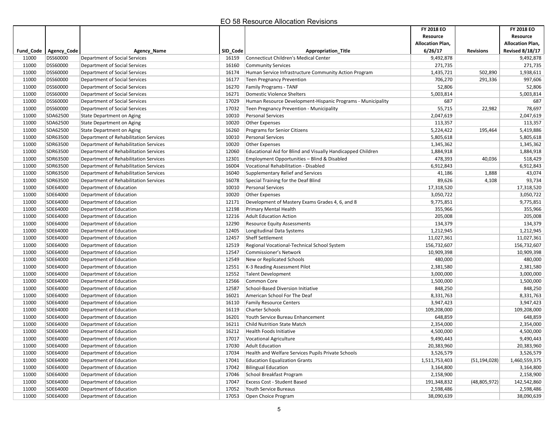|       |                         |                                       |          |                                                             | FY 2018 EO              |                  | FY 2018 EO              |
|-------|-------------------------|---------------------------------------|----------|-------------------------------------------------------------|-------------------------|------------------|-------------------------|
|       |                         |                                       |          |                                                             | Resource                |                  | Resource                |
|       |                         |                                       |          |                                                             | <b>Allocation Plan,</b> |                  | <b>Allocation Plan,</b> |
|       | Fund_Code   Agency_Code | Agency_Name                           | SID_Code | <b>Appropriation Title</b>                                  | 6/26/17                 | <b>Revisions</b> | <b>Revised 8/18/17</b>  |
| 11000 | DSS60000                | Department of Social Services         | 16159    | Connecticut Children's Medical Center                       | 9,492,878               |                  | 9,492,878               |
| 11000 | DSS60000                | <b>Department of Social Services</b>  | 16160    | <b>Community Services</b>                                   | 271,735                 |                  | 271,735                 |
| 11000 | DSS60000                | <b>Department of Social Services</b>  | 16174    | Human Service Infrastructure Community Action Program       | 1,435,721               | 502,890          | 1,938,611               |
| 11000 | DSS60000                | Department of Social Services         | 16177    | Teen Pregnancy Prevention                                   | 706,270                 | 291,336          | 997,606                 |
| 11000 | <b>DSS60000</b>         | Department of Social Services         | 16270    | <b>Family Programs - TANF</b>                               | 52,806                  |                  | 52,806                  |
| 11000 | <b>DSS60000</b>         | Department of Social Services         | 16271    | Domestic Violence Shelters                                  | 5,003,814               |                  | 5,003,814               |
| 11000 | <b>DSS60000</b>         | Department of Social Services         | 17029    | Human Resource Development-Hispanic Programs - Municipality | 687                     |                  | 687                     |
| 11000 | <b>DSS60000</b>         | <b>Department of Social Services</b>  | 17032    | Teen Pregnancy Prevention - Municipality                    | 55,715                  | 22,982           | 78,697                  |
| 11000 | SDA62500                | <b>State Department on Aging</b>      | 10010    | <b>Personal Services</b>                                    | 2,047,619               |                  | 2,047,619               |
| 11000 | SDA62500                | <b>State Department on Aging</b>      | 10020    | Other Expenses                                              | 113,357                 |                  | 113,357                 |
| 11000 | SDA62500                | <b>State Department on Aging</b>      | 16260    | Programs for Senior Citizens                                | 5,224,422               | 195,464          | 5,419,886               |
| 11000 | SDR63500                | Department of Rehabilitation Services | 10010    | <b>Personal Services</b>                                    | 5,805,618               |                  | 5,805,618               |
| 11000 | SDR63500                | Department of Rehabilitation Services | 10020    | <b>Other Expenses</b>                                       | 1,345,362               |                  | 1,345,362               |
| 11000 | SDR63500                | Department of Rehabilitation Services | 12060    | Educational Aid for Blind and Visually Handicapped Children | 1,884,918               |                  | 1,884,918               |
| 11000 | SDR63500                | Department of Rehabilitation Services | 12301    | Employment Opportunities - Blind & Disabled                 | 478,393                 | 40,036           | 518,429                 |
| 11000 | SDR63500                | Department of Rehabilitation Services | 16004    | Vocational Rehabilitation - Disabled                        | 6,912,843               |                  | 6,912,843               |
| 11000 | SDR63500                | Department of Rehabilitation Services | 16040    | Supplementary Relief and Services                           | 41,186                  | 1,888            | 43,074                  |
| 11000 | SDR63500                | Department of Rehabilitation Services | 16078    | Special Training for the Deaf Blind                         | 89,626                  | 4,108            | 93,734                  |
| 11000 | SDE64000                | Department of Education               | 10010    | <b>Personal Services</b>                                    | 17,318,520              |                  | 17,318,520              |
| 11000 | SDE64000                | Department of Education               | 10020    | <b>Other Expenses</b>                                       | 3,050,722               |                  | 3,050,722               |
| 11000 | SDE64000                | Department of Education               | 12171    | Development of Mastery Exams Grades 4, 6, and 8             | 9,775,851               |                  | 9,775,851               |
| 11000 | SDE64000                | Department of Education               | 12198    | <b>Primary Mental Health</b>                                | 355,966                 |                  | 355,966                 |
| 11000 | SDE64000                | Department of Education               | 12216    | <b>Adult Education Action</b>                               | 205,008                 |                  | 205,008                 |
| 11000 | SDE64000                | Department of Education               | 12290    | <b>Resource Equity Assessments</b>                          | 134,379                 |                  | 134,379                 |
| 11000 | SDE64000                | Department of Education               | 12405    | Longitudinal Data Systems                                   | 1,212,945               |                  | 1,212,945               |
| 11000 | SDE64000                | Department of Education               | 12457    | Sheff Settlement                                            | 11,027,361              |                  | 11,027,361              |
| 11000 | SDE64000                | Department of Education               | 12519    | Regional Vocational-Technical School System                 | 156,732,607             |                  | 156,732,607             |
| 11000 | SDE64000                | Department of Education               | 12547    | Commissioner's Network                                      | 10,909,398              |                  | 10,909,398              |
| 11000 | SDE64000                | Department of Education               | 12549    | New or Replicated Schools                                   | 480,000                 |                  | 480,000                 |
| 11000 | SDE64000                | Department of Education               | 12551    | K-3 Reading Assessment Pilot                                | 2,381,580               |                  | 2,381,580               |
| 11000 | SDE64000                | Department of Education               | 12552    | <b>Talent Development</b>                                   | 3,000,000               |                  | 3,000,000               |
| 11000 | SDE64000                | Department of Education               | 12566    | Common Core                                                 | 1,500,000               |                  | 1,500,000               |
| 11000 | SDE64000                | Department of Education               | 12587    | School-Based Diversion Initiative                           | 848,250                 |                  | 848,250                 |
| 11000 | SDE64000                | Department of Education               | 16021    | American School For The Deaf                                | 8,331,763               |                  | 8,331,763               |
| 11000 | SDE64000                | Department of Education               | 16110    | <b>Family Resource Centers</b>                              | 3,947,423               |                  | 3,947,423               |
| 11000 | SDE64000                | Department of Education               | 16119    | Charter Schools                                             | 109,208,000             |                  | 109,208,000             |
| 11000 | SDE64000                | Department of Education               | 16201    | Youth Service Bureau Enhancement                            | 648,859                 |                  | 648,859                 |
| 11000 | SDE64000                | Department of Education               | 16211    | <b>Child Nutrition State Match</b>                          | 2,354,000               |                  | 2,354,000               |
| 11000 | SDE64000                | Department of Education               | 16212    | Health Foods Initiative                                     | 4,500,000               |                  | 4,500,000               |
| 11000 | SDE64000                | Department of Education               | 17017    | <b>Vocational Agriculture</b>                               | 9,490,443               |                  | 9,490,443               |
| 11000 | SDE64000                | Department of Education               | 17030    | Adult Education                                             | 20,383,960              |                  | 20,383,960              |
| 11000 | SDE64000                | Department of Education               | 17034    | Health and Welfare Services Pupils Private Schools          | 3,526,579               |                  | 3,526,579               |
| 11000 | SDE64000                | Department of Education               | 17041    | <b>Education Equalization Grants</b>                        | 1,511,753,403           | (51, 194, 028)   | 1,460,559,375           |
| 11000 | SDE64000                | Department of Education               | 17042    | <b>Bilingual Education</b>                                  | 3,164,800               |                  | 3,164,800               |
| 11000 | SDE64000                | Department of Education               | 17046    | School Breakfast Program                                    | 2,158,900               |                  | 2,158,900               |
| 11000 | SDE64000                | Department of Education               | 17047    | Excess Cost - Student Based                                 | 191,348,832             | (48,805,972)     | 142,542,860             |
| 11000 | SDE64000                | Department of Education               | 17052    | Youth Service Bureaus                                       | 2,598,486               |                  | 2,598,486               |
| 11000 | SDE64000                | Department of Education               | 17053    | Open Choice Program                                         | 38,090,639              |                  | 38,090,639              |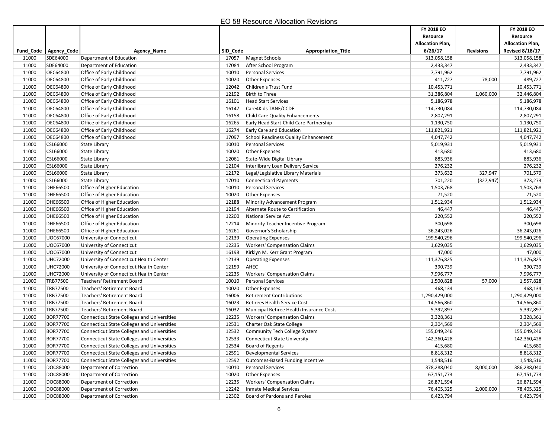|       |                         |                                                    |          |                                                                  | FY 2018 EO<br>Resource  |                  | FY 2018 EO<br>Resource  |
|-------|-------------------------|----------------------------------------------------|----------|------------------------------------------------------------------|-------------------------|------------------|-------------------------|
|       |                         |                                                    |          |                                                                  | <b>Allocation Plan,</b> |                  | <b>Allocation Plan,</b> |
|       | Fund_Code   Agency_Code | Agency Name                                        | SID_Code | <b>Appropriation Title</b>                                       | 6/26/17                 | <b>Revisions</b> | <b>Revised 8/18/17</b>  |
| 11000 | SDE64000                | Department of Education                            | 17057    | Magnet Schools                                                   | 313,058,158             |                  | 313,058,158             |
| 11000 | SDE64000                | Department of Education                            | 17084    | After School Program                                             | 2,433,347               |                  | 2,433,347               |
| 11000 | OEC64800                | Office of Early Childhood                          | 10010    | <b>Personal Services</b>                                         | 7,791,962               |                  | 7,791,962               |
| 11000 | OEC64800                | Office of Early Childhood                          | 10020    | <b>Other Expenses</b>                                            | 411,727                 | 78,000           | 489,727                 |
| 11000 | OEC64800                | Office of Early Childhood                          | 12042    | Children's Trust Fund                                            | 10,453,771              |                  | 10,453,771              |
| 11000 | OEC64800                | Office of Early Childhood                          | 12192    | Birth to Three                                                   | 31,386,804              | 1,060,000        | 32,446,804              |
| 11000 | OEC64800                | Office of Early Childhood                          | 16101    | <b>Head Start Services</b>                                       | 5,186,978               |                  | 5,186,978               |
| 11000 | OEC64800                | Office of Early Childhood                          | 16147    | Care4Kids TANF/CCDF                                              | 114,730,084             |                  | 114,730,084             |
| 11000 | OEC64800                | Office of Early Childhood                          | 16158    | Child Care Quality Enhancements                                  | 2,807,291               |                  | 2,807,291               |
| 11000 | OEC64800                | Office of Early Childhood                          | 16265    | Early Head Start-Child Care Partnership                          | 1,130,750               |                  | 1,130,750               |
| 11000 | OEC64800                | Office of Early Childhood                          | 16274    | <b>Early Care and Education</b>                                  | 111,821,921             |                  | 111,821,921             |
| 11000 | OEC64800                | Office of Early Childhood                          | 17097    |                                                                  | 4,047,742               |                  |                         |
| 11000 | CSL66000                |                                                    | 10010    | School Readiness Quality Enhancement<br><b>Personal Services</b> | 5,019,931               |                  | 4,047,742<br>5,019,931  |
| 11000 | CSL66000                | <b>State Library</b>                               | 10020    |                                                                  | 413,680                 |                  | 413,680                 |
| 11000 | CSL66000                | State Library                                      |          | <b>Other Expenses</b>                                            |                         |                  | 883,936                 |
|       |                         | <b>State Library</b>                               | 12061    | State-Wide Digital Library                                       | 883,936                 |                  |                         |
| 11000 | CSL66000                | State Library                                      | 12104    | Interlibrary Loan Delivery Service                               | 276,232                 |                  | 276,232                 |
| 11000 | CSL66000                | State Library                                      | 12172    | Legal/Legislative Library Materials                              | 373,632                 | 327,947          | 701,579                 |
| 11000 | CSL66000                | <b>State Library</b>                               | 17010    | <b>Connecticard Payments</b>                                     | 701,220                 | (327, 947)       | 373,273                 |
| 11000 | DHE66500                | Office of Higher Education                         | 10010    | <b>Personal Services</b>                                         | 1,503,768               |                  | 1,503,768               |
| 11000 | DHE66500                | Office of Higher Education                         | 10020    | <b>Other Expenses</b>                                            | 71,520                  |                  | 71,520                  |
| 11000 | DHE66500                | Office of Higher Education                         | 12188    | Minority Advancement Program                                     | 1,512,934               |                  | 1,512,934               |
| 11000 | DHE66500                | Office of Higher Education                         | 12194    | Alternate Route to Certification                                 | 46,447                  |                  | 46,447                  |
| 11000 | DHE66500                | Office of Higher Education                         | 12200    | National Service Act                                             | 220,552                 |                  | 220,552                 |
| 11000 | DHE66500                | Office of Higher Education                         | 12214    | Minority Teacher Incentive Program                               | 300,698                 |                  | 300,698                 |
| 11000 | DHE66500                | Office of Higher Education                         | 16261    | Governor's Scholarship                                           | 36,243,026              |                  | 36,243,026              |
| 11000 | UOC67000                | University of Connecticut                          | 12139    | <b>Operating Expenses</b>                                        | 199,540,296             |                  | 199,540,296             |
| 11000 | UOC67000                | University of Connecticut                          | 12235    | <b>Workers' Compensation Claims</b>                              | 1,629,035               |                  | 1,629,035               |
| 11000 | UOC67000                | University of Connecticut                          | 16198    | Kirklyn M. Kerr Grant Program                                    | 47,000                  |                  | 47,000                  |
| 11000 | <b>UHC72000</b>         | University of Connecticut Health Center            | 12139    | <b>Operating Expenses</b>                                        | 111,376,825             |                  | 111,376,825             |
| 11000 | <b>UHC72000</b>         | University of Connecticut Health Center            | 12159    | AHEC                                                             | 390,739                 |                  | 390,739                 |
| 11000 | <b>UHC72000</b>         | University of Connecticut Health Center            | 12235    | <b>Workers' Compensation Claims</b>                              | 7,996,777               |                  | 7,996,777               |
| 11000 | TRB77500                | Teachers' Retirement Board                         | 10010    | <b>Personal Services</b>                                         | 1,500,828               | 57,000           | 1,557,828               |
| 11000 | TRB77500                | Teachers' Retirement Board                         | 10020    | <b>Other Expenses</b>                                            | 468,134                 |                  | 468,134                 |
| 11000 | TRB77500                | Teachers' Retirement Board                         | 16006    | <b>Retirement Contributions</b>                                  | 1,290,429,000           |                  | 1,290,429,000           |
| 11000 | TRB77500                | <b>Teachers' Retirement Board</b>                  | 16023    | <b>Retirees Health Service Cost</b>                              | 14,566,860              |                  | 14,566,860              |
| 11000 | TRB77500                | Teachers' Retirement Board                         | 16032    | Municipal Retiree Health Insurance Costs                         | 5,392,897               |                  | 5,392,897               |
| 11000 | <b>BOR77700</b>         | <b>Connecticut State Colleges and Universities</b> | 12235    | <b>Workers' Compensation Claims</b>                              | 3,328,361               |                  | 3,328,361               |
| 11000 | <b>BOR77700</b>         | <b>Connecticut State Colleges and Universities</b> | 12531    | Charter Oak State College                                        | 2,304,569               |                  | 2,304,569               |
| 11000 | <b>BOR77700</b>         | <b>Connecticut State Colleges and Universities</b> | 12532    | <b>Community Tech College System</b>                             | 155,049,246             |                  | 155,049,246             |
| 11000 | <b>BOR77700</b>         | <b>Connecticut State Colleges and Universities</b> | 12533    | <b>Connecticut State University</b>                              | 142,360,428             |                  | 142,360,428             |
| 11000 | <b>BOR77700</b>         | <b>Connecticut State Colleges and Universities</b> | 12534    | Board of Regents                                                 | 415,680                 |                  | 415,680                 |
| 11000 | <b>BOR77700</b>         | <b>Connecticut State Colleges and Universities</b> | 12591    | Developmental Services                                           | 8,818,312               |                  | 8,818,312               |
| 11000 | <b>BOR77700</b>         | <b>Connecticut State Colleges and Universities</b> | 12592    | Outcomes-Based Funding Incentive                                 | 1,548,516               |                  | 1,548,516               |
| 11000 | DOC88000                | Department of Correction                           | 10010    | Personal Services                                                | 378,288,040             | 8,000,000        | 386,288,040             |
| 11000 | DOC88000                | Department of Correction                           | 10020    | Other Expenses                                                   | 67,151,773              |                  | 67,151,773              |
| 11000 | DOC88000                | Department of Correction                           | 12235    | <b>Workers' Compensation Claims</b>                              | 26,871,594              |                  | 26,871,594              |
| 11000 | DOC88000                | Department of Correction                           | 12242    | <b>Inmate Medical Services</b>                                   | 76,405,325              | 2,000,000        | 78,405,325              |
| 11000 | DOC88000                | Department of Correction                           | 12302    | Board of Pardons and Paroles                                     | 6,423,794               |                  | 6,423,794               |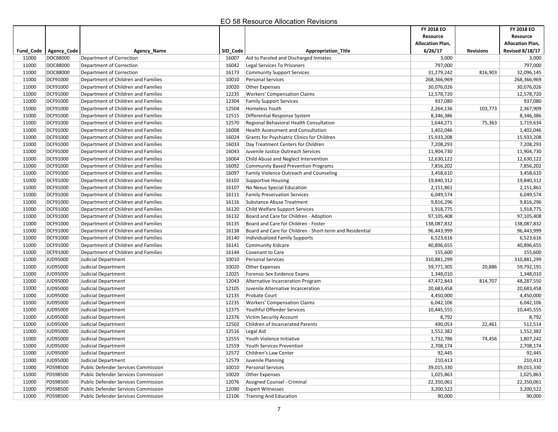|                |                         |                                                                            |                |                                                                                    | FY 2018 EO                |                  | FY 2018 EO                |
|----------------|-------------------------|----------------------------------------------------------------------------|----------------|------------------------------------------------------------------------------------|---------------------------|------------------|---------------------------|
|                |                         |                                                                            |                |                                                                                    | Resource                  |                  | Resource                  |
|                |                         |                                                                            |                |                                                                                    | <b>Allocation Plan,</b>   |                  | <b>Allocation Plan,</b>   |
|                | Fund_Code   Agency_Code | <b>Agency Name</b>                                                         | SID_Code       | <b>Appropriation Title</b>                                                         | 6/26/17                   | <b>Revisions</b> | <b>Revised 8/18/17</b>    |
| 11000          | DOC88000                | Department of Correction                                                   | 16007          | Aid to Paroled and Discharged Inmates                                              | 3,000                     |                  | 3,000                     |
| 11000          | DOC88000                | Department of Correction                                                   | 16042          | Legal Services To Prisoners                                                        | 797,000                   |                  | 797,000                   |
| 11000          | DOC88000<br>DCF91000    | Department of Correction                                                   | 16173          | <b>Community Support Services</b>                                                  | 31,279,242                | 816,903          | 32,096,145                |
| 11000<br>11000 | DCF91000                | Department of Children and Families<br>Department of Children and Families | 10010          | <b>Personal Services</b>                                                           | 268,366,969<br>30,076,026 |                  | 268,366,969<br>30,076,026 |
| 11000          | DCF91000                | Department of Children and Families                                        | 10020<br>12235 | <b>Other Expenses</b><br><b>Workers' Compensation Claims</b>                       | 12,578,720                |                  | 12,578,720                |
|                |                         |                                                                            |                |                                                                                    | 937,080                   |                  |                           |
| 11000<br>11000 | DCF91000<br>DCF91000    | Department of Children and Families                                        | 12304          | <b>Family Support Services</b>                                                     |                           |                  | 937,080<br>2,367,909      |
| 11000          | DCF91000                | Department of Children and Families                                        | 12504<br>12515 | Homeless Youth<br>Differential Response System                                     | 2,264,136<br>8,346,386    | 103,773          |                           |
| 11000          | DCF91000                | Department of Children and Families<br>Department of Children and Families | 12570          | Regional Behavioral Health Consultation                                            | 1,644,271                 | 75,363           | 8,346,386                 |
| 11000          | DCF91000                | Department of Children and Families                                        | 16008          |                                                                                    | 1,402,046                 |                  | 1,719,634<br>1,402,046    |
|                |                         |                                                                            |                | <b>Health Assessment and Consultation</b>                                          |                           |                  |                           |
| 11000          | DCF91000                | Department of Children and Families                                        | 16024          | Grants for Psychiatric Clinics for Children                                        | 15,933,208                |                  | 15,933,208                |
| 11000          | DCF91000                | Department of Children and Families                                        | 16033<br>16043 | Day Treatment Centers for Children                                                 | 7,208,293                 |                  | 7,208,293                 |
| 11000          | DCF91000                | Department of Children and Families                                        |                | Juvenile Justice Outreach Services                                                 | 11,904,730                |                  | 11,904,730                |
| 11000<br>11000 | DCF91000<br>DCF91000    | Department of Children and Families<br>Department of Children and Families | 16064          | Child Abuse and Neglect Intervention<br><b>Community Based Prevention Programs</b> | 12,630,122<br>7,856,202   |                  | 12,630,122<br>7,856,202   |
|                |                         | Department of Children and Families                                        | 16092          |                                                                                    |                           |                  |                           |
| 11000          | DCF91000                |                                                                            | 16097          | Family Violence Outreach and Counseling                                            | 3,458,610                 |                  | 3,458,610                 |
| 11000          | DCF91000                | Department of Children and Families<br>Department of Children and Families | 16102          | <b>Supportive Housing</b>                                                          | 19,840,312                |                  | 19,840,312                |
| 11000          | DCF91000<br>DCF91000    |                                                                            | 16107          | No Nexus Special Education<br><b>Family Preservation Services</b>                  | 2,151,861<br>6,049,574    |                  | 2,151,861<br>6,049,574    |
| 11000<br>11000 | DCF91000                | Department of Children and Families<br>Department of Children and Families | 16111<br>16116 |                                                                                    |                           |                  | 9,816,296                 |
|                |                         | Department of Children and Families                                        |                | Substance Abuse Treatment<br>Child Welfare Support Services                        | 9,816,296                 |                  |                           |
| 11000          | DCF91000                |                                                                            | 16120          |                                                                                    | 1,918,775                 |                  | 1,918,775                 |
| 11000          | DCF91000                | Department of Children and Families                                        | 16132          | Board and Care for Children - Adoption<br>Board and Care for Children - Foster     | 97,105,408                |                  | 97,105,408                |
| 11000<br>11000 | DCF91000<br>DCF91000    | Department of Children and Families<br>Department of Children and Families | 16135          | Board and Care for Children - Short-term and Residential                           | 138,087,832<br>96,443,999 |                  | 138,087,832<br>96,443,999 |
| 11000          | DCF91000                | Department of Children and Families                                        | 16138<br>16140 |                                                                                    | 6,523,616                 |                  | 6,523,616                 |
| 11000          | DCF91000                |                                                                            |                | Individualized Family Supports                                                     | 40,896,655                |                  | 40,896,655                |
| 11000          | DCF91000                | Department of Children and Families<br>Department of Children and Families | 16141<br>16144 | Community Kidcare<br>Covenant to Care                                              | 155,600                   |                  | 155,600                   |
| 11000          | JUD95000                | Judicial Department                                                        | 10010          | <b>Personal Services</b>                                                           | 310,881,299               |                  | 310,881,299               |
| 11000          | JUD95000                | Judicial Department                                                        | 10020          | <b>Other Expenses</b>                                                              | 59,771,305                | 20,886           | 59,792,191                |
| 11000          | JUD95000                | Judicial Department                                                        | 12025          | Forensic Sex Evidence Exams                                                        | 1,348,010                 |                  | 1,348,010                 |
| 11000          | JUD95000                | Judicial Department                                                        | 12043          | Alternative Incarceration Program                                                  | 47,472,843                | 814,707          | 48,287,550                |
| 11000          | JUD95000                | Judicial Department                                                        | 12105          | Juvenile Alternative Incarceration                                                 | 20,683,458                |                  | 20,683,458                |
| 11000          | JUD95000                | Judicial Department                                                        | 12135          | <b>Probate Court</b>                                                               | 4,450,000                 |                  | 4,450,000                 |
| 11000          | JUD95000                | Judicial Department                                                        | 12235          | <b>Workers' Compensation Claims</b>                                                | 6,042,106                 |                  | 6,042,106                 |
| 11000          | JUD95000                | Judicial Department                                                        | 12375          | Youthful Offender Services                                                         | 10,445,555                |                  | 10,445,555                |
| 11000          | JUD95000                | Judicial Department                                                        | 12376          | <b>Victim Security Account</b>                                                     | 8,792                     |                  | 8,792                     |
| 11000          | JUD95000                | Judicial Department                                                        | 12502          | Children of Incarcerated Parents                                                   | 490,053                   | 22,461           | 512,514                   |
| 11000          | JUD95000                | Judicial Department                                                        | 12516          | Legal Aid                                                                          | 1,552,382                 |                  | 1,552,382                 |
| 11000          | JUD95000                | Judicial Department                                                        | 12555          | Youth Violence Initiative                                                          | 1,732,786                 | 74,456           | 1,807,242                 |
| 11000          | JUD95000                | Judicial Department                                                        | 12559          | Youth Services Prevention                                                          | 2,708,174                 |                  | 2,708,174                 |
| 11000          | JUD95000                | Judicial Department                                                        | 12572          | Children's Law Center                                                              | 92,445                    |                  | 92,445                    |
| 11000          | JUD95000                | Judicial Department                                                        | 12579          | Juvenile Planning                                                                  | 210,413                   |                  | 210,413                   |
| 11000          | PDS98500                | <b>Public Defender Services Commission</b>                                 | 10010          | <b>Personal Services</b>                                                           | 39,015,330                |                  | 39,015,330                |
| 11000          | PDS98500                | <b>Public Defender Services Commission</b>                                 | 10020          | Other Expenses                                                                     | 1,025,863                 |                  | 1,025,863                 |
| 11000          | PDS98500                | Public Defender Services Commission                                        | 12076          | Assigned Counsel - Criminal                                                        | 22,350,061                |                  | 22,350,061                |
| 11000          | PDS98500                | <b>Public Defender Services Commission</b>                                 | 12090          | <b>Expert Witnesses</b>                                                            | 3,200,522                 |                  | 3,200,522                 |
| 11000          | PDS98500                | <b>Public Defender Services Commission</b>                                 | 12106          | Training And Education                                                             | 90,000                    |                  | 90,000                    |
|                |                         |                                                                            |                |                                                                                    |                           |                  |                           |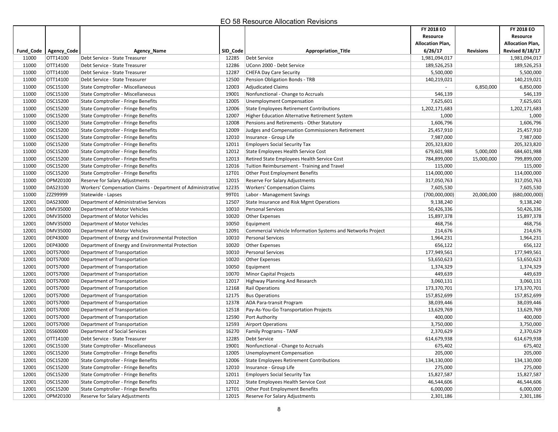| <b>Allocation Plan,</b><br>Fund Code   Agency_Code<br>SID_Code<br><b>Appropriation Title</b><br>6/26/17<br><b>Revisions</b><br>Agency_Name<br>OTT14100<br>Debt Service<br>11000<br>Debt Service - State Treasurer<br>12285<br>1,981,094,017<br>11000<br>OTT14100<br>Debt Service - State Treasurer<br>12286<br>UConn 2000 - Debt Service<br>189,526,253<br>11000<br>OTT14100<br>12287<br>5,500,000<br>Debt Service - State Treasurer<br><b>CHEFA Day Care Security</b><br>11000<br>OTT14100<br>12500<br>Debt Service - State Treasurer<br>Pension Obligation Bonds - TRB<br>140,219,021 | <b>Allocation Plan,</b><br><b>Revised 8/18/17</b><br>1,981,094,017<br>189,526,253<br>5,500,000<br>140,219,021<br>6,850,000<br>546,139<br>7,625,601 |
|-----------------------------------------------------------------------------------------------------------------------------------------------------------------------------------------------------------------------------------------------------------------------------------------------------------------------------------------------------------------------------------------------------------------------------------------------------------------------------------------------------------------------------------------------------------------------------------------|----------------------------------------------------------------------------------------------------------------------------------------------------|
|                                                                                                                                                                                                                                                                                                                                                                                                                                                                                                                                                                                         |                                                                                                                                                    |
|                                                                                                                                                                                                                                                                                                                                                                                                                                                                                                                                                                                         |                                                                                                                                                    |
|                                                                                                                                                                                                                                                                                                                                                                                                                                                                                                                                                                                         |                                                                                                                                                    |
|                                                                                                                                                                                                                                                                                                                                                                                                                                                                                                                                                                                         |                                                                                                                                                    |
|                                                                                                                                                                                                                                                                                                                                                                                                                                                                                                                                                                                         |                                                                                                                                                    |
|                                                                                                                                                                                                                                                                                                                                                                                                                                                                                                                                                                                         |                                                                                                                                                    |
| OSC15100<br>11000<br>State Comptroller - Miscellaneous<br>12003<br>Adjudicated Claims<br>6,850,000                                                                                                                                                                                                                                                                                                                                                                                                                                                                                      |                                                                                                                                                    |
| OSC15100<br>546,139<br>11000<br>State Comptroller - Miscellaneous<br>19001<br>Nonfunctional - Change to Accruals                                                                                                                                                                                                                                                                                                                                                                                                                                                                        |                                                                                                                                                    |
| OSC15200<br>12005<br>7,625,601<br>11000<br>State Comptroller - Fringe Benefits<br><b>Unemployment Compensation</b>                                                                                                                                                                                                                                                                                                                                                                                                                                                                      |                                                                                                                                                    |
| 11000<br>OSC15200<br>12006<br><b>State Comptroller - Fringe Benefits</b><br><b>State Employees Retirement Contributions</b><br>1,202,171,683                                                                                                                                                                                                                                                                                                                                                                                                                                            | 1,202,171,683                                                                                                                                      |
| 11000<br>OSC15200<br>State Comptroller - Fringe Benefits<br>12007<br>1,000<br><b>Higher Education Alternative Retirement System</b>                                                                                                                                                                                                                                                                                                                                                                                                                                                     | 1,000                                                                                                                                              |
| OSC15200<br>1,606,796<br>11000<br>State Comptroller - Fringe Benefits<br>12008<br>Pensions and Retirements - Other Statutory                                                                                                                                                                                                                                                                                                                                                                                                                                                            | 1,606,796                                                                                                                                          |
| 11000<br>OSC15200<br>25,457,910<br>State Comptroller - Fringe Benefits<br>12009<br>Judges and Compensation Commissioners Retirement                                                                                                                                                                                                                                                                                                                                                                                                                                                     | 25,457,910                                                                                                                                         |
| OSC15200<br>7,987,000<br>11000<br>State Comptroller - Fringe Benefits<br>12010<br>Insurance - Group Life                                                                                                                                                                                                                                                                                                                                                                                                                                                                                | 7,987,000                                                                                                                                          |
| OSC15200<br>11000<br>12011<br>205,323,820<br>State Comptroller - Fringe Benefits<br><b>Employers Social Security Tax</b>                                                                                                                                                                                                                                                                                                                                                                                                                                                                | 205,323,820                                                                                                                                        |
| 11000<br>OSC15200<br>State Comptroller - Fringe Benefits<br>12012<br>679,601,988<br>5,000,000<br>State Employees Health Service Cost                                                                                                                                                                                                                                                                                                                                                                                                                                                    | 684,601,988                                                                                                                                        |
| 11000<br>OSC15200<br><b>State Comptroller - Fringe Benefits</b><br>12013<br>Retired State Employees Health Service Cost<br>784,899,000<br>15,000,000                                                                                                                                                                                                                                                                                                                                                                                                                                    | 799,899,000                                                                                                                                        |
| OSC15200<br>115,000<br>11000<br>State Comptroller - Fringe Benefits<br>12016<br>Tuition Reimbursement - Training and Travel                                                                                                                                                                                                                                                                                                                                                                                                                                                             | 115,000                                                                                                                                            |
| 11000<br>OSC15200<br>12T01<br>114,000,000<br>State Comptroller - Fringe Benefits<br><b>Other Post Employment Benefits</b>                                                                                                                                                                                                                                                                                                                                                                                                                                                               | 114,000,000                                                                                                                                        |
| 11000<br>OPM20100<br>12015<br>317,050,763<br>Reserve for Salary Adjustments<br>Reserve For Salary Adjustments                                                                                                                                                                                                                                                                                                                                                                                                                                                                           | 317,050,763                                                                                                                                        |
| DAS23100<br>12235<br>11000<br>Workers' Compensation Claims - Department of Administrative<br><b>Workers' Compensation Claims</b><br>7,605,530                                                                                                                                                                                                                                                                                                                                                                                                                                           | 7,605,530                                                                                                                                          |
| ZZZ99999<br>99T01<br>(700,000,000)<br>11000<br>Statewide - Lapses<br>Labor - Management Savings<br>20,000,000                                                                                                                                                                                                                                                                                                                                                                                                                                                                           | (680,000,000)                                                                                                                                      |
| 12001<br>DAS23000<br>12507<br>Department of Administrative Services<br>State Insurance and Risk Mgmt Operations<br>9,138,240                                                                                                                                                                                                                                                                                                                                                                                                                                                            | 9,138,240                                                                                                                                          |
| <b>DMV35000</b><br>12001<br>Department of Motor Vehicles<br>10010<br><b>Personal Services</b><br>50,426,336                                                                                                                                                                                                                                                                                                                                                                                                                                                                             | 50,426,336                                                                                                                                         |
| <b>DMV35000</b><br>12001<br>Department of Motor Vehicles<br>10020<br>15,897,378<br>Other Expenses                                                                                                                                                                                                                                                                                                                                                                                                                                                                                       | 15,897,378                                                                                                                                         |
| 12001<br>DMV35000<br>10050<br>468,756<br>Department of Motor Vehicles<br>Equipment                                                                                                                                                                                                                                                                                                                                                                                                                                                                                                      | 468,756                                                                                                                                            |
| 12001<br>DMV35000<br>214,676<br>Department of Motor Vehicles<br>12091<br>Commercial Vehicle Information Systems and Networks Project                                                                                                                                                                                                                                                                                                                                                                                                                                                    | 214,676                                                                                                                                            |
| <b>DEP43000</b><br>12001<br>Department of Energy and Environmental Protection<br>10010<br><b>Personal Services</b><br>1,964,231                                                                                                                                                                                                                                                                                                                                                                                                                                                         | 1,964,231                                                                                                                                          |
| <b>DEP43000</b><br>656,122<br>12001<br>Department of Energy and Environmental Protection<br>10020<br><b>Other Expenses</b>                                                                                                                                                                                                                                                                                                                                                                                                                                                              | 656,122                                                                                                                                            |
| 12001<br>DOT57000<br>177,949,561<br>Department of Transportation<br>10010<br><b>Personal Services</b>                                                                                                                                                                                                                                                                                                                                                                                                                                                                                   | 177,949,561                                                                                                                                        |
| 12001<br>DOT57000<br>10020<br>53,650,623<br>Department of Transportation<br><b>Other Expenses</b>                                                                                                                                                                                                                                                                                                                                                                                                                                                                                       | 53,650,623                                                                                                                                         |
| DOT57000<br>10050<br>1,374,329<br>12001<br>Department of Transportation<br>Equipment                                                                                                                                                                                                                                                                                                                                                                                                                                                                                                    | 1,374,329                                                                                                                                          |
| 12001<br>DOT57000<br>449,639<br>Department of Transportation<br>10070<br>Minor Capital Projects                                                                                                                                                                                                                                                                                                                                                                                                                                                                                         | 449,639                                                                                                                                            |
| DOT57000<br>12001<br>Department of Transportation<br>12017<br>Highway Planning And Research<br>3,060,131                                                                                                                                                                                                                                                                                                                                                                                                                                                                                | 3,060,131                                                                                                                                          |
| <b>DOT57000</b><br>12001<br>12168<br>173,370,701<br>Department of Transportation<br><b>Rail Operations</b>                                                                                                                                                                                                                                                                                                                                                                                                                                                                              | 173,370,701                                                                                                                                        |
| 12001<br>DOT57000<br>12175<br>157,852,699<br>Department of Transportation<br><b>Bus Operations</b>                                                                                                                                                                                                                                                                                                                                                                                                                                                                                      | 157,852,699                                                                                                                                        |
| 12001<br>DOT57000<br>38,039,446<br>Department of Transportation<br>12378<br>ADA Para-transit Program                                                                                                                                                                                                                                                                                                                                                                                                                                                                                    | 38,039,446                                                                                                                                         |
| 12001<br>DOT57000<br>Department of Transportation<br>12518<br>Pay-As-You-Go Transportation Projects<br>13,629,769                                                                                                                                                                                                                                                                                                                                                                                                                                                                       | 13,629,769                                                                                                                                         |
| DOT57000<br>12001<br>Department of Transportation<br>12590<br>Port Authority<br>400,000                                                                                                                                                                                                                                                                                                                                                                                                                                                                                                 | 400,000                                                                                                                                            |
| 12001<br>DOT57000<br>3,750,000<br>Department of Transportation<br>12593<br><b>Airport Operations</b>                                                                                                                                                                                                                                                                                                                                                                                                                                                                                    | 3,750,000                                                                                                                                          |
| 12001<br>16270<br>2,370,629<br>DSS60000<br>Department of Social Services<br>Family Programs - TANF                                                                                                                                                                                                                                                                                                                                                                                                                                                                                      | 2,370,629                                                                                                                                          |
| 12001<br>OTT14100<br>12285<br>Debt Service - State Treasurer<br><b>Debt Service</b><br>614,679,938                                                                                                                                                                                                                                                                                                                                                                                                                                                                                      | 614,679,938                                                                                                                                        |
| 675,402<br>12001<br>Nonfunctional - Change to Accruals<br>OSC15100<br>State Comptroller - Miscellaneous<br>19001                                                                                                                                                                                                                                                                                                                                                                                                                                                                        | 675,402                                                                                                                                            |
| OSC15200<br>205,000<br>12001<br><b>State Comptroller - Fringe Benefits</b><br>12005<br>Unemployment Compensation                                                                                                                                                                                                                                                                                                                                                                                                                                                                        | 205,000                                                                                                                                            |
| 12001<br>OSC15200<br>12006<br>134,130,000<br><b>State Comptroller - Fringe Benefits</b><br>State Employees Retirement Contributions                                                                                                                                                                                                                                                                                                                                                                                                                                                     | 134,130,000                                                                                                                                        |
| OSC15200<br>State Comptroller - Fringe Benefits<br>12010<br>275,000<br>12001<br>Insurance - Group Life                                                                                                                                                                                                                                                                                                                                                                                                                                                                                  | 275,000                                                                                                                                            |
| OSC15200<br>15,827,587<br>12001<br>State Comptroller - Fringe Benefits<br>12011<br><b>Employers Social Security Tax</b>                                                                                                                                                                                                                                                                                                                                                                                                                                                                 | 15,827,587                                                                                                                                         |
| 12001<br>OSC15200<br><b>State Comptroller - Fringe Benefits</b><br>12012<br>State Employees Health Service Cost<br>46,544,606                                                                                                                                                                                                                                                                                                                                                                                                                                                           | 46,544,606                                                                                                                                         |
| OSC15200<br>6,000,000<br>12001<br>State Comptroller - Fringe Benefits<br>12T01<br>Other Post Employment Benefits                                                                                                                                                                                                                                                                                                                                                                                                                                                                        | 6,000,000                                                                                                                                          |
| 12001<br>OPM20100<br><b>Reserve For Salary Adjustments</b><br>2,301,186<br>Reserve for Salary Adjustments<br>12015                                                                                                                                                                                                                                                                                                                                                                                                                                                                      | 2,301,186                                                                                                                                          |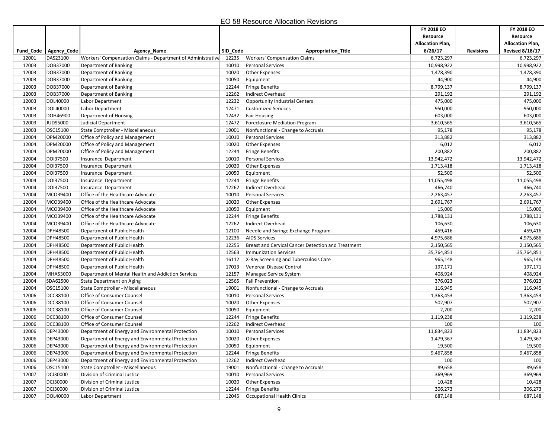|       |                         |                                                             |          |                                                    | FY 2018 EO<br>Resource  |                  | <b>FY 2018 EO</b><br>Resource |
|-------|-------------------------|-------------------------------------------------------------|----------|----------------------------------------------------|-------------------------|------------------|-------------------------------|
|       |                         |                                                             |          |                                                    | <b>Allocation Plan,</b> |                  | <b>Allocation Plan,</b>       |
|       | Fund Code   Agency Code | Agency_Name                                                 | SID_Code | Appropriation_Title                                | 6/26/17                 | <b>Revisions</b> | <b>Revised 8/18/17</b>        |
| 12001 | DAS23100                | Workers' Compensation Claims - Department of Administrative | 12235    | <b>Workers' Compensation Claims</b>                | 6,723,297               |                  | 6,723,297                     |
| 12003 | DOB37000                | Department of Banking                                       | 10010    | <b>Personal Services</b>                           | 10,998,922              |                  | 10,998,922                    |
| 12003 | DOB37000                | Department of Banking                                       | 10020    | <b>Other Expenses</b>                              | 1,478,390               |                  | 1,478,390                     |
| 12003 | DOB37000                | Department of Banking                                       | 10050    | Equipment                                          | 44,900                  |                  | 44,900                        |
| 12003 | DOB37000                | Department of Banking                                       | 12244    | <b>Fringe Benefits</b>                             | 8,799,137               |                  | 8,799,137                     |
| 12003 | DOB37000                | Department of Banking                                       | 12262    | Indirect Overhead                                  | 291,192                 |                  | 291,192                       |
| 12003 | DOL40000                | Labor Department                                            | 12232    | Opportunity Industrial Centers                     | 475,000                 |                  | 475,000                       |
| 12003 | DOL40000                | Labor Department                                            | 12471    | <b>Customized Services</b>                         | 950,000                 |                  | 950,000                       |
| 12003 | DOH46900                | Department of Housing                                       | 12432    | <b>Fair Housing</b>                                | 603,000                 |                  | 603,000                       |
| 12003 | JUD95000                | Judicial Department                                         | 12472    | Foreclosure Mediation Program                      | 3,610,565               |                  | 3,610,565                     |
| 12003 | OSC15100                | State Comptroller - Miscellaneous                           | 19001    | Nonfunctional - Change to Accruals                 | 95,178                  |                  | 95,178                        |
| 12004 | OPM20000                | Office of Policy and Management                             | 10010    | <b>Personal Services</b>                           | 313,882                 |                  | 313,882                       |
| 12004 | OPM20000                | Office of Policy and Management                             | 10020    | <b>Other Expenses</b>                              | 6,012                   |                  | 6,012                         |
| 12004 | OPM20000                | Office of Policy and Management                             | 12244    | <b>Fringe Benefits</b>                             | 200,882                 |                  | 200,882                       |
| 12004 | DOI37500                | Insurance Department                                        | 10010    | <b>Personal Services</b>                           | 13,942,472              |                  | 13,942,472                    |
| 12004 | DOI37500                | Insurance Department                                        | 10020    | Other Expenses                                     | 1,713,418               |                  | 1,713,418                     |
| 12004 | DOI37500                | Insurance Department                                        | 10050    | Equipment                                          | 52,500                  |                  | 52,500                        |
| 12004 | DOI37500                | Insurance Department                                        | 12244    | <b>Fringe Benefits</b>                             | 11,055,498              |                  | 11,055,498                    |
| 12004 | DOI37500                | Insurance Department                                        | 12262    | Indirect Overhead                                  | 466,740                 |                  | 466,740                       |
| 12004 | MCO39400                | Office of the Healthcare Advocate                           | 10010    | <b>Personal Services</b>                           | 2,263,457               |                  | 2,263,457                     |
| 12004 | MCO39400                | Office of the Healthcare Advocate                           | 10020    | <b>Other Expenses</b>                              | 2,691,767               |                  | 2,691,767                     |
| 12004 | MCO39400                | Office of the Healthcare Advocate                           | 10050    | Equipment                                          | 15,000                  |                  | 15,000                        |
| 12004 | MCO39400                | Office of the Healthcare Advocate                           | 12244    | <b>Fringe Benefits</b>                             | 1,788,131               |                  | 1,788,131                     |
| 12004 | MCO39400                | Office of the Healthcare Advocate                           | 12262    | Indirect Overhead                                  | 106,630                 |                  | 106,630                       |
| 12004 | DPH48500                | Department of Public Health                                 | 12100    | Needle and Syringe Exchange Program                | 459,416                 |                  | 459,416                       |
| 12004 | DPH48500                | Department of Public Health                                 | 12236    | <b>AIDS Services</b>                               | 4,975,686               |                  | 4,975,686                     |
| 12004 | DPH48500                | Department of Public Health                                 | 12255    | Breast and Cervical Cancer Detection and Treatment | 2,150,565               |                  | 2,150,565                     |
| 12004 | DPH48500                | Department of Public Health                                 | 12563    | <b>Immunization Services</b>                       | 35,764,851              |                  | 35,764,851                    |
| 12004 | DPH48500                | Department of Public Health                                 | 16112    | X-Ray Screening and Tuberculosis Care              | 965,148                 |                  | 965,148                       |
| 12004 | DPH48500                | Department of Public Health                                 | 17013    | Venereal Disease Control                           | 197,171                 |                  | 197,171                       |
| 12004 | MHA53000                | Department of Mental Health and Addiction Services          | 12157    | <b>Managed Service System</b>                      | 408,924                 |                  | 408,924                       |
| 12004 | SDA62500                | State Department on Aging                                   | 12565    | <b>Fall Prevention</b>                             | 376,023                 |                  | 376,023                       |
| 12004 | OSC15100                | State Comptroller - Miscellaneous                           | 19001    | Nonfunctional - Change to Accruals                 | 116,945                 |                  | 116,945                       |
| 12006 | DCC38100                | Office of Consumer Counsel                                  | 10010    | <b>Personal Services</b>                           | 1,363,453               |                  | 1,363,453                     |
| 12006 | DCC38100                | Office of Consumer Counsel                                  | 10020    | <b>Other Expenses</b>                              | 502,907                 |                  | 502,907                       |
| 12006 | DCC38100                | Office of Consumer Counsel                                  | 10050    | Equipment                                          | 2,200                   |                  | 2,200                         |
| 12006 | DCC38100                | Office of Consumer Counsel                                  | 12244    | <b>Fringe Benefits</b>                             | 1,119,238               |                  | 1,119,238                     |
| 12006 | DCC38100                | Office of Consumer Counsel                                  | 12262    | Indirect Overhead                                  | 100                     |                  | 100                           |
| 12006 | DEP43000                | Department of Energy and Environmental Protection           | 10010    | <b>Personal Services</b>                           | 11,834,823              |                  | 11,834,823                    |
| 12006 | DEP43000                | Department of Energy and Environmental Protection           | 10020    | <b>Other Expenses</b>                              | 1,479,367               |                  | 1,479,367                     |
| 12006 | <b>DEP43000</b>         | Department of Energy and Environmental Protection           | 10050    | Equipment                                          | 19,500                  |                  | 19,500                        |
| 12006 | DEP43000                | Department of Energy and Environmental Protection           | 12244    | Fringe Benefits                                    | 9,467,858               |                  | 9,467,858                     |
| 12006 | DEP43000                | Department of Energy and Environmental Protection           | 12262    | Indirect Overhead                                  | 100                     |                  | 100                           |
| 12006 | OSC15100                | State Comptroller - Miscellaneous                           | 19001    | Nonfunctional - Change to Accruals                 | 89,658                  |                  | 89,658                        |
| 12007 | DCJ30000                | Division of Criminal Justice                                | 10010    | Personal Services                                  | 369,969                 |                  | 369,969                       |
| 12007 | DCJ30000                | Division of Criminal Justice                                | 10020    | Other Expenses                                     | 10,428                  |                  | 10,428                        |
| 12007 | DCJ30000                | Division of Criminal Justice                                | 12244    | <b>Fringe Benefits</b>                             | 306,273                 |                  | 306,273                       |
| 12007 | DOL40000                | Labor Department                                            | 12045    | Occupational Health Clinics                        | 687,148                 |                  | 687,148                       |
|       |                         |                                                             |          |                                                    |                         |                  |                               |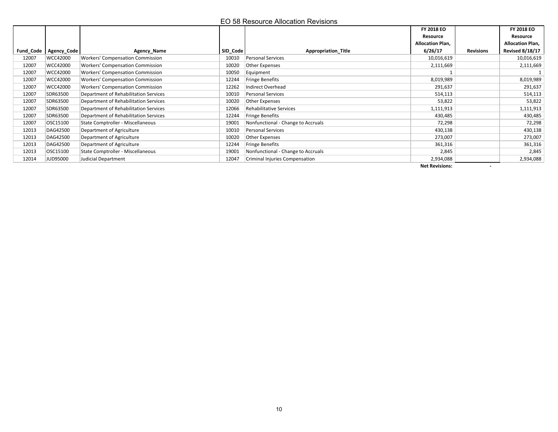|           |             |                                         |          | EO 58 Resource Allocation Revisions |                                                              |                          |                                                                             |
|-----------|-------------|-----------------------------------------|----------|-------------------------------------|--------------------------------------------------------------|--------------------------|-----------------------------------------------------------------------------|
| Fund_Code | Agency_Code | Agency_Name                             | SID_Code | Appropriation_Title                 | FY 2018 EO<br>Resource<br><b>Allocation Plan,</b><br>6/26/17 | <b>Revisions</b>         | FY 2018 EO<br>Resource<br><b>Allocation Plan,</b><br><b>Revised 8/18/17</b> |
| 12007     | WCC42000    | <b>Workers' Compensation Commission</b> | 10010    | Personal Services                   | 10,016,619                                                   |                          | 10,016,619                                                                  |
| 12007     | WCC42000    | <b>Workers' Compensation Commission</b> | 10020    | Other Expenses                      | 2,111,669                                                    |                          | 2,111,669                                                                   |
| 12007     | WCC42000    | <b>Workers' Compensation Commission</b> | 10050    | Equipment                           | $\mathbf{1}$                                                 |                          | $\mathbf{1}$                                                                |
| 12007     | WCC42000    | <b>Workers' Compensation Commission</b> | 12244    | Fringe Benefits                     | 8,019,989                                                    |                          | 8,019,989                                                                   |
| 12007     | WCC42000    | <b>Workers' Compensation Commission</b> | 12262    | Indirect Overhead                   | 291,637                                                      |                          | 291,637                                                                     |
| 12007     | SDR63500    | Department of Rehabilitation Services   | 10010    | Personal Services                   | 514,113                                                      |                          | 514,113                                                                     |
| 12007     | SDR63500    | Department of Rehabilitation Services   | 10020    | Other Expenses                      | 53,822                                                       |                          | 53,822                                                                      |
| 12007     | SDR63500    | Department of Rehabilitation Services   | 12066    | Rehabilitative Services             | 1,111,913                                                    |                          | 1,111,913                                                                   |
| 12007     | SDR63500    | Department of Rehabilitation Services   | 12244    | Fringe Benefits                     | 430,485                                                      |                          | 430,485                                                                     |
| 12007     | OSC15100    | State Comptroller - Miscellaneous       | 19001    | Nonfunctional - Change to Accruals  | 72,298                                                       |                          | 72,298                                                                      |
| 12013     | DAG42500    | Department of Agriculture               | 10010    | Personal Services                   | 430,138                                                      |                          | 430,138                                                                     |
| 12013     | DAG42500    | Department of Agriculture               | 10020    | Other Expenses                      | 273,007                                                      |                          | 273,007                                                                     |
| 12013     | DAG42500    | Department of Agriculture               | 12244    | Fringe Benefits                     | 361,316                                                      |                          | 361,316                                                                     |
| 12013     | OSC15100    | State Comptroller - Miscellaneous       | 19001    | Nonfunctional - Change to Accruals  | 2,845                                                        |                          | 2,845                                                                       |
| 12014     | JUD95000    | Judicial Department                     | 12047    | Criminal Injuries Compensation      | 2,934,088                                                    |                          | 2,934,088                                                                   |
|           |             |                                         |          |                                     | <b>Net Revisions:</b>                                        | $\overline{\phantom{a}}$ |                                                                             |
|           |             |                                         |          |                                     |                                                              |                          |                                                                             |
|           |             |                                         |          |                                     |                                                              |                          |                                                                             |
|           |             |                                         |          | 10                                  |                                                              |                          |                                                                             |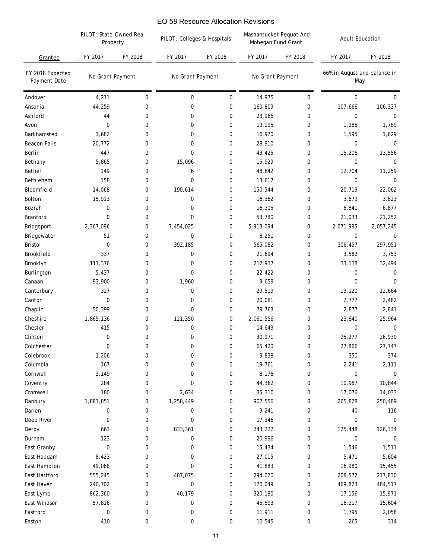|                                  | PILOT: State-Owned Real<br>Property |             | EO 58 Resource Allocation Revisions |             |                                               |                  |                                     |             |
|----------------------------------|-------------------------------------|-------------|-------------------------------------|-------------|-----------------------------------------------|------------------|-------------------------------------|-------------|
|                                  |                                     |             | PILOT: Colleges & Hospitals         |             | Mashantucket Pequot And<br>Mohegan Fund Grant |                  | <b>Adult Education</b>              |             |
| Grantee                          | FY 2017                             | FY 2018     | FY 2017                             | FY 2018     | FY 2017                                       | FY 2018          | FY 2017                             | FY 2018     |
| FY 2018 Expected<br>Payment Date | No Grant Payment                    |             | No Grant Payment                    |             | No Grant Payment                              |                  | 66% in August and balance in<br>May |             |
| Andover                          | 4,211                               | 0           | 0                                   | $\mathbf 0$ | 14,975                                        | 0                | $\mathbf 0$                         | $\mathbf 0$ |
| Ansonia                          | 44,259                              | 0           | 0                                   | $\mathbf 0$ | 160,809                                       | 0                | 107,666                             | 106,337     |
| Ashford                          | 44                                  | 0           | 0                                   | $\mathbf 0$ | 23,966                                        | 0                | $\mathbf 0$                         | 0           |
| Avon                             | 0                                   | 0           | 0                                   | 0           | 19,195                                        | $\mathbf 0$      | 1,985                               | 1,789       |
| Barkhamsted                      | 1,682                               | 0           | 0                                   | 0           | 16,970                                        | 0                | 1,595                               | 1,629       |
| <b>Beacon Falls</b>              | 20,772                              | 0           | 0                                   | 0           | 28,910                                        | 0                | $\mathbf 0$                         | $\mathbf 0$ |
| Berlin                           | 447                                 | 0           | 0                                   | 0           | 43,425                                        | 0                | 15,206                              | 13,556      |
| Bethany                          | 5,865                               | 0           | 15,096                              | 0           | 15,929                                        | $\mathbf 0$      | $\mathbf 0$                         | $\mathbf 0$ |
| Bethel                           | 149                                 | 0           | 6                                   | 0           | 48,842                                        | 0                | 12,704                              | 11,259      |
| Bethlehem                        | 158                                 | 0           | 0                                   | 0           | 13,617                                        | 0                | 0                                   | 0           |
| Bloomfield                       | 14,068                              | 0           | 190,614                             | 0           | 150,544                                       | 0                | 20,719                              | 22,062      |
| Bolton                           | 15,913                              | 0           | 0                                   | 0           | 16,362                                        | 0                | 3,679                               | 3,823       |
| Bozrah                           | 0                                   | 0           | 0                                   | 0           | 16,305                                        | 0                | 6,841                               | 6,877       |
| Branford                         | 0                                   | 0           | 0                                   | $\mathbf 0$ | 53,780                                        | 0                | 21,033                              | 21,252      |
| Bridgeport                       | 2,367,096                           | 0           | 7,454,025                           | 0           | 5,913,094                                     | 0                | 2,071,995                           | 2,057,245   |
| Bridgewater                      | 51                                  | 0           | 0                                   | 0           | 8,251                                         | 0                | $\mathbf 0$                         | 0           |
| Bristol                          | 0                                   | 0           | 392,185                             | 0           | 565,082                                       | 0                | 306,457                             | 297,951     |
| Brookfield                       | 337                                 | 0           | 0                                   | 0           | 21,694                                        | 0                | 3,582                               | 3,753       |
| Brooklyn                         | 111,376                             | 0           | 0                                   | 0           | 212,937                                       | $\mathbf 0$      | 33,138                              | 32,494      |
| Burlington                       | 5,437                               | 0           | 0                                   | 0           | 22,422                                        | 0                | 0                                   | 0           |
| Canaan                           | 93,900                              | 0           | 1,960                               | 0           | 9,659                                         | 0                | 0                                   | 0           |
| Canterbury                       | 327                                 | 0           | 0                                   | 0           | 29,519                                        | 0                | 13,120                              | 12,664      |
| Canton                           | 0                                   | 0           | 0                                   | 0           | 20,081                                        | $\mathbf 0$      | 2,777                               | 2,482       |
| Chaplin                          | 50,399                              | 0           | $\mathbf 0$                         | 0           | 79,763                                        | 0                | 2,877                               | 2,841       |
| Cheshire                         | 1,865,136                           | 0           | 121,350                             | 0           | 2,061,556                                     | 0                | 23,840                              | 25,964      |
| Chester                          | 415                                 | 0           | 0                                   | 0           | 14,643                                        | $\mathbf 0$      | $\mathbf 0$                         | 0           |
| Clinton                          | 0                                   | $\mathbf 0$ | 0                                   | 0           | 30,971                                        | $\mathsf{U}$     | 25,277                              | 26,939      |
| Colchester                       | 0                                   | 0           | 0                                   | 0           | 65,420                                        | 0                | 27,866                              | 27,747      |
| Colebrook                        | 1,206                               | 0           | 0                                   | 0           | 9,838                                         | 0                | 350                                 | 374         |
| Columbia                         | 167                                 | 0           | 0                                   | 0           | 19,761                                        | $\boldsymbol{0}$ | 2,241                               | 2,111       |
| Cornwall                         | 3,149                               | 0           | 0                                   | 0           | 8,178                                         | $\boldsymbol{0}$ | 0                                   | 0           |
| Coventry                         | 284                                 | 0           | 0                                   | 0           | 44,362                                        | 0                | 10,987                              | 10,844      |
| Cromwell                         | 180                                 | 0           | 2,634                               | 0           | 35,310                                        | $\boldsymbol{0}$ | 17,076                              | 14,033      |
| Danbury                          | 1,881,851                           | 0           | 1,258,449                           | 0           | 907,556                                       | 0                | 265,828                             | 250,489     |
| Darien                           | 0                                   | 0           | 0                                   | 0           | 9,241                                         | 0                | 40                                  | 116         |
| Deep River                       | 0                                   | 0           | 0                                   | 0           | 17,346                                        | $\bf{0}$         | 0                                   | 0           |
| Derby                            | 663                                 | 0           | 833,361                             | 0           | 243,222                                       | $\pmb{0}$        | 125,448                             | 126,334     |
| Durham                           | 123                                 | 0           | 0                                   | 0           | 20,996                                        | 0                | 0                                   | 0           |
| East Granby                      | 0                                   | 0           | 0                                   | 0           | 15,434                                        | 0                | 1,546                               | 1,511       |
| East Haddam                      | 8,423                               | 0           | 0                                   | 0           | 27,015                                        | 0                | 5,471                               | 5,604       |
| East Hampton                     | 49,068                              | 0           | 0                                   | 0           | 41,883                                        | $\bf{0}$         | 16,980                              | 15,455      |
| East Hartford                    | 555,245                             | 0           | 487,075                             | 0           | 294,020                                       | $\bf{0}$         | 208,572                             | 217,830     |
| East Haven                       | 240,702                             | 0           | 0                                   | 0           | 170,049                                       | $\bf{0}$         | 469,823                             | 484,517     |
| East Lyme                        | 862,360                             | 0           | 40,179                              | 0           | 320,180                                       | 0                | 17,156                              | 15,971      |
| East Windsor                     | 57,816                              | 0           | 0                                   | 0           | 45,593                                        | 0                | 16,217                              | 15,604      |
| Eastford                         | 0                                   | 0           | 0                                   | 0           | 11,911                                        | 0                | 1,795                               | 2,058       |
| Easton                           | 410                                 | 0           | 0                                   | 0           | 10,545                                        | $\boldsymbol{0}$ | 265                                 | 314         |
|                                  |                                     |             |                                     | 11          |                                               |                  |                                     |             |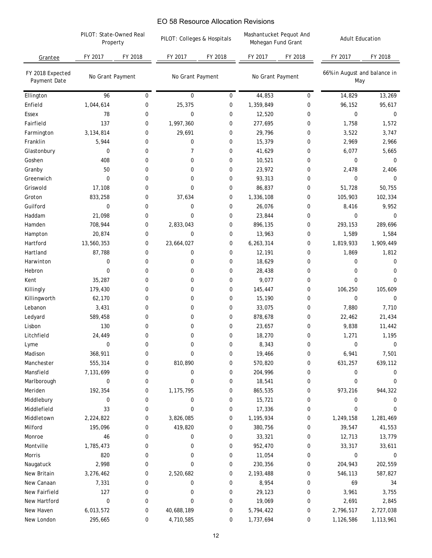|                                  | PILOT: State-Owned Real<br>Property |         | EO 58 Resource Allocation Revisions<br>PILOT: Colleges & Hospitals |             | Mashantucket Pequot And<br>Mohegan Fund Grant |                  | <b>Adult Education</b>              |           |
|----------------------------------|-------------------------------------|---------|--------------------------------------------------------------------|-------------|-----------------------------------------------|------------------|-------------------------------------|-----------|
| Grantee                          | FY 2017                             | FY 2018 | FY 2017                                                            | FY 2018     | FY 2017                                       | FY 2018          | FY 2017                             | FY 2018   |
| FY 2018 Expected<br>Payment Date | No Grant Payment                    |         | No Grant Payment                                                   |             | No Grant Payment                              |                  | 66% in August and balance in<br>May |           |
| Ellington                        | 96                                  | 0       | 0                                                                  | $\mathbf 0$ | 44,853                                        | $\boldsymbol{0}$ | 14,829                              | 13,269    |
| Enfield                          | 1,044,614                           | 0       | 25,375                                                             | 0           | 1,359,849                                     | $\boldsymbol{0}$ | 96,152                              | 95,617    |
| <b>Essex</b>                     | 78                                  | 0       | 0                                                                  | 0           | 12,520                                        | 0                | $\mathbf 0$                         | 0         |
| Fairfield                        | 137                                 | 0       | 1,997,360                                                          | 0           | 277,695                                       | 0                | 1,758                               | 1,572     |
| Farmington                       | 3,134,814                           | 0       | 29,691                                                             | 0           | 29,796                                        | $\boldsymbol{0}$ | 3,522                               | 3,747     |
| Franklin                         | 5,944                               | 0       | 0                                                                  | 0           | 15,379                                        | $\mathbf 0$      | 2,969                               | 2,966     |
| Glastonbury                      | 0                                   | 0       | 7                                                                  | 0           | 41,629                                        | 0                | 6,077                               | 5,665     |
| Goshen                           | 408                                 | 0       | 0                                                                  | 0           | 10,521                                        | 0                | $\mathbf 0$                         | 0         |
| Granby                           | 50                                  | 0       | 0                                                                  | 0           | 23,972                                        | 0                | 2,478                               | 2,406     |
| Greenwich                        | $\Omega$                            | 0       | 0                                                                  | 0           | 93,313                                        | 0                | $\mathbf 0$                         | 0         |
| Griswold                         | 17,108                              | 0       | 0                                                                  | 0           | 86,837                                        | 0                | 51,728                              | 50,755    |
| Groton                           | 833,258                             | 0       | 37,634                                                             | 0           | 1,336,108                                     | $\pmb{0}$        | 105,903                             | 102,334   |
| Guilford                         | 0                                   | 0       | 0                                                                  | 0           | 26,076                                        | 0                | 8,416                               | 9,952     |
| Haddam                           | 21,098                              | 0       | 0                                                                  | 0           | 23,844                                        | 0                | $\mathbf 0$                         | 0         |
| Hamden                           | 708,944                             | 0       | 2,833,043                                                          | 0           | 896,135                                       | 0                | 293,153                             | 289,696   |
| Hampton                          | 20,874                              | 0       | 0                                                                  | $\mathbf 0$ | 13,963                                        | 0                | 1,589                               | 1,584     |
| Hartford                         | 13,560,353                          | 0       | 23,664,027                                                         | 0           | 6,263,314                                     | 0                | 1,819,933                           | 1,909,449 |
| Hartland                         | 87,788                              | 0       | 0                                                                  | 0           | 12,191                                        | 0                | 1,869                               | 1,812     |
| Harwinton                        | 0                                   | 0       | 0                                                                  | 0           | 18,629                                        | 0                | 0                                   | 0         |
| Hebron                           | 0                                   | 0       | 0                                                                  | 0           | 28,438                                        | 0                | 0                                   | 0         |
| Kent                             | 35,287                              | 0       | 0                                                                  | 0           | 9,077                                         | 0                | $\mathbf 0$                         | 0         |
| Killingly                        | 179,430                             | 0       | 0                                                                  | 0           | 145,447                                       | 0                | 106,250                             | 105,609   |
| Killingworth                     | 62,170                              | 0       | 0                                                                  | 0           | 15,190                                        | $\boldsymbol{0}$ | $\mathbf 0$                         | 0         |
| Lebanon                          | 3,431                               | 0       | 0                                                                  | 0           | 33,075                                        | $\mathbf 0$      | 7,880                               | 7,710     |
| Ledyard                          | 589,458                             | 0       | 0                                                                  | 0           | 878,678                                       | 0                | 22,462                              | 21,434    |
| Lisbon                           | 130                                 | 0       | 0                                                                  | 0           | 23,657                                        | 0                | 9,838                               | 11,442    |
| Litchfield                       | 24,449                              | 0       | 0                                                                  | 0           | 18,270                                        | 0                | 1,271                               | 1,195     |
| Lyme                             | 0                                   | 0       | 0                                                                  | 0           | 8,343                                         | 0                | $\boldsymbol{0}$                    | 0         |
| Madison                          | 368,911                             | 0       | 0                                                                  | 0           | 19,466                                        | 0                | 6,941                               | 7,501     |
| Manchester                       | 555,314                             | 0       | 810,890                                                            | 0           | 570,820                                       | 0                | 631,257                             | 639,112   |
| Mansfield                        | 7,131,699                           | 0       | 0                                                                  | 0           | 204,996                                       | 0                | 0                                   | 0         |
| Marlborough                      | 0                                   | 0       | 0                                                                  | 0           | 18,541                                        | 0                | 0                                   | 0         |
| Meriden                          | 192,354                             | 0       | 1,175,795                                                          | 0           | 865,535                                       | 0                | 973,216                             | 944,322   |
| Middlebury                       | 0                                   | 0       | 0                                                                  | 0           | 15,721                                        | 0                | 0                                   | 0         |
| Middlefield                      | 33                                  | 0       | 0                                                                  | 0           | 17,336                                        | 0                | $\mathbf 0$                         | 0         |
| Middletown                       | 2,224,822                           | 0       | 3,826,085                                                          | 0           | 1,195,934                                     | 0                | 1,249,158                           | 1,281,469 |
| Milford                          | 195,096                             | 0       | 419,820                                                            | 0           | 380,756                                       | 0                | 39,547                              | 41,553    |
| Monroe                           | 46                                  | 0       | 0                                                                  | 0           | 33,321                                        | 0                | 12,713                              | 13,779    |
| Montville                        | 1,785,473                           | 0       | 0                                                                  | 0           | 952,470                                       | 0                | 33,317                              | 33,611    |
| Morris                           | 820                                 | 0       | 0                                                                  | 0           | 11,054                                        | 0                | 0                                   | 0         |
| Naugatuck                        | 2,998                               | 0       | 0                                                                  | 0           | 230,356                                       | 0                | 204,943                             | 202,559   |
| New Britain                      | 3,276,462                           | 0       | 2,520,682                                                          | 0           | 2,193,488                                     | 0                | 546,113                             | 587,827   |
| New Canaan                       | 7,331                               | 0       | 0                                                                  | 0           | 8,954                                         | 0                | 69                                  | 34        |
| New Fairfield                    | 127                                 | 0       | 0                                                                  | 0           | 29,123                                        | 0                | 3,961                               | 3,755     |
| New Hartford                     | 0                                   | 0       | 0                                                                  | 0           | 19,069                                        | 0                | 2,691                               | 2,845     |
| New Haven                        | 6,013,572                           | 0       | 40,688,189                                                         | 0           | 5,794,422                                     | 0                | 2,796,517                           | 2,727,038 |
| New London                       | 295,665                             | 0       | 4,710,585                                                          | 0           | 1,737,694                                     | 0                | 1,126,586                           | 1,113,961 |
|                                  |                                     |         |                                                                    | 12          |                                               |                  |                                     |           |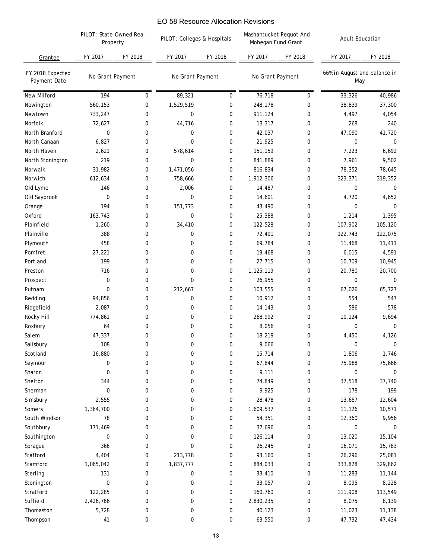| PILOT: Colleges & Hospitals |                     | EO 58 Resource Allocation Revisions<br>Mashantucket Pequot And<br>Mohegan Fund Grant |                  | <b>Adult Education</b> |                                     |         |
|-----------------------------|---------------------|--------------------------------------------------------------------------------------|------------------|------------------------|-------------------------------------|---------|
| FY 2017                     | Property<br>FY 2018 | FY 2018                                                                              | FY 2017          | FY 2018                | FY 2017                             | FY 2018 |
| No Grant Payment            | No Grant Payment    |                                                                                      | No Grant Payment |                        | 66% in August and balance in<br>May |         |
| 89,321                      | $\mathbf 0$         | $\mathbf 0$                                                                          | 76,718           | 0                      | 33,326                              | 40,986  |
| 1,529,519                   | 0                   | 0                                                                                    | 248,178          | 0                      | 38,839                              | 37,300  |
| 0                           | 0                   | 0                                                                                    | 911,124          | 0                      | 4,497                               | 4,054   |
| 44,716                      | 0                   | 0                                                                                    | 13,317           | 0                      | 268                                 | 240     |
| 0                           | 0                   | 0                                                                                    | 42,037           | $\mathbf 0$            | 47,090                              | 41,720  |
| 0                           | 0                   | 0                                                                                    | 21,925           | $\mathbf 0$            | $\mathbf 0$                         | 0       |
| 578,614                     | 0                   | 0                                                                                    | 151,159          | 0                      | 7,223                               | 6,692   |
| 0                           | 0                   | 0                                                                                    | 841,889          | 0                      | 7,961                               | 9,502   |
| 1,471,056                   | 0                   | 0                                                                                    | 816,834          | 0                      | 78,352                              | 78,645  |
| 758,666                     | 0                   | 0                                                                                    | 1,912,306        | 0                      | 323,371                             | 319,352 |
| 2,006                       | 0                   | 0                                                                                    | 14,487           | 0                      | $\mathbf 0$                         | 0       |
| 0                           | 0                   | 0                                                                                    | 14,601           | $\boldsymbol{0}$       | 4,720                               | 4,652   |
| 151,773                     | 0                   | 0                                                                                    | 43,490           | 0                      | $\mathbf 0$                         | 0       |
| 0                           | 0                   | 0                                                                                    | 25,388           | 0                      | 1,214                               | 1,395   |
| 34,410                      | 0                   | 0                                                                                    | 122,528          | 0                      | 107,902                             | 105,120 |
| 0                           | 0                   | 0                                                                                    | 72,491           | $\boldsymbol{0}$       | 122,743                             | 122,075 |
| 0                           | 0                   | 0                                                                                    | 69,784           | $\mathbf 0$            | 11,468                              | 11,411  |
| 0                           | 0                   | 0                                                                                    | 19,468           | 0                      | 6,015                               | 4,591   |
| 0                           | 0                   | 0                                                                                    | 27,715           | 0                      | 10,709                              | 10,945  |
| 0                           | 0                   | 0                                                                                    | 1,125,119        | 0                      | 20,780                              | 20,700  |
| 0                           | 0                   | 0                                                                                    | 26,955           | 0                      | $\mathbf 0$                         | 0       |
| 212,667                     | 0                   | 0                                                                                    | 103,555          | 0                      | 67,026                              | 65,727  |
| 0                           | 0                   | 0                                                                                    | 10,912           | $\boldsymbol{0}$       | 554                                 | 547     |
| 0                           | 0                   | 0                                                                                    | 14,143           | 0                      | 586                                 | 578     |
| 0                           | 0                   | 0                                                                                    | 268,992          | 0                      | 10,124                              | 9,694   |
| 0                           | 0                   | 0                                                                                    | 8,056            | 0                      | $\mathbf 0$                         | 0       |
| 0                           | 0                   | 0                                                                                    | 18,219           | 0                      | 4,450                               | 4,126   |
| 0                           | 0                   | 0                                                                                    | 9,066            | 0                      | $\boldsymbol{0}$                    | 0       |
| 0                           | 0                   | 0                                                                                    | 15,714           | 0                      | 1,806                               | 1,746   |
| 0                           | 0                   | 0                                                                                    | 67,844           | 0                      | 75,988                              | 75,666  |
| 0                           | 0                   | 0                                                                                    | 9,111            | 0                      | 0                                   | 0       |
| 0                           | 0                   | 0                                                                                    | 74,849           | 0                      | 37,518                              | 37,740  |
| 0                           | 0                   | 0                                                                                    | 9,925            | $\boldsymbol{0}$       | 178                                 | 199     |
| 0                           | 0                   | 0                                                                                    | 28,478           | $\boldsymbol{0}$       | 13,657                              | 12,604  |
| 0                           | 0                   | 0                                                                                    | 1,609,537        | 0                      | 11,126                              | 10,571  |
| 0                           | 0                   | 0                                                                                    | 54,351           | 0                      | 12,360                              | 9,956   |
| 0                           | 0                   | 0                                                                                    | 37,696           | 0                      | 0                                   | 0       |
| 0                           | 0                   | 0                                                                                    | 126,114          | 0                      | 13,020                              | 15,104  |
| 0                           | 0                   | 0                                                                                    | 26,245           | 0                      | 16,071                              | 15,783  |
| 213,778                     | 0                   | 0                                                                                    | 93,160           | 0                      | 26,296                              | 25,081  |
| 1,837,777                   | 0                   | 0                                                                                    | 884,033          | 0                      | 333,828                             | 329,862 |
| 0                           | 0                   | 0                                                                                    | 33,410           | 0                      | 11,283                              | 11,144  |
| 0                           | 0                   | 0                                                                                    | 33,057           | 0                      | 8,095                               | 8,228   |
| 0                           | 0                   | 0                                                                                    | 160,760          | 0                      | 111,908                             | 113,549 |
| 0                           | 0                   | 0                                                                                    | 2,830,235        | $\boldsymbol{0}$       | 8,075                               | 8,139   |
| 0                           |                     | 0                                                                                    | 40,123           |                        | 11,023                              | 11,138  |
| 0                           |                     | 0                                                                                    |                  |                        |                                     | 47,434  |
|                             | 0<br>0              |                                                                                      | $13$             | 63,550                 | 0<br>0                              | 47,732  |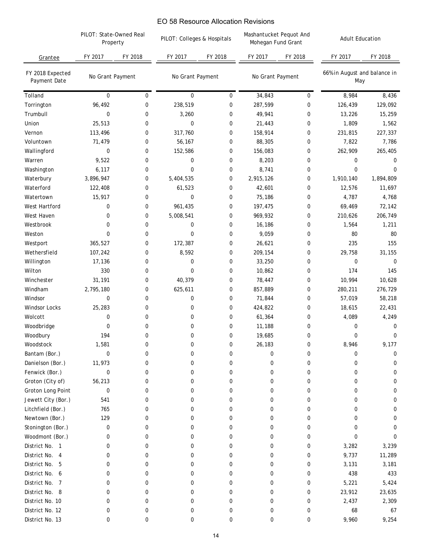|                                  | PILOT: State-Owned Real<br>Property |             | EO 58 Resource Allocation Revisions<br>PILOT: Colleges & Hospitals |             | Mashantucket Pequot And<br>Mohegan Fund Grant |              | <b>Adult Education</b>              |             |
|----------------------------------|-------------------------------------|-------------|--------------------------------------------------------------------|-------------|-----------------------------------------------|--------------|-------------------------------------|-------------|
| Grantee                          | FY 2017                             | FY 2018     | FY 2017                                                            | FY 2018     | FY 2017                                       | FY 2018      | FY 2017                             | FY 2018     |
| FY 2018 Expected<br>Payment Date | No Grant Payment                    |             | No Grant Payment                                                   |             | No Grant Payment                              |              | 66% in August and balance in<br>May |             |
| Tolland                          | 0                                   | $\pmb{0}$   | $\boldsymbol{0}$                                                   | 0           | 34,843                                        | $\bf{0}$     | 8,984                               | 8,436       |
| Torrington                       | 96,492                              | 0           | 238,519                                                            | $\mathbf 0$ | 287,599                                       | 0            | 126,439                             | 129,092     |
| Trumbull                         | 0                                   | 0           | 3,260                                                              | 0           | 49,941                                        | 0            | 13,226                              | 15,259      |
| Union                            | 25,513                              | 0           | $\mathbf 0$                                                        | 0           | 21,443                                        | 0            | 1,809                               | 1,562       |
| Vernon                           | 113,496                             | 0           | 317,760                                                            | 0           | 158,914                                       | 0            | 231,815                             | 227,337     |
| Voluntown                        | 71,479                              | $\pmb{0}$   | 56,167                                                             | 0           | 88,305                                        | 0            | 7,822                               | 7,786       |
| Wallingford                      | 0                                   | 0           | 152,586                                                            | 0           | 156,083                                       | 0            | 262,909                             | 265,405     |
| Warren                           | 9,522                               | 0           | 0                                                                  | 0           | 8,203                                         | 0            | 0                                   | 0           |
| Washington                       | 6,117                               | 0           | $\mathbf 0$                                                        | 0           | 8,741                                         | 0            | $\mathbf 0$                         | 0           |
| Waterbury                        | 3,896,947                           | 0           | 5,404,535                                                          | 0           | 2,915,126                                     | 0            | 1,910,140                           | 1,894,809   |
| Waterford                        | 122,408                             | 0           | 61,523                                                             | 0           | 42,601                                        | 0            | 12,576                              | 11,697      |
| Watertown                        | 15,917                              | 0           | 0                                                                  | 0           | 75,186                                        | 0            | 4,787                               | 4,768       |
| West Hartford                    | 0                                   | 0           | 961,435                                                            | 0           | 197,475                                       | 0            | 69,469                              | 72,142      |
| West Haven                       | 0                                   | 0           | 5,008,541                                                          | $\mathbf 0$ | 969,932                                       | 0            | 210,626                             | 206,749     |
| Westbrook                        | 0                                   | 0           | 0                                                                  | 0           | 16,186                                        | 0            | 1,564                               | 1,211       |
| Weston                           | 0                                   | 0           | 0                                                                  | $\mathbf 0$ | 9,059                                         | 0            | 80                                  | 80          |
| Westport                         | 365,527                             | 0           | 172,387                                                            | 0           | 26,621                                        | 0            | 235                                 | 155         |
| Wethersfield                     | 107,242                             | 0           | 8,592                                                              | 0           | 209,154                                       | 0            | 29,758                              | 31,155      |
| Willington                       | 17,136                              | 0           | 0                                                                  | 0           | 33,250                                        | 0            | 0                                   | 0           |
| Wilton                           | 330                                 | 0           | 0                                                                  | $\mathbf 0$ | 10,862                                        | 0            | 174                                 | 145         |
| Winchester                       | 31,191                              | 0           | 40,379                                                             | 0           | 78,447                                        | 0            | 10,994                              | 10,628      |
| Windham                          | 2,795,180                           | 0           | 625,611                                                            | 0           | 857,889                                       | 0            | 280,211                             | 276,729     |
| Windsor                          | 0                                   | 0           | 0                                                                  | 0           | 71,844                                        | 0            | 57,019                              | 58,218      |
| Windsor Locks                    | 25,283                              | 0           | 0                                                                  | 0           | 424,822                                       | 0            | 18,615                              | 22,431      |
| Wolcott                          | 0                                   | 0           | 0                                                                  | $\mathbf 0$ | 61,364                                        | 0            | 4,089                               | 4,249       |
| Woodbridge                       | 0                                   | 0           | $\mathbf 0$                                                        | $\mathbf 0$ | 11,188                                        | 0            | 0                                   | 0           |
| Woodbury                         | 194                                 | 0           | $\Omega$                                                           | 0           | 19,685                                        | <sup>n</sup> | 0                                   | $\Omega$    |
| Woodstock                        | 1,581                               | $\pmb{0}$   | 0                                                                  | 0           | 26,183                                        | 0            | 8,946                               | 9,177       |
| Bantam (Bor.)                    | 0                                   | 0           | 0                                                                  | 0           | 0                                             | 0            | 0                                   | 0           |
| Danielson (Bor.)                 | 11,973                              | 0           | 0                                                                  | 0           | 0                                             | 0            | 0                                   | 0           |
| Fenwick (Bor.)                   | 0                                   | 0           | 0                                                                  | 0           | 0                                             | 0            | 0                                   | 0           |
| Groton (City of)                 | 56,213                              | 0           | 0                                                                  | 0           | 0                                             | 0            | 0                                   | 0           |
| Groton Long Point                | 0                                   | 0           | 0                                                                  | 0           | 0                                             | 0            | 0                                   | 0           |
| Jewett City (Bor.)               | 541                                 | 0           | 0                                                                  | 0           | 0                                             | 0            | 0                                   | 0           |
| Litchfield (Bor.)                | 765                                 | 0           | 0                                                                  | 0           | 0                                             | 0            | 0                                   | 0           |
| Newtown (Bor.)                   | 129                                 | 0           | 0                                                                  | 0           | 0                                             | 0            | 0                                   | 0           |
| Stonington (Bor.)                | 0                                   | 0           | 0                                                                  | 0           | 0                                             | 0            | 0                                   | 0           |
| Woodmont (Bor.)                  | 0                                   | 0           | 0                                                                  | 0           | 0                                             | 0            | 0                                   | $\Omega$    |
| District No. 1                   | 0                                   | 0           | 0                                                                  | 0           | 0                                             | 0            | 3,282                               | 3,239       |
| District No. 4                   | 0                                   | 0           | 0                                                                  | 0           | 0                                             | 0            | 9,737                               | 11,289      |
| District No. 5                   | 0                                   | 0           | 0                                                                  | 0           | 0                                             | 0            | 3,131                               | 3,181       |
| District No. 6                   | 0                                   | 0           | 0                                                                  | 0           | 0                                             | 0            | 438                                 | 433         |
| District No. 7                   | 0                                   | $\mathbf 0$ | 0                                                                  | 0           | 0                                             | 0            | 5,221                               | 5,424       |
| District No. 8                   | 0                                   | $\mathbf 0$ | 0                                                                  | 0           | 0                                             | 0            | 23,912                              | 23,635      |
| District No. 10                  | 0                                   | 0           | 0                                                                  | 0           | 0                                             | 0            | 2,437                               | 2,309       |
| District No. 12                  | 0                                   | 0           | 0                                                                  | 0           | 0                                             | 0            | 68                                  |             |
| District No. 13                  | 0                                   | 0           | 0                                                                  | 0           | 0                                             | 0            | 9,960                               | 67<br>9,254 |
|                                  |                                     |             |                                                                    | 14          |                                               |              |                                     |             |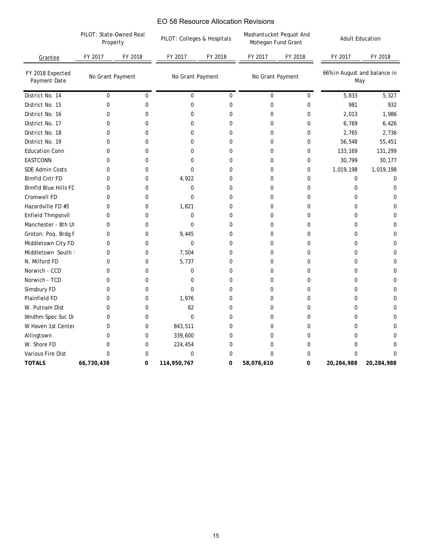|                                  | PILOT: State-Owned Real<br>Property |         | PILOT: Colleges & Hospitals |           | Mashantucket Pequot And<br>Mohegan Fund Grant |             | <b>Adult Education</b>              |            |
|----------------------------------|-------------------------------------|---------|-----------------------------|-----------|-----------------------------------------------|-------------|-------------------------------------|------------|
| Grantee                          | FY 2017                             | FY 2018 | FY 2017                     | FY 2018   | FY 2017                                       | FY 2018     | FY 2017                             | FY 2018    |
| FY 2018 Expected<br>Payment Date | No Grant Payment                    |         | No Grant Payment            |           | No Grant Payment                              |             | 66% in August and balance in<br>May |            |
| District No. 14                  | 0                                   | 0       | 0                           | $\pmb{0}$ | 0                                             | 0           | 5,833                               | 5,327      |
| District No. 15                  | 0                                   | 0       | 0                           | 0         | 0                                             | 0           | 981                                 | 932        |
| District No. 16                  | 0                                   | 0       | 0                           | 0         | 0                                             | 0           | 2,013                               | 1,986      |
| District No. 17                  | 0                                   | 0       | 0                           | 0         | $\mathbf 0$                                   | 0           | 6,769                               | 6,426      |
| District No. 18                  | 0                                   | 0       | 0                           | 0         | 0                                             | 0           | 2,765                               | 2,736      |
| District No. 19                  | 0                                   | 0       | 0                           | 0         | 0                                             | 0           | 56,548                              | 55,451     |
| <b>Education Conn</b>            | 0                                   | 0       | $\mathbf 0$                 | 0         | 0                                             | 0           | 133,169                             | 131,299    |
| <b>EASTCONN</b>                  | 0                                   | 0       | $\mathbf 0$                 | 0         | $\mathbf 0$                                   | 0           | 30,799                              | 30,177     |
| SDE Admin Costs                  | 0                                   | 0       | 0                           | 0         | 0                                             | 0           | 1,019,198                           | 1,019,198  |
| <b>Blmfld Cntr FD</b>            | 0                                   | 0       | 4,922                       | 0         | 0                                             | 0           | 0                                   | 0          |
| <b>Blmfld Blue Hills FD</b>      | 0                                   | 0       | 0                           | 0         | 0                                             | 0           | 0                                   | 0          |
| Cromwell FD                      | 0                                   | 0       | $\mathbf 0$                 | 0         | 0                                             | 0           | 0                                   | 0          |
| Hazardville FD #3                | 0                                   | 0       | 1,821                       | 0         | 0                                             | 0           | 0                                   | 0          |
| Enfield Thmpsnvll                | 0                                   | 0       | 0                           | 0         | 0                                             | 0           | $\mathbf 0$                         | 0          |
| Manchester - 8th Ut              | 0                                   | 0       | 0                           | 0         | $\mathbf 0$                                   | 0           | $\mathbf 0$                         | 0          |
| Groton: Poq. Brdg F              | 0                                   | 0       | 9,445                       | 0         | 0                                             | 0           | 0                                   | 0          |
| Middletown City FD               | 0                                   | 0       | $\mathbf 0$                 | 0         | 0                                             | 0           | $\mathbf 0$                         | 0          |
| Middletown South                 | 0                                   | 0       | 7,504                       | 0         | 0                                             | 0           | 0                                   | 0          |
| N. Milford FD                    | 0                                   | 0       | 5,737                       | 0         | 0                                             | 0           | $\mathbf 0$                         | 0          |
| Norwich - CCD                    | 0                                   | 0       | 0                           | 0         | 0                                             | 0           | 0                                   | 0          |
| Norwich - TCD                    | 0                                   | 0       | 0                           | 0         | 0                                             | 0           | 0                                   | 0          |
| Simsbury FD                      | 0                                   | 0       | $\mathbf 0$                 | 0         | 0                                             | 0           | 0                                   | 0          |
| Plainfield FD                    | 0                                   | 0       | 1,976                       | 0         | 0                                             | 0           | 0                                   | 0          |
| W. Putnam Dist                   | 0                                   | 0       | 82                          | 0         | 0                                             | 0           | 0                                   | 0          |
| Wndhm Spec Svc Di                | 0                                   | 0       | $\mathbf 0$                 | 0         | 0                                             | $\mathbf 0$ | $\mathbf 0$                         | 0          |
| W Haven 1st Center               | 0                                   | 0       | 843,511                     | 0         | 0                                             | $\mathbf 0$ | 0                                   | 0          |
| Allingtown                       | 0                                   | 0       | 339,600                     | 0         | 0                                             | 0           | 0                                   | 0          |
| W. Shore FD                      | 0                                   | 0       | 224,454                     | 0         | 0                                             | 0           | $\pmb{0}$                           | 0          |
| Various Fire Dist                | 0                                   | 0       | $\pmb{0}$                   | 0         | $\mathbf 0$                                   | 0           | 0                                   | 0          |
| <b>TOTALS</b>                    | 66,730,438                          | 0       | 114,950,767                 | 0         | 58,076,610                                    | $\pmb{0}$   | 20,284,988                          | 20,284,988 |
|                                  |                                     |         |                             |           |                                               |             |                                     |            |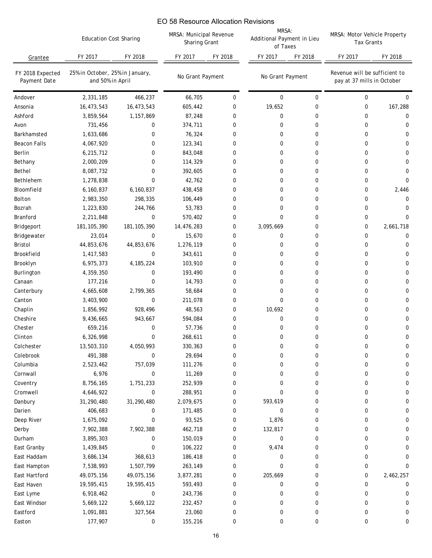### Grantee *FY 2018 Expected Payment Date* Andover Ansonia Ashford Avon Barkhamsted Beacon Falls Berlin Bethany Bethel Bethlehem Bloomfield Bolton Bozrah Branford Bridgeport Bridgewater Bristol Brookfield Brooklyn Burlington Canaan **Canterbury** Canton Chaplin Cheshire Chester Clinton Colchester Colebrook Columbia Cornwall Coventry Cromwell Danbury Darien Deep River Derby Durham East Granby East Haddam East Hampton East Hartford East Haven East Lyme East Windsor Eastford Easton FY 2017 FY 2018 FY 2017 FY 2018 FY 2017 FY 2018 FY 2017 FY 2018 2,331,185 466,237 66,705 0 0 0 0 0 16,473,543 16,473,543 605,442 0 19,652 0 0 167,288 3,859,564 1,157,869 87,248 0 0 0 0 0 731,456 0 374,711 0 0 0 0 0 1,633,686 0 76,324 0 0 0 0 0 0 4,067,920 0 123,341 0 0 0 0 0 6,215,712 0 843,048 0 0 0 0 0 2,000,209 0 114,329 0 0 0 0 0 8,087,732 0 392,605 0 0 0 0 0 1,278,838 0 42,762 0 0 0 0 0 6,160,837 6,160,837 438,458 0 0 0 0 2,446 2,983,350 298,335 106,449 0 0 0 0 0 0 1,223,830 244,766 53,783 0 0 0 0 0 2,211,848 0 570,402 0 0 0 0 0 181,105,390 181,105,390 14,476,283 0 3,095,669 0 0 2,661,718 23,014 0 15,670 0 0 0 0 0 0 44,853,676 44,853,676 1,276,119 0 0 0 0 0 1,417,583 0 343,611 0 0 0 0 0 6,975,373 4,185,224 103,910 0 0 0 0 0 4,359,350 0 193,490 0 0 0 0 0 177,216 0 14,793 0 0 0 0 0 4,665,608 2,799,365 58,684 0 0 0 0 0 3,403,900 0 211,078 0 0 0 0 0 0 1,856,992 928,496 48,563 0 10,692 0 0 0 9,436,665 943,667 594,084 0 0 0 0 0 659,216 0 57,736 0 0 0 0 0 6,326,998 0 268,611 0 0 0 0 0 13,503,310 4,050,993 330,363 0 0 0 0 0 491,388 0 29,694 0 0 0 0 0 2,523,462 757,039 111,276 0 0 0 0 0 6,976 0 11,269 0 0 0 0 0 8,756,165 1,751,233 252,939 0 0 0 0 0 4,646,922 0 288,951 0 0 0 0 0 31,290,480 31,290,480 2,079,675 0 593,619 0 0 0 406,683 0 171,485 0 0 0 0 0 1,675,092 0 93,525 0 1,876 0 0 0 7,902,388 7,902,388 462,718 0 132,817 0 0 0 3,895,303 0 150,019 0 0 0 0 0 1,439,845 0 106,222 0 9,474 0 0 0 3,686,134 368,613 186,418 0 0 0 0 0 7,538,993 1,507,799 263,149 0 0 0 0 0 49,075,156 49,075,156 3,877,281 0 205,669 0 0 2,462,257 19,595,415 19,595,415 593,493 0 0 0 0 0 6,918,462 0 243,736 0 0 0 0 0 5,669,122 5,669,122 232,457 0 0 0 0 0 1,091,881 327,564 23,060 0 0 0 0 0 177,907 0 155,216 0 0 0 0 0 MRSA: Motor Vehicle Property Tax Grants *25% in October, 25% in January, and 50% in April No Grant Payment*  Education Cost Sharing *No Grant Payment Revenue will be sufficient to pay at 37 mills in October* MRSA: Municipal Revenue Sharing Grant MRSA: Additional Payment in Lieu of Taxes EO 58 Resource Allocation Revisions<br>
MRSA: Municipal Revenue<br>
Sharing Grant<br>
2. The V2017 CHE Properties<br>
(66,705 0<br>
66,705 0<br>
66,705 0<br>
67,442 0<br>
374,411 0<br>
76,324 0<br>
134,348 0<br>
134,368 0<br>
106,449 0<br>
53,788 0<br>
14,476,283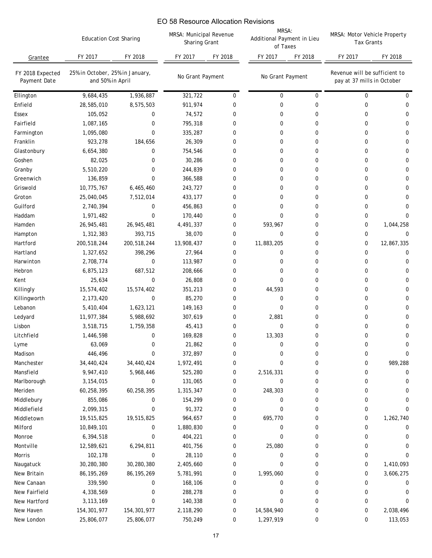|                                  | <b>Education Cost Sharing</b>                       |               | MRSA: Municipal Revenue<br>Sharing Grant |             | MRSA:<br>Additional Payment in Lieu<br>of Taxes |          | MRSA: Motor Vehicle Property<br><b>Tax Grants</b>           |              |
|----------------------------------|-----------------------------------------------------|---------------|------------------------------------------|-------------|-------------------------------------------------|----------|-------------------------------------------------------------|--------------|
| Grantee                          | FY 2017                                             | FY 2018       | FY 2017                                  | FY 2018     | FY 2017                                         | FY 2018  | FY 2017                                                     | FY 2018      |
| FY 2018 Expected<br>Payment Date | 25% in October, 25% in January,<br>and 50% in April |               | No Grant Payment                         |             | No Grant Payment                                |          | Revenue will be sufficient to<br>pay at 37 mills in October |              |
| Ellington                        | 9,684,435                                           | 1,936,887     | 321,722                                  | 0           | 0                                               | 0        | 0                                                           | 0            |
| Enfield                          | 28,585,010                                          | 8,575,503     | 911,974                                  | 0           | 0                                               | 0        | 0                                                           | 0            |
| Essex                            | 105,052                                             | 0             | 74,572                                   | 0           | 0                                               | $\Omega$ | 0                                                           | 0            |
| Fairfield                        | 1,087,165                                           | 0             | 795,318                                  | 0           | 0                                               | 0        | 0                                                           | 0            |
| Farmington                       | 1,095,080                                           | 0             | 335,287                                  | 0           | 0                                               | 0        | 0                                                           | 0            |
| Franklin                         | 923,278                                             | 184,656       | 26,309                                   | $\mathbf 0$ | 0                                               | 0        | 0                                                           | 0            |
| Glastonbury                      | 6,654,380                                           | 0             | 754,546                                  | 0           | 0                                               | 0        | 0                                                           | 0            |
| Goshen                           | 82,025                                              | 0             | 30,286                                   | 0           | 0                                               | 0        | 0                                                           | 0            |
| Granby                           | 5,510,220                                           | 0             | 244,839                                  | $\mathbf 0$ | 0                                               | 0        | 0                                                           | 0            |
| Greenwich                        | 136,859                                             | 0             | 366,588                                  | $\mathbf 0$ | 0                                               | 0        | 0                                                           | 0            |
| Griswold                         | 10,775,767                                          | 6,465,460     | 243,727                                  | 0           | 0                                               | 0        | 0                                                           | 0            |
| Groton                           | 25,040,045                                          | 7,512,014     | 433,177                                  | 0           | 0                                               | 0        | 0                                                           | 0            |
| Guilford                         | 2,740,394                                           | 0             | 456,863                                  | 0           | 0                                               | 0        | 0                                                           | 0            |
| Haddam                           | 1,971,482                                           | 0             | 170,440                                  | 0           | 0                                               | $\Omega$ | 0                                                           | 0            |
| Hamden                           | 26,945,481                                          | 26,945,481    | 4,491,337                                | 0           | 593,967                                         | 0        | 0                                                           | 1,044,258    |
| Hampton                          | 1,312,383                                           | 393,715       | 38,070                                   | 0           | 0                                               | 0        | 0                                                           | 0            |
| Hartford                         | 200,518,244                                         | 200,518,244   | 13,908,437                               | 0           | 11,883,205                                      | 0        | 0                                                           | 12,867,335   |
| Hartland                         | 1,327,652                                           | 398,296       | 27,964                                   | 0           | 0                                               | 0        | 0                                                           | 0            |
| Harwinton                        | 2,708,774                                           | 0             | 113,987                                  | 0           | 0                                               | 0        | 0                                                           | 0            |
| Hebron                           | 6,875,123                                           | 687,512       | 208,666                                  | 0           | 0                                               | $\Omega$ | 0                                                           | 0            |
| Kent                             | 25,634                                              | 0             | 26,808                                   | 0           | 0                                               | $\Omega$ | 0                                                           | 0            |
| Killingly                        | 15,574,402                                          | 15,574,402    | 351,213                                  | 0           | 44,593                                          | 0        | 0                                                           | 0            |
| Killingworth                     | 2,173,420                                           | $\pmb{0}$     | 85,270                                   | 0           | 0                                               | 0        | 0                                                           | 0            |
| Lebanon                          | 5,410,404                                           | 1,623,121     | 149,163                                  | 0           | $\mathbf 0$                                     | 0        | 0                                                           | 0            |
| Ledyard                          | 11,977,384                                          | 5,988,692     | 307,619                                  | 0           | 2,881                                           | $\Omega$ | 0                                                           | 0            |
| Lisbon                           | 3,518,715                                           | 1,759,358     | 45,413                                   | 0           | 0                                               | 0        | 0                                                           | 0            |
| Litchfield                       | 1,446,598                                           | $\Omega$      | 169,828                                  | 0           | 13,303                                          | 0        | <sup>n</sup>                                                | <sup>n</sup> |
| Lyme                             | 63,069                                              | 0             | 21,862                                   | 0           | 0                                               | 0        | 0                                                           | 0            |
| Madison                          | 446,496                                             | 0             | 372,897                                  | 0           | 0                                               | 0        | 0                                                           | 0            |
| Manchester                       | 34,440,424                                          | 34,440,424    | 1,972,491                                | 0           | 0                                               | 0        | 0                                                           | 989,288      |
| Mansfield                        | 9,947,410                                           | 5,968,446     | 525,280                                  | 0           | 2,516,331                                       | 0        | 0                                                           | 0            |
| Marlborough                      | 3,154,015                                           | 0             | 131,065                                  | 0           | 0                                               | 0        | 0                                                           | 0            |
| Meriden                          | 60,258,395                                          | 60,258,395    | 1,315,347                                | 0           | 248,303                                         | 0        | 0                                                           | 0            |
| Middlebury                       | 855,086                                             | 0             | 154,299                                  | 0           | 0                                               | 0        | 0                                                           | 0            |
| Middlefield                      | 2,099,315                                           | 0             | 91,372                                   | 0           | 0                                               | 0        | 0                                                           | 0            |
| Middletown                       | 19,515,825                                          | 19,515,825    | 964,657                                  | 0           | 695,770                                         | 0        | 0                                                           | 1,262,740    |
| Milford                          | 10,849,101                                          | 0             | 1,880,830                                | 0           | 0                                               | 0        | 0                                                           | 0            |
| Monroe                           | 6,394,518                                           | 0             | 404,221                                  | 0           | 0                                               | 0        | 0                                                           | 0            |
| Montville                        | 12,589,621                                          | 6,294,811     | 401,756                                  | 0           | 25,080                                          | 0        | 0                                                           | 0            |
| Morris                           | 102,178                                             | 0             | 28,110                                   | 0           | 0                                               | 0        | 0                                                           | 0            |
| Naugatuck                        | 30,280,380                                          | 30,280,380    | 2,405,660                                | 0           | 0                                               | 0        | 0                                                           | 1,410,093    |
| New Britain                      | 86, 195, 269                                        | 86, 195, 269  | 5,781,991                                | 0           | 1,995,060                                       | 0        | 0                                                           | 3,606,275    |
| New Canaan                       | 339,590                                             | 0             | 168,106                                  | 0           | 0                                               | 0        | 0                                                           | 0            |
| New Fairfield                    | 4,338,569                                           | 0             | 288,278                                  | 0           | 0                                               | 0        | 0                                                           | 0            |
| New Hartford                     | 3, 113, 169                                         | 0             | 140,338                                  | 0           | 0                                               | 0        | 0                                                           | 0            |
| New Haven                        | 154, 301, 977                                       | 154, 301, 977 | 2,118,290                                | 0           | 14,584,940                                      | 0        | 0                                                           | 2,038,496    |
| New London                       | 25,806,077                                          | 25,806,077    | 750,249                                  | 0           | 1,297,919                                       | 0        | 0                                                           | 113,053      |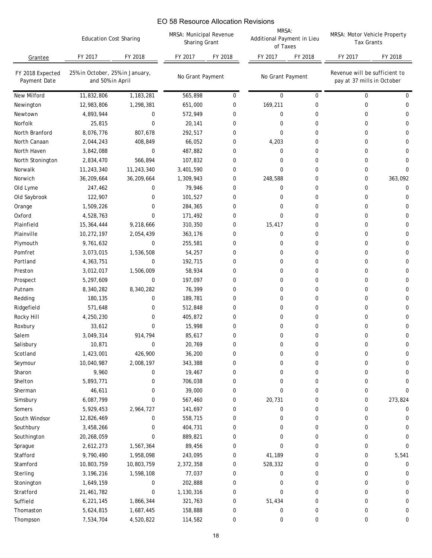|                                  | <b>Education Cost Sharing</b>                       |             | MRSA: Municipal Revenue<br>Sharing Grant |             | MRSA:<br>Additional Payment in Lieu<br>of Taxes |             | MRSA: Motor Vehicle Property<br><b>Tax Grants</b>           |              |
|----------------------------------|-----------------------------------------------------|-------------|------------------------------------------|-------------|-------------------------------------------------|-------------|-------------------------------------------------------------|--------------|
| Grantee                          | FY 2017                                             | FY 2018     | FY 2017                                  | FY 2018     | FY 2017                                         | FY 2018     | FY 2017                                                     | FY 2018      |
| FY 2018 Expected<br>Payment Date | 25% in October, 25% in January,<br>and 50% in April |             | No Grant Payment                         |             | No Grant Payment                                |             | Revenue will be sufficient to<br>pay at 37 mills in October |              |
| <b>New Milford</b>               | 11,832,806                                          | 1,183,281   | 565,898                                  | 0           | 0                                               | $\mathbf 0$ | 0                                                           | 0            |
| Newington                        | 12,983,806                                          | 1,298,381   | 651,000                                  | 0           | 169,211                                         | 0           | 0                                                           | 0            |
| Newtown                          | 4,893,944                                           | 0           | 572,949                                  | 0           | 0                                               | 0           | 0                                                           | 0            |
| Norfolk                          | 25,815                                              | 0           | 20,141                                   | 0           | 0                                               | 0           | 0                                                           | 0            |
| North Branford                   | 8,076,776                                           | 807,678     | 292,517                                  | 0           | 0                                               | 0           | 0                                                           | 0            |
| North Canaan                     | 2,044,243                                           | 408,849     | 66,052                                   | $\mathbf 0$ | 4,203                                           | 0           | 0                                                           | 0            |
| North Haven                      | 3,842,088                                           | 0           | 487,882                                  | 0           | 0                                               | 0           | 0                                                           | 0            |
| North Stonington                 | 2,834,470                                           | 566,894     | 107,832                                  | 0           | 0                                               | 0           | 0                                                           | 0            |
| Norwalk                          | 11,243,340                                          | 11,243,340  | 3,401,590                                | 0           | 0                                               | 0           | 0                                                           | 0            |
| Norwich                          | 36,209,664                                          | 36,209,664  | 1,309,943                                | 0           | 248,588                                         | 0           | 0                                                           | 363,092      |
| Old Lyme                         | 247,462                                             | 0           | 79,946                                   | 0           | 0                                               | 0           | 0                                                           | 0            |
| Old Saybrook                     | 122,907                                             | 0           | 101,527                                  | 0           | 0                                               | 0           | 0                                                           | 0            |
| Orange                           | 1,509,226                                           | 0           | 284,365                                  | 0           | 0                                               | 0           | 0                                                           | 0            |
| Oxford                           | 4,528,763                                           | 0           | 171,492                                  | 0           | 0                                               | 0           | 0                                                           | 0            |
| Plainfield                       | 15,364,444                                          | 9,218,666   | 310,350                                  | 0           | 15,417                                          | 0           | 0                                                           | 0            |
| Plainville                       | 10,272,197                                          | 2,054,439   | 363,176                                  | $\mathbf 0$ | 0                                               | 0           | 0                                                           | 0            |
| Plymouth                         | 9,761,632                                           | 0           | 255,581                                  | 0           | 0                                               | 0           | 0                                                           | 0            |
| Pomfret                          | 3,073,015                                           | 1,536,508   | 54,257                                   | 0           | 0                                               | 0           | 0                                                           | 0            |
| Portland                         | 4,363,751                                           | 0           | 192,715                                  | 0           | 0                                               | 0           | 0                                                           | 0            |
| Preston                          | 3,012,017                                           | 1,506,009   | 58,934                                   | 0           | 0                                               | 0           | 0                                                           | 0            |
| Prospect                         | 5,297,609                                           | $\mathbf 0$ | 197,097                                  | 0           | 0                                               | 0           | 0                                                           | 0            |
| Putnam                           | 8,340,282                                           | 8,340,282   | 76,399                                   | 0           | 0                                               | 0           | 0                                                           | 0            |
| Redding                          | 180,135                                             | 0           | 189,781                                  | 0           | 0                                               | 0           | 0                                                           | 0            |
| Ridgefield                       | 571,648                                             | 0           | 512,848                                  | 0           | 0                                               | 0           | 0                                                           | 0            |
| Rocky Hill                       | 4,250,230                                           | 0           | 405,872                                  | 0           | 0                                               | 0           | 0                                                           | 0            |
| Roxbury                          | 33,612                                              | 0           | 15,998                                   | 0           | 0                                               | 0           | 0                                                           | 0            |
| Salem                            | 3,049,314                                           | 914,794     | 85,617                                   | 0           | U                                               | 0           | <sup>n</sup>                                                | <sup>n</sup> |
| Salisbury                        | 10,871                                              | 0           | 20,769                                   | 0           | 0                                               | 0           | 0                                                           | 0            |
| Scotland                         | 1,423,001                                           | 426,900     | 36,200                                   | 0           | 0                                               | 0           | 0                                                           | 0            |
| Seymour                          | 10,040,987                                          | 2,008,197   | 343,388                                  | 0           | 0                                               | 0           | 0                                                           | 0            |
| Sharon                           | 9,960                                               | 0           | 19,467                                   | 0           | 0                                               | 0           | 0                                                           | 0            |
| Shelton                          | 5,893,771                                           | 0           | 706,038                                  | 0           | 0                                               | 0           | 0                                                           | 0            |
| Sherman                          | 46,611                                              | 0           | 39,000                                   | 0           | 0                                               | 0           | 0                                                           | 0            |
| Simsbury                         | 6,087,799                                           | 0           | 567,460                                  | 0           | 20,731                                          | 0           | 0                                                           | 273,824      |
| Somers                           | 5,929,453                                           | 2,964,727   | 141,697                                  | 0           | 0                                               | 0           | 0                                                           | 0            |
| South Windsor                    | 12,826,469                                          | 0           | 558,715                                  | 0           | 0                                               | 0           | 0                                                           | 0            |
| Southbury                        | 3,458,266                                           | 0           | 404,731                                  | 0           | 0                                               | 0           | 0                                                           | 0            |
| Southington                      | 20,268,059                                          | 0           | 889,821                                  | 0           | 0                                               | 0           | 0                                                           | 0            |
| Sprague                          | 2,612,273                                           | 1,567,364   | 89,456                                   | 0           | 0                                               | 0           | 0                                                           | 0            |
| Stafford                         | 9,790,490                                           | 1,958,098   | 243,095                                  | 0           | 41,189                                          | 0           | 0                                                           | 5,541        |
| Stamford                         | 10,803,759                                          | 10,803,759  | 2,372,358                                | 0           | 528,332                                         | 0           | 0                                                           | 0            |
| Sterling                         | 3,196,216                                           | 1,598,108   | 77,037                                   | 0           | 0                                               | 0           | 0                                                           | 0            |
| Stonington                       | 1,649,159                                           | 0           | 202,888                                  | 0           | 0                                               | 0           | 0                                                           | 0            |
| Stratford                        | 21,461,782                                          | 0           | 1,130,316                                | 0           | 0                                               | 0           | 0                                                           | 0            |
| Suffield                         | 6,221,145                                           | 1,866,344   | 321,763                                  | 0           | 51,434                                          | 0           | 0                                                           | 0            |
| Thomaston                        | 5,624,815                                           | 1,687,445   | 158,888                                  | 0           | 0                                               | 0           | 0                                                           | 0            |
| Thompson                         | 7,534,704                                           | 4,520,822   | 114,582                                  | 0           | 0                                               | 0           | 0                                                           | 0            |
|                                  |                                                     |             |                                          | 18          |                                                 |             |                                                             |              |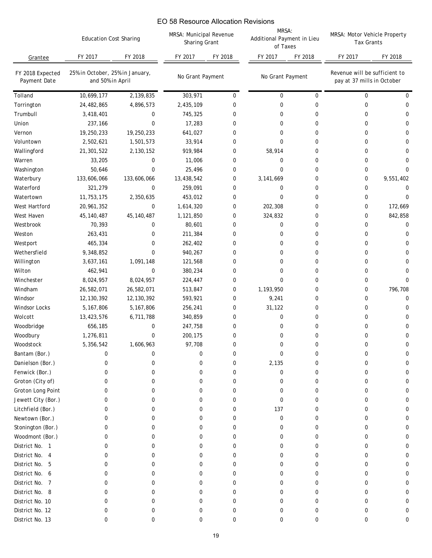|                                  | <b>Education Cost Sharing</b>                       |              | EO 58 Resource Allocation Revisions<br>MRSA: Municipal Revenue<br>Sharing Grant |             | MRSA:<br>Additional Payment in Lieu<br>of Taxes |             | MRSA: Motor Vehicle Property<br><b>Tax Grants</b>           |             |
|----------------------------------|-----------------------------------------------------|--------------|---------------------------------------------------------------------------------|-------------|-------------------------------------------------|-------------|-------------------------------------------------------------|-------------|
| Grantee                          | FY 2017                                             | FY 2018      | FY 2017                                                                         | FY 2018     | FY 2017                                         | FY 2018     | FY 2017                                                     | FY 2018     |
| FY 2018 Expected<br>Payment Date | 25% in October, 25% in January,<br>and 50% in April |              | No Grant Payment                                                                |             | No Grant Payment                                |             | Revenue will be sufficient to<br>pay at 37 mills in October |             |
| Tolland                          | 10,699,177                                          | 2,139,835    | 303,971                                                                         | $\mathbf 0$ | 0                                               | $\mathbf 0$ | 0                                                           | 0           |
| Torrington                       | 24,482,865                                          | 4,896,573    | 2,435,109                                                                       | 0           | 0                                               | 0           | 0                                                           | 0           |
| Trumbull                         | 3,418,401                                           | 0            | 745,325                                                                         | 0           | 0                                               | 0           | 0                                                           | 0           |
| Union                            | 237,166                                             | 0            | 17,283                                                                          | 0           | 0                                               | 0           | 0                                                           | 0           |
| Vernon                           | 19,250,233                                          | 19,250,233   | 641,027                                                                         | 0           | 0                                               | 0           | 0                                                           | 0           |
| Voluntown                        | 2,502,621                                           | 1,501,573    | 33,914                                                                          | 0           | 0                                               | 0           | 0                                                           | 0           |
| Wallingford                      | 21,301,522                                          | 2,130,152    | 919,984                                                                         | 0           | 58,914                                          | 0           | 0                                                           | 0           |
| Warren                           | 33,205                                              | 0            | 11,006                                                                          | 0           | 0                                               | 0           | 0                                                           | 0           |
| Washington                       | 50,646                                              | 0            | 25,496                                                                          | 0           | 0                                               | 0           | 0                                                           | 0           |
| Waterbury                        | 133,606,066                                         | 133,606,066  | 13,438,542                                                                      | 0           | 3,141,669                                       | 0           | 0                                                           | 9,551,402   |
| Waterford                        | 321,279                                             | 0            | 259,091                                                                         | 0           | 0                                               | 0           | 0                                                           | 0           |
| Watertown                        | 11,753,175                                          | 2,350,635    | 453,012                                                                         | 0           | 0                                               | 0           | 0                                                           | $\mathbf 0$ |
| West Hartford                    | 20,961,352                                          | 0            | 1,614,320                                                                       | 0           | 202,308                                         | 0           | 0                                                           | 172,669     |
| West Haven                       | 45, 140, 487                                        | 45, 140, 487 | 1,121,850                                                                       | 0           | 324,832                                         | 0           | 0                                                           | 842,858     |
| Westbrook                        | 70,393                                              | 0            | 80,601                                                                          | 0           | 0                                               | 0           | 0                                                           | 0           |
| Weston                           | 263,431                                             | 0            | 211,384                                                                         | $\mathbf 0$ | 0                                               | 0           | 0                                                           | 0           |
| Westport                         | 465,334                                             | 0            | 262,402                                                                         | 0           | 0                                               | 0           | 0                                                           | 0           |
| Wethersfield                     | 9,348,852                                           | 0            | 940,267                                                                         | 0           | 0                                               | 0           | 0                                                           | 0           |
| Willington                       | 3,637,161                                           | 1,091,148    | 121,568                                                                         | 0           | 0                                               | 0           | 0                                                           | 0           |
| Wilton                           | 462,941                                             | 0            | 380,234                                                                         | $\mathbf 0$ | 0                                               | 0           | 0                                                           | 0           |
| Winchester                       | 8,024,957                                           | 8,024,957    | 224,447                                                                         | 0           | 0                                               | 0           | 0                                                           | 0           |
| Windham                          | 26,582,071                                          | 26,582,071   | 513,847                                                                         | $\mathbf 0$ | 1,193,950                                       | 0           | 0                                                           | 796,708     |
| Windsor                          | 12, 130, 392                                        | 12,130,392   | 593,921                                                                         | 0           | 9,241                                           | 0           | 0                                                           | 0           |
| <b>Windsor Locks</b>             | 5,167,806                                           | 5,167,806    | 256,241                                                                         | 0           | 31,122                                          | 0           | 0                                                           | 0           |
| Wolcott                          | 13,423,576                                          | 6,711,788    | 340,859                                                                         | 0           | 0                                               | 0           | 0                                                           | 0           |
| Woodbridge                       | 656,185                                             | 0            | 247,758                                                                         | 0           | 0                                               | 0           | 0                                                           | 0           |
| Woodbury                         | 1,276,811                                           | 0            | 200,175                                                                         | $\Omega$    | $\Omega$                                        | U           | <sup>n</sup>                                                | $\Omega$    |
| Woodstock                        | 5,356,542                                           | 1,606,963    | 97,708                                                                          | 0           | 0                                               | 0           | 0                                                           | 0           |
| Bantam (Bor.)                    | 0                                                   | 0            | 0                                                                               | 0           | 0                                               | 0           | 0                                                           | 0           |
| Danielson (Bor.)                 | 0                                                   | 0            | 0                                                                               | 0           | 2,135                                           | 0           | 0                                                           | 0           |
| Fenwick (Bor.)                   | 0                                                   | 0            | 0                                                                               | 0           | 0                                               | 0           | 0                                                           | 0           |
| Groton (City of)                 | 0                                                   | 0            | 0                                                                               | 0           | 0                                               | 0           | 0                                                           | 0           |
| Groton Long Point                | 0                                                   | 0            | 0                                                                               | 0           | 0                                               | 0           | 0                                                           | 0           |
| Jewett City (Bor.)               | 0                                                   | 0            | 0                                                                               | 0           | 0                                               | 0           | 0                                                           | 0           |
| Litchfield (Bor.)                | 0                                                   | 0            | 0                                                                               | 0           | 137                                             | 0           | 0                                                           | 0           |
| Newtown (Bor.)                   | 0                                                   | 0            | 0                                                                               | 0           | 0                                               | 0           | 0                                                           | 0           |
| Stonington (Bor.)                | 0                                                   | 0            | 0                                                                               | 0           | 0                                               | 0           | 0                                                           | 0           |
| Woodmont (Bor.)                  | 0                                                   | 0            | 0                                                                               | 0           | 0                                               | 0           | 0                                                           | 0           |
| District No. 1                   | 0                                                   | 0            | 0                                                                               | 0           | 0                                               | 0           | 0                                                           | 0           |
| District No. 4                   | 0                                                   | 0            | 0                                                                               | 0           | 0                                               | 0           | 0                                                           | 0           |
| District No. 5                   | 0                                                   | 0            | 0                                                                               | 0           | 0                                               | 0           | 0                                                           | 0           |
| District No. 6                   | 0                                                   | 0            | 0                                                                               | 0           | 0                                               | 0           | 0                                                           | 0           |
| District No. 7                   | 0                                                   | 0            | 0                                                                               | 0           | 0                                               | 0           | 0                                                           | 0           |
| District No. 8                   | 0                                                   | 0            | 0                                                                               | 0           | 0                                               | U           | 0                                                           | 0           |
| District No. 10                  | 0                                                   | 0            | 0                                                                               | 0           | 0                                               | 0           | 0                                                           | 0           |
| District No. 12                  | 0                                                   | 0            | 0                                                                               | 0           | 0                                               | 0           | 0                                                           | 0           |
| District No. 13                  | 0                                                   | 0            | 0                                                                               | 0           | 0                                               | 0           | 0                                                           | 0           |
|                                  |                                                     |              |                                                                                 | 19          |                                                 |             |                                                             |             |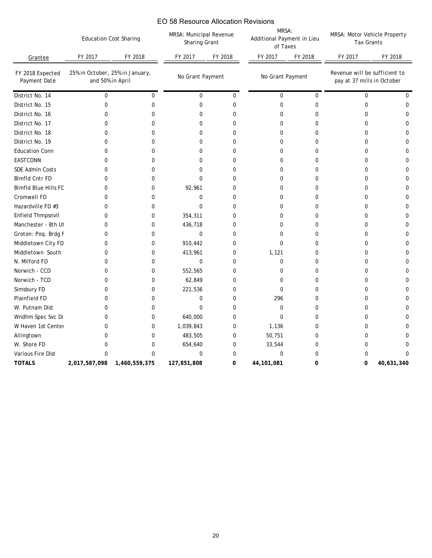| Grantee<br>FY 2018 Expected<br>Payment Date<br>District No. 14<br>District No. 15<br>District No. 16<br>District No. 17<br>District No. 18<br>District No. 19<br><b>Education Conn</b><br><b>EASTCONN</b><br>SDE Admin Costs<br><b>Blmfld Cntr FD</b><br><b>Blmfld Blue Hills FD</b><br>Cromwell FD<br>Hazardville FD #3<br>Enfield Thmpsnvll<br>Manchester - 8th Ut<br>Groton: Poq. Brdg F<br>Middletown City FD<br>Middletown South<br>N. Milford FD<br>Norwich - CCD<br>Norwich - TCD<br>Simsbury FD<br>Plainfield FD<br>W. Putnam Dist<br>Wndhm Spec Svc Di<br>W Haven 1st Center<br>Allingtown<br>W. Shore FD<br>Various Fire Dist<br><b>TOTALS</b> | FY 2017<br>and 50% in April<br>0<br>0<br>0<br>0<br>0<br>0<br>0<br>0<br>0<br>0<br>0<br>0<br>0<br>0<br>0<br>0<br>0<br>0<br>0<br>0 | FY 2018<br>25% in October, 25% in January,<br>0<br>0<br>0<br>0<br>0<br>0<br>0<br>0<br>0<br>0<br>0<br>0<br>0<br>0<br>0<br>0<br>0<br>0<br>0 | FY 2017<br>No Grant Payment<br>$\mathbf 0$<br>0<br>0<br>$\mathbf 0$<br>$\mathbf 0$<br>0<br>0<br>0<br>0<br>$\Omega$<br>92,961<br>$\mathbf 0$<br>$\mathbf 0$<br>354,311<br>436,718<br>0<br>910,442 | FY 2018<br>0<br>0<br>0<br>0<br>$\mathbf 0$<br>$\mathbf 0$<br>0<br>0<br>0<br>0<br>0<br>0<br>0<br>0<br>0<br>$\mathbf 0$ | FY 2017<br>No Grant Payment<br>0<br>0<br>0<br>0<br>0<br>0<br>0<br>0<br>0<br>0<br>0<br>0<br>0<br>0<br>0 | FY 2018<br>$\mathbf 0$<br>0<br>0<br>0<br>0<br>0<br>0<br>0<br>0<br>0<br>0<br>0<br>0<br>0 | FY 2017<br>Revenue will be sufficient to<br>pay at 37 mills in October<br>0<br>0<br>0<br>0<br>0<br>0<br>0<br>0<br>0<br>0<br>0<br>0<br>0<br>0 | FY 2018<br>0<br>0<br>0<br>0<br>0<br>0<br>0<br>0<br>0<br>0<br>0<br>0<br>0 |
|----------------------------------------------------------------------------------------------------------------------------------------------------------------------------------------------------------------------------------------------------------------------------------------------------------------------------------------------------------------------------------------------------------------------------------------------------------------------------------------------------------------------------------------------------------------------------------------------------------------------------------------------------------|---------------------------------------------------------------------------------------------------------------------------------|-------------------------------------------------------------------------------------------------------------------------------------------|--------------------------------------------------------------------------------------------------------------------------------------------------------------------------------------------------|-----------------------------------------------------------------------------------------------------------------------|--------------------------------------------------------------------------------------------------------|-----------------------------------------------------------------------------------------|----------------------------------------------------------------------------------------------------------------------------------------------|--------------------------------------------------------------------------|
|                                                                                                                                                                                                                                                                                                                                                                                                                                                                                                                                                                                                                                                          |                                                                                                                                 |                                                                                                                                           |                                                                                                                                                                                                  |                                                                                                                       |                                                                                                        |                                                                                         |                                                                                                                                              |                                                                          |
|                                                                                                                                                                                                                                                                                                                                                                                                                                                                                                                                                                                                                                                          |                                                                                                                                 |                                                                                                                                           |                                                                                                                                                                                                  |                                                                                                                       |                                                                                                        |                                                                                         |                                                                                                                                              |                                                                          |
|                                                                                                                                                                                                                                                                                                                                                                                                                                                                                                                                                                                                                                                          |                                                                                                                                 |                                                                                                                                           |                                                                                                                                                                                                  |                                                                                                                       |                                                                                                        |                                                                                         |                                                                                                                                              |                                                                          |
|                                                                                                                                                                                                                                                                                                                                                                                                                                                                                                                                                                                                                                                          |                                                                                                                                 |                                                                                                                                           |                                                                                                                                                                                                  |                                                                                                                       |                                                                                                        |                                                                                         |                                                                                                                                              |                                                                          |
|                                                                                                                                                                                                                                                                                                                                                                                                                                                                                                                                                                                                                                                          |                                                                                                                                 |                                                                                                                                           |                                                                                                                                                                                                  |                                                                                                                       |                                                                                                        |                                                                                         |                                                                                                                                              |                                                                          |
|                                                                                                                                                                                                                                                                                                                                                                                                                                                                                                                                                                                                                                                          |                                                                                                                                 |                                                                                                                                           |                                                                                                                                                                                                  |                                                                                                                       |                                                                                                        |                                                                                         |                                                                                                                                              |                                                                          |
|                                                                                                                                                                                                                                                                                                                                                                                                                                                                                                                                                                                                                                                          |                                                                                                                                 |                                                                                                                                           |                                                                                                                                                                                                  |                                                                                                                       |                                                                                                        |                                                                                         |                                                                                                                                              |                                                                          |
|                                                                                                                                                                                                                                                                                                                                                                                                                                                                                                                                                                                                                                                          |                                                                                                                                 |                                                                                                                                           |                                                                                                                                                                                                  |                                                                                                                       |                                                                                                        |                                                                                         |                                                                                                                                              |                                                                          |
|                                                                                                                                                                                                                                                                                                                                                                                                                                                                                                                                                                                                                                                          |                                                                                                                                 |                                                                                                                                           |                                                                                                                                                                                                  |                                                                                                                       |                                                                                                        |                                                                                         |                                                                                                                                              |                                                                          |
|                                                                                                                                                                                                                                                                                                                                                                                                                                                                                                                                                                                                                                                          |                                                                                                                                 |                                                                                                                                           |                                                                                                                                                                                                  |                                                                                                                       |                                                                                                        |                                                                                         |                                                                                                                                              |                                                                          |
|                                                                                                                                                                                                                                                                                                                                                                                                                                                                                                                                                                                                                                                          |                                                                                                                                 |                                                                                                                                           |                                                                                                                                                                                                  |                                                                                                                       |                                                                                                        |                                                                                         |                                                                                                                                              |                                                                          |
|                                                                                                                                                                                                                                                                                                                                                                                                                                                                                                                                                                                                                                                          |                                                                                                                                 |                                                                                                                                           |                                                                                                                                                                                                  |                                                                                                                       |                                                                                                        |                                                                                         |                                                                                                                                              |                                                                          |
|                                                                                                                                                                                                                                                                                                                                                                                                                                                                                                                                                                                                                                                          |                                                                                                                                 |                                                                                                                                           |                                                                                                                                                                                                  |                                                                                                                       |                                                                                                        |                                                                                         |                                                                                                                                              |                                                                          |
|                                                                                                                                                                                                                                                                                                                                                                                                                                                                                                                                                                                                                                                          |                                                                                                                                 |                                                                                                                                           |                                                                                                                                                                                                  |                                                                                                                       |                                                                                                        |                                                                                         |                                                                                                                                              |                                                                          |
|                                                                                                                                                                                                                                                                                                                                                                                                                                                                                                                                                                                                                                                          |                                                                                                                                 |                                                                                                                                           |                                                                                                                                                                                                  |                                                                                                                       |                                                                                                        |                                                                                         |                                                                                                                                              |                                                                          |
|                                                                                                                                                                                                                                                                                                                                                                                                                                                                                                                                                                                                                                                          |                                                                                                                                 |                                                                                                                                           |                                                                                                                                                                                                  |                                                                                                                       |                                                                                                        |                                                                                         |                                                                                                                                              | 0                                                                        |
|                                                                                                                                                                                                                                                                                                                                                                                                                                                                                                                                                                                                                                                          |                                                                                                                                 |                                                                                                                                           |                                                                                                                                                                                                  |                                                                                                                       |                                                                                                        | 0                                                                                       | 0                                                                                                                                            | $\mathbf 0$                                                              |
|                                                                                                                                                                                                                                                                                                                                                                                                                                                                                                                                                                                                                                                          |                                                                                                                                 |                                                                                                                                           |                                                                                                                                                                                                  |                                                                                                                       | 0                                                                                                      | 0                                                                                       | 0                                                                                                                                            | 0                                                                        |
|                                                                                                                                                                                                                                                                                                                                                                                                                                                                                                                                                                                                                                                          |                                                                                                                                 |                                                                                                                                           |                                                                                                                                                                                                  | $\mathbf 0$                                                                                                           | $\mathbf 0$                                                                                            | 0                                                                                       | 0                                                                                                                                            | 0                                                                        |
|                                                                                                                                                                                                                                                                                                                                                                                                                                                                                                                                                                                                                                                          |                                                                                                                                 |                                                                                                                                           | 413,961                                                                                                                                                                                          | 0                                                                                                                     | 1,121                                                                                                  | 0                                                                                       | 0                                                                                                                                            | 0                                                                        |
|                                                                                                                                                                                                                                                                                                                                                                                                                                                                                                                                                                                                                                                          |                                                                                                                                 |                                                                                                                                           | $\mathbf 0$                                                                                                                                                                                      | $\mathbf 0$                                                                                                           | 0                                                                                                      | 0                                                                                       | 0                                                                                                                                            | 0                                                                        |
|                                                                                                                                                                                                                                                                                                                                                                                                                                                                                                                                                                                                                                                          |                                                                                                                                 | 0                                                                                                                                         | 552,565                                                                                                                                                                                          | 0                                                                                                                     | 0                                                                                                      | 0                                                                                       | 0                                                                                                                                            | 0                                                                        |
|                                                                                                                                                                                                                                                                                                                                                                                                                                                                                                                                                                                                                                                          | 0                                                                                                                               | 0                                                                                                                                         | 62,849                                                                                                                                                                                           | 0                                                                                                                     | 0                                                                                                      | 0                                                                                       | 0                                                                                                                                            | 0                                                                        |
|                                                                                                                                                                                                                                                                                                                                                                                                                                                                                                                                                                                                                                                          | 0                                                                                                                               | 0                                                                                                                                         | 221,536                                                                                                                                                                                          | 0                                                                                                                     | 0                                                                                                      | 0                                                                                       | 0                                                                                                                                            | 0                                                                        |
|                                                                                                                                                                                                                                                                                                                                                                                                                                                                                                                                                                                                                                                          | 0                                                                                                                               | 0                                                                                                                                         | 0                                                                                                                                                                                                | 0                                                                                                                     | 296                                                                                                    | 0                                                                                       | 0                                                                                                                                            | 0                                                                        |
|                                                                                                                                                                                                                                                                                                                                                                                                                                                                                                                                                                                                                                                          | 0                                                                                                                               | 0                                                                                                                                         | $\mathbf 0$                                                                                                                                                                                      | 0                                                                                                                     | $\mathbf 0$                                                                                            | 0                                                                                       | 0                                                                                                                                            | 0                                                                        |
|                                                                                                                                                                                                                                                                                                                                                                                                                                                                                                                                                                                                                                                          | 0                                                                                                                               | 0                                                                                                                                         | 640,000                                                                                                                                                                                          | $\mathbf 0$                                                                                                           | 0                                                                                                      | 0                                                                                       | 0                                                                                                                                            | 0                                                                        |
|                                                                                                                                                                                                                                                                                                                                                                                                                                                                                                                                                                                                                                                          | 0                                                                                                                               | 0                                                                                                                                         | 1,039,843                                                                                                                                                                                        | 0                                                                                                                     | 1,136                                                                                                  | 0                                                                                       | 0                                                                                                                                            | 0                                                                        |
|                                                                                                                                                                                                                                                                                                                                                                                                                                                                                                                                                                                                                                                          | 0                                                                                                                               | 0                                                                                                                                         | 483,505                                                                                                                                                                                          | 0                                                                                                                     | 50,751                                                                                                 | 0                                                                                       | 0                                                                                                                                            | 0                                                                        |
|                                                                                                                                                                                                                                                                                                                                                                                                                                                                                                                                                                                                                                                          | 0                                                                                                                               | 0                                                                                                                                         | 654,640                                                                                                                                                                                          | 0                                                                                                                     | 33,544                                                                                                 | $\boldsymbol{0}$                                                                        | $\pmb{0}$                                                                                                                                    | 0                                                                        |
|                                                                                                                                                                                                                                                                                                                                                                                                                                                                                                                                                                                                                                                          | 0                                                                                                                               | $\pmb{0}$                                                                                                                                 | $\pmb{0}$                                                                                                                                                                                        | $\pmb{0}$                                                                                                             | $\pmb{0}$                                                                                              | 0                                                                                       | 0                                                                                                                                            | $\pmb{0}$                                                                |
|                                                                                                                                                                                                                                                                                                                                                                                                                                                                                                                                                                                                                                                          |                                                                                                                                 | 2,017,587,098 1,460,559,375                                                                                                               | 127,851,808                                                                                                                                                                                      | 0                                                                                                                     | 44, 101, 081                                                                                           | 0                                                                                       | 0                                                                                                                                            | 40,631,340                                                               |
|                                                                                                                                                                                                                                                                                                                                                                                                                                                                                                                                                                                                                                                          |                                                                                                                                 |                                                                                                                                           |                                                                                                                                                                                                  |                                                                                                                       |                                                                                                        |                                                                                         |                                                                                                                                              |                                                                          |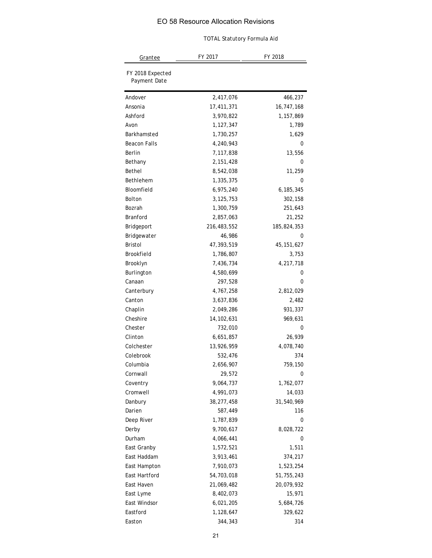| EO 58 Resource Allocation Revisions | <b>TOTAL Statutory Formula Aid</b> |              |  |  |  |
|-------------------------------------|------------------------------------|--------------|--|--|--|
| <u>Grantee</u>                      | FY 2017                            | FY 2018      |  |  |  |
| FY 2018 Expected<br>Payment Date    |                                    |              |  |  |  |
| Andover                             | 2,417,076                          | 466,237      |  |  |  |
| Ansonia                             | 17,411,371                         | 16,747,168   |  |  |  |
| Ashford                             | 3,970,822                          | 1,157,869    |  |  |  |
| Avon                                | 1,127,347                          | 1,789        |  |  |  |
| Barkhamsted                         | 1,730,257                          | 1,629        |  |  |  |
| Beacon Falls                        | 4,240,943                          | 0            |  |  |  |
| Berlin                              | 7,117,838                          | 13,556       |  |  |  |
| Bethany                             | 2, 151, 428                        | 0            |  |  |  |
| Bethel                              | 8,542,038                          | 11,259       |  |  |  |
| Bethlehem                           | 1,335,375                          | 0            |  |  |  |
| Bloomfield                          | 6,975,240                          | 6,185,345    |  |  |  |
| Bolton                              | 3, 125, 753                        | 302,158      |  |  |  |
| Bozrah                              | 1,300,759                          | 251,643      |  |  |  |
| Branford                            | 2,857,063                          | 21,252       |  |  |  |
| Bridgeport                          | 216,483,552                        | 185,824,353  |  |  |  |
| Bridgewater                         | 46,986                             | 0            |  |  |  |
| Bristol                             | 47,393,519                         | 45, 151, 627 |  |  |  |
| Brookfield                          | 1,786,807                          | 3,753        |  |  |  |
| Brooklyn                            | 7,436,734                          | 4,217,718    |  |  |  |
| Burlington                          | 4,580,699                          | 0            |  |  |  |
| Canaan                              | 297,528                            | 0            |  |  |  |
| Canterbury                          | 4,767,258                          | 2,812,029    |  |  |  |
| Canton                              | 3,637,836                          | 2,482        |  |  |  |
| Chaplin                             | 2,049,286                          | 931,337      |  |  |  |
| Cheshire                            | 14, 102, 631                       | 969,631      |  |  |  |
| Chester                             | 732,010                            | 0            |  |  |  |
| Clinton                             | 6,651,857                          | 26,939       |  |  |  |
| Colchester                          | 13,926,959                         | 4,078,740    |  |  |  |
| Colebrook                           | 532,476                            | 374          |  |  |  |
| Columbia                            | 2,656,907                          | 759,150      |  |  |  |
| Cornwall                            | 29,572                             | 0            |  |  |  |
| Coventry                            | 9,064,737                          | 1,762,077    |  |  |  |
| Cromwell                            | 4,991,073                          | 14,033       |  |  |  |
| Danbury                             | 38,277,458                         | 31,540,969   |  |  |  |
| Darien                              | 587,449                            | 116          |  |  |  |
| Deep River                          | 1,787,839                          | 0            |  |  |  |
| Derby                               | 9,700,617                          | 8,028,722    |  |  |  |
| Durham                              | 4,066,441                          | 0            |  |  |  |
| East Granby                         | 1,572,521                          | 1,511        |  |  |  |
| East Haddam                         | 3,913,461                          | 374,217      |  |  |  |
| East Hampton                        | 7,910,073                          | 1,523,254    |  |  |  |
| East Hartford                       | 54,703,018                         | 51,755,243   |  |  |  |
| East Haven                          | 21,069,482                         | 20,079,932   |  |  |  |
| East Lyme                           | 8,402,073                          | 15,971       |  |  |  |
| East Windsor                        | 6,021,205                          | 5,684,726    |  |  |  |
| Eastford                            | 1,128,647                          | 329,622      |  |  |  |
| Easton                              | 344,343                            | 314          |  |  |  |
|                                     | 21                                 |              |  |  |  |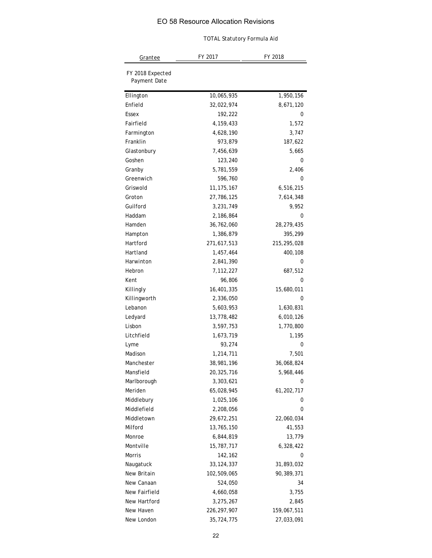|                                  | <b>TOTAL Statutory Formula Aid</b> |              |  |  |  |
|----------------------------------|------------------------------------|--------------|--|--|--|
| Grantee                          | FY 2017                            | FY 2018      |  |  |  |
| FY 2018 Expected<br>Payment Date |                                    |              |  |  |  |
| Ellington                        | 10,065,935                         | 1,950,156    |  |  |  |
| Enfield                          | 32,022,974                         | 8,671,120    |  |  |  |
| Essex                            | 192,222                            | 0            |  |  |  |
| Fairfield                        | 4, 159, 433                        | 1,572        |  |  |  |
| Farmington                       | 4,628,190                          | 3,747        |  |  |  |
| Franklin                         | 973,879                            | 187,622      |  |  |  |
| Glastonbury                      | 7,456,639                          | 5,665        |  |  |  |
| Goshen                           | 123,240                            | 0            |  |  |  |
| Granby                           | 5,781,559                          | 2,406        |  |  |  |
| Greenwich                        | 596,760                            | 0            |  |  |  |
| Griswold                         | 11, 175, 167                       | 6,516,215    |  |  |  |
| Groton                           | 27,786,125                         | 7,614,348    |  |  |  |
| Guilford                         | 3,231,749                          | 9,952        |  |  |  |
| Haddam                           | 2,186,864                          | 0            |  |  |  |
| Hamden                           | 36,762,060                         | 28, 279, 435 |  |  |  |
| Hampton                          | 1,386,879                          | 395,299      |  |  |  |
| Hartford                         | 271,617,513                        | 215,295,028  |  |  |  |
| Hartland                         | 1,457,464                          | 400,108      |  |  |  |
| Harwinton                        | 2,841,390                          | 0            |  |  |  |
| Hebron                           | 7,112,227                          | 687,512      |  |  |  |
| Kent                             | 96,806                             | 0            |  |  |  |
| Killingly                        | 16,401,335                         | 15,680,011   |  |  |  |
| Killingworth                     | 2,336,050                          | 0            |  |  |  |
| Lebanon                          | 5,603,953                          | 1,630,831    |  |  |  |
| Ledyard                          | 13,778,482                         | 6,010,126    |  |  |  |
| Lisbon                           | 3,597,753                          | 1,770,800    |  |  |  |
| Litchfield                       | 1,673,719                          | 1,195        |  |  |  |
| Lyme                             | 93,274                             | 0            |  |  |  |
| Madison                          | 1,214,711                          | 7,501        |  |  |  |
| Manchester                       | 38,981,196                         | 36,068,824   |  |  |  |
| Mansfield                        | 20,325,716                         | 5,968,446    |  |  |  |
| Marlborough                      | 3,303,621                          | 0            |  |  |  |
| Meriden                          | 65,028,945                         | 61,202,717   |  |  |  |
| Middlebury                       | 1,025,106                          | 0            |  |  |  |
| Middlefield                      | 2,208,056                          | 0            |  |  |  |
| Middletown                       | 29,672,251                         | 22,060,034   |  |  |  |
| Milford                          | 13,765,150                         | 41,553       |  |  |  |
| Monroe                           | 6,844,819                          | 13,779       |  |  |  |
| Montville                        | 15,787,717                         | 6,328,422    |  |  |  |
| Morris                           | 142,162                            | 0            |  |  |  |
| Naugatuck                        | 33, 124, 337                       | 31,893,032   |  |  |  |
| New Britain                      | 102,509,065                        | 90,389,371   |  |  |  |
| New Canaan                       | 524,050                            | 34           |  |  |  |
| New Fairfield                    | 4,660,058                          | 3,755        |  |  |  |
| New Hartford                     | 3,275,267                          | 2,845        |  |  |  |
| New Haven                        | 226, 297, 907                      | 159,067,511  |  |  |  |
| New London                       | 35,724,775                         | 27,033,091   |  |  |  |
|                                  | 22                                 |              |  |  |  |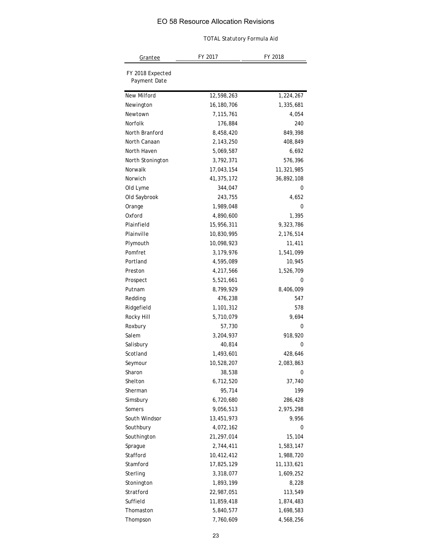|                                  | EO 58 Resource Allocation Revisions<br><b>TOTAL Statutory Formula Aid</b> |              |
|----------------------------------|---------------------------------------------------------------------------|--------------|
| <u>Grantee</u>                   | FY 2017                                                                   | FY 2018      |
| FY 2018 Expected<br>Payment Date |                                                                           |              |
| New Milford                      | 12,598,263                                                                | 1,224,267    |
| Newington                        | 16,180,706                                                                | 1,335,681    |
| Newtown                          | 7,115,761                                                                 | 4,054        |
| Norfolk                          | 176,884                                                                   | 240          |
| North Branford                   | 8,458,420                                                                 | 849,398      |
| North Canaan                     | 2,143,250                                                                 | 408,849      |
| North Haven                      | 5,069,587                                                                 | 6,692        |
| North Stonington                 | 3,792,371                                                                 | 576,396      |
| Norwalk                          | 17,043,154                                                                | 11,321,985   |
| Norwich                          | 41,375,172                                                                | 36,892,108   |
| Old Lyme                         | 344,047                                                                   | 0            |
| Old Saybrook                     | 243,755                                                                   | 4,652        |
| Orange                           | 1,989,048                                                                 | 0            |
| Oxford                           | 4,890,600                                                                 | 1,395        |
| Plainfield                       | 15,956,311                                                                | 9,323,786    |
| Plainville                       | 10,830,995                                                                | 2,176,514    |
| Plymouth                         | 10,098,923                                                                | 11,411       |
| Pomfret                          | 3,179,976                                                                 | 1,541,099    |
| Portland                         | 4,595,089                                                                 | 10,945       |
| Preston                          | 4,217,566                                                                 | 1,526,709    |
| Prospect                         | 5,521,661                                                                 | 0            |
| Putnam                           | 8,799,929                                                                 | 8,406,009    |
| Redding                          | 476,238                                                                   | 547          |
| Ridgefield                       | 1,101,312                                                                 | 578          |
| Rocky Hill                       | 5,710,079                                                                 | 9,694        |
| Roxbury                          | 57,730                                                                    | 0            |
| Salem                            | 3,204,937                                                                 | 918,920      |
| Salisbury                        | 40,814                                                                    | 0            |
| Scotland                         | 1,493,601                                                                 | 428,646      |
| Seymour                          | 10,528,207                                                                | 2,083,863    |
| Sharon                           | 38,538                                                                    | 0            |
| Shelton                          | 6,712,520                                                                 | 37,740       |
| Sherman                          | 95,714                                                                    | 199          |
| Simsbury                         | 6,720,680                                                                 | 286,428      |
| Somers                           | 9,056,513                                                                 | 2,975,298    |
| South Windsor                    | 13,451,973                                                                | 9,956        |
| Southbury                        | 4,072,162                                                                 | 0            |
| Southington                      | 21, 297, 014                                                              | 15,104       |
| Sprague                          | 2,744,411                                                                 | 1,583,147    |
| Stafford                         | 10,412,412                                                                | 1,988,720    |
| Stamford                         | 17,825,129                                                                | 11, 133, 621 |
| Sterling                         | 3,318,077                                                                 | 1,609,252    |
| Stonington                       | 1,893,199                                                                 | 8,228        |
| Stratford                        | 22,987,051                                                                | 113,549      |
| Suffield                         | 11,859,418                                                                | 1,874,483    |
| Thomaston                        | 5,840,577                                                                 | 1,698,583    |
| Thompson                         | 7,760,609                                                                 | 4,568,256    |
|                                  | 23                                                                        |              |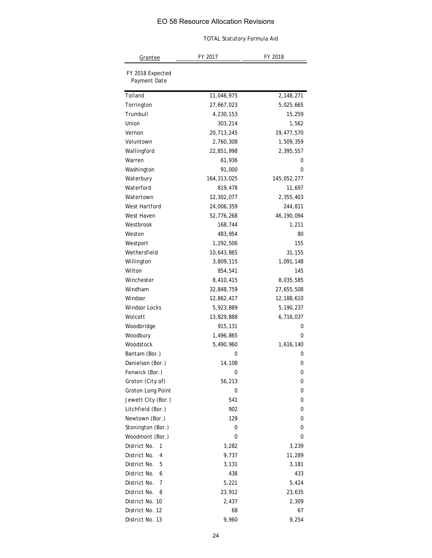|                                  | <b>TOTAL Statutory Formula Aid</b> |             |
|----------------------------------|------------------------------------|-------------|
| Grantee                          | FY 2017                            | FY 2018     |
| FY 2018 Expected<br>Payment Date |                                    |             |
| Tolland                          | 11,046,975                         | 2,148,271   |
| Torrington                       | 27,667,023                         | 5,025,665   |
| Trumbull                         | 4,230,153                          | 15,259      |
| Union                            | 303,214                            | 1,562       |
| Vernon                           | 20,713,245                         | 19,477,570  |
| Voluntown                        | 2,760,308                          | 1,509,359   |
| Wallingford                      | 22,851,998                         | 2,395,557   |
| Warren                           | 61,936                             | 0           |
| Washington                       | 91,000                             | 0           |
| Waterbury                        | 164, 313, 025                      | 145,052,277 |
| Waterford                        | 819,478                            | 11,697      |
| Watertown                        | 12,302,077                         | 2,355,403   |
| West Hartford                    | 24,006,359                         | 244,811     |
| West Haven                       | 52,776,268                         | 46,190,094  |
| Westbrook                        | 168,744                            | 1,211       |
| Weston                           | 483,954                            | 80          |
| Westport                         | 1,292,506                          | 155         |
| Wethersfield                     | 10,643,865                         | 31,155      |
| Willington                       | 3,809,115                          | 1,091,148   |
| Wilton                           | 854,541                            | 145         |
| Winchester                       | 8,410,415                          | 8,035,585   |
| Windham                          | 32,848,759                         | 27,655,508  |
| Windsor                          | 12,862,417                         | 12,188,610  |
| <b>Windsor Locks</b>             | 5,923,889                          | 5,190,237   |
| Wolcott                          | 13,829,888                         | 6,716,037   |
| Woodbridge                       | 915,131                            | 0           |
| Woodbury                         | 1,496,865                          | 0           |
| Woodstock                        | 5,490,960                          | 1,616,140   |
| Bantam (Bor.)                    | 0                                  | 0           |
| Danielson (Bor.)                 | 14,108                             | 0           |
| Fenwick (Bor.)                   | 0                                  | 0           |
| Groton (City of)                 | 56,213                             | 0           |
| Groton Long Point                | 0                                  | 0           |
| Jewett City (Bor.)               | 541                                | 0           |
| Litchfield (Bor.)                | 902                                | 0           |
| Newtown (Bor.)                   | 129                                | 0           |
| Stonington (Bor.)                | 0                                  | 0           |
| Woodmont (Bor.)                  | 0                                  | 0           |
| District No.<br>1                | 3,282                              | 3,239       |
| District No.<br>4                | 9,737                              | 11,289      |
| District No.<br>5                | 3,131                              | 3,181       |
| District No.<br>6                | 438                                | 433         |
| District No.<br>7                | 5,221                              | 5,424       |
| District No.<br>8                | 23,912                             | 23,635      |
| District No. 10                  | 2,437                              | 2,309       |
| District No. 12                  | 68                                 | 67          |
| District No. 13                  | 9,960                              | 9,254       |
|                                  |                                    |             |
|                                  | 24                                 |             |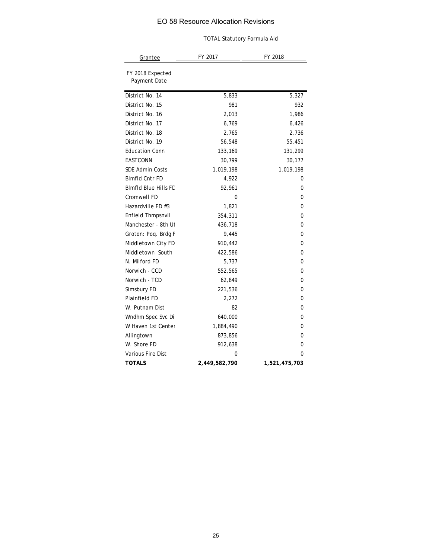| <b>TOTAL Statutory Formula Aid</b> |               |               |  |  |
|------------------------------------|---------------|---------------|--|--|
| <b>Grantee</b>                     | FY 2017       | FY 2018       |  |  |
| FY 2018 Expected<br>Payment Date   |               |               |  |  |
| District No. 14                    | 5,833         | 5,327         |  |  |
| District No. 15                    | 981           | 932           |  |  |
| District No. 16                    | 2,013         | 1,986         |  |  |
| District No. 17                    | 6,769         | 6,426         |  |  |
| District No. 18                    | 2,765         | 2,736         |  |  |
| District No. 19                    | 56,548        | 55,451        |  |  |
| <b>Education Conn</b>              | 133,169       | 131,299       |  |  |
| EASTCONN                           | 30,799        | 30,177        |  |  |
| <b>SDE Admin Costs</b>             | 1,019,198     | 1,019,198     |  |  |
| <b>Blmfld Cntr FD</b>              | 4,922         | 0             |  |  |
| <b>BImfld Blue Hills FD</b>        | 92,961        | 0             |  |  |
| Cromwell FD                        | 0             | 0             |  |  |
| Hazardville FD #3                  | 1,821         | 0             |  |  |
| Enfield Thmpsnvll                  | 354,311       | 0             |  |  |
| Manchester - 8th Ut                | 436,718       | 0             |  |  |
| Groton: Poq. Brdg F                | 9,445         | 0             |  |  |
| Middletown City FD                 | 910,442       | 0             |  |  |
| Middletown South                   | 422,586       | 0             |  |  |
| N. Milford FD                      | 5,737         | 0             |  |  |
| Norwich - CCD                      | 552,565       | 0             |  |  |
| Norwich - TCD                      | 62,849        | 0             |  |  |
| Simsbury FD                        | 221,536       | 0             |  |  |
| Plainfield FD                      | 2,272         | 0             |  |  |
| W. Putnam Dist                     | 82            | 0             |  |  |
| Wndhm Spec Svc Di                  | 640,000       | 0             |  |  |
| W Haven 1st Center                 | 1,884,490     | 0             |  |  |
| Allingtown                         | 873,856       | 0             |  |  |
| W. Shore FD                        | 912,638       | 0             |  |  |
| Various Fire Dist                  | 0             | 0             |  |  |
| <b>TOTALS</b>                      | 2,449,582,790 | 1,521,475,703 |  |  |
|                                    |               |               |  |  |
|                                    | 25            |               |  |  |